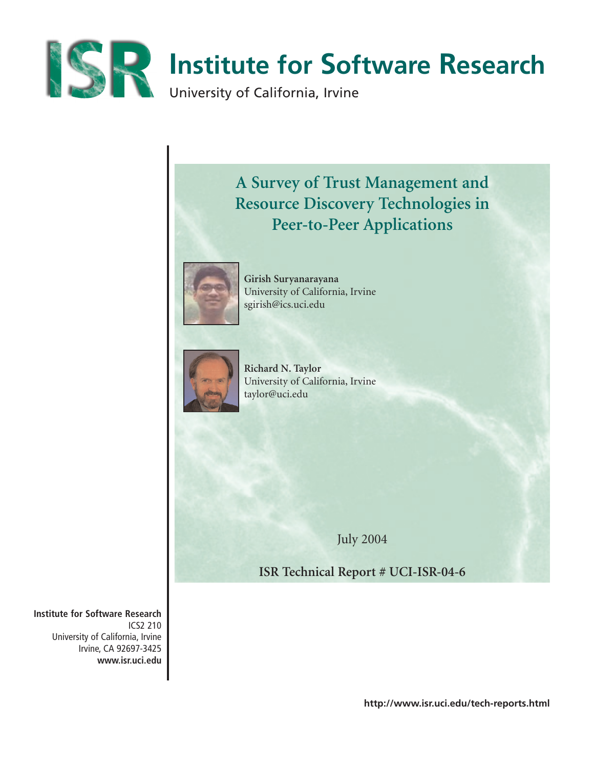

# **ISR Institute for Software Research**

University of California, Irvine

**A Survey of Trust Management and Resource Discovery Technologies in Peer-to-Peer Applications**



**Girish Suryanarayana** University of California, Irvine sgirish@ics.uci.edu



**Richard N. Taylor** University of California, Irvine taylor@uci.edu

July 2004

**ISR Technical Report # UCI-ISR-04-6**

**Institute for Software Research** ICS2 210 University of California, Irvine Irvine, CA 92697-3425 **www.isr.uci.edu**

**http://www.isr.uci.edu/tech-reports.html**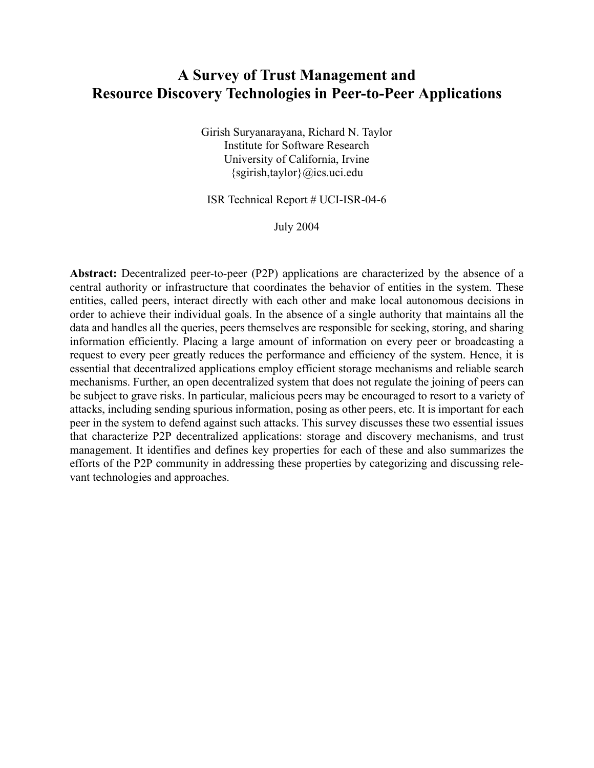# **A Survey of Trust Management and Resource Discovery Technologies in Peer-to-Peer Applications**

Girish Suryanarayana, Richard N. Taylor Institute for Software Research University of California, Irvine {sgirish,taylor}@ics.uci.edu

ISR Technical Report # UCI-ISR-04-6

July 2004

**Abstract:** Decentralized peer-to-peer (P2P) applications are characterized by the absence of a central authority or infrastructure that coordinates the behavior of entities in the system. These entities, called peers, interact directly with each other and make local autonomous decisions in order to achieve their individual goals. In the absence of a single authority that maintains all the data and handles all the queries, peers themselves are responsible for seeking, storing, and sharing information efficiently. Placing a large amount of information on every peer or broadcasting a request to every peer greatly reduces the performance and efficiency of the system. Hence, it is essential that decentralized applications employ efficient storage mechanisms and reliable search mechanisms. Further, an open decentralized system that does not regulate the joining of peers can be subject to grave risks. In particular, malicious peers may be encouraged to resort to a variety of attacks, including sending spurious information, posing as other peers, etc. It is important for each peer in the system to defend against such attacks. This survey discusses these two essential issues that characterize P2P decentralized applications: storage and discovery mechanisms, and trust management. It identifies and defines key properties for each of these and also summarizes the efforts of the P2P community in addressing these properties by categorizing and discussing relevant technologies and approaches.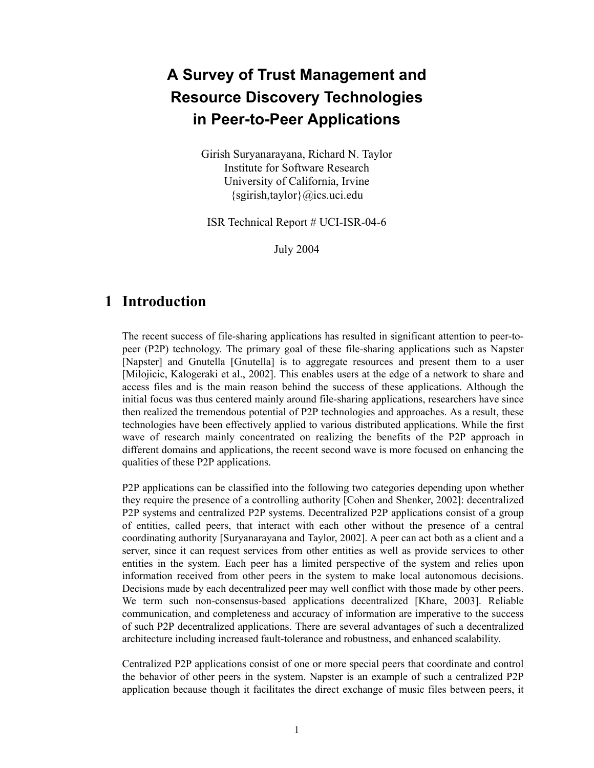# **A Survey of Trust Management and Resource Discovery Technologies in Peer-to-Peer Applications**

Girish Suryanarayana, Richard N. Taylor Institute for Software Research University of California, Irvine {sgirish,taylor}@ics.uci.edu

ISR Technical Report # UCI-ISR-04-6

July 2004

# **1 Introduction**

The recent success of file-sharing applications has resulted in significant attention to peer-topeer (P2P) technology. The primary goal of these file-sharing applications such as Napster [Napster] and Gnutella [Gnutella] is to aggregate resources and present them to a user [Milojicic, Kalogeraki et al., 2002]. This enables users at the edge of a network to share and access files and is the main reason behind the success of these applications. Although the initial focus was thus centered mainly around file-sharing applications, researchers have since then realized the tremendous potential of P2P technologies and approaches. As a result, these technologies have been effectively applied to various distributed applications. While the first wave of research mainly concentrated on realizing the benefits of the P2P approach in different domains and applications, the recent second wave is more focused on enhancing the qualities of these P2P applications.

P2P applications can be classified into the following two categories depending upon whether they require the presence of a controlling authority [Cohen and Shenker, 2002]: decentralized P2P systems and centralized P2P systems. Decentralized P2P applications consist of a group of entities, called peers, that interact with each other without the presence of a central coordinating authority [Suryanarayana and Taylor, 2002]. A peer can act both as a client and a server, since it can request services from other entities as well as provide services to other entities in the system. Each peer has a limited perspective of the system and relies upon information received from other peers in the system to make local autonomous decisions. Decisions made by each decentralized peer may well conflict with those made by other peers. We term such non-consensus-based applications decentralized [Khare, 2003]. Reliable communication, and completeness and accuracy of information are imperative to the success of such P2P decentralized applications. There are several advantages of such a decentralized architecture including increased fault-tolerance and robustness, and enhanced scalability.

Centralized P2P applications consist of one or more special peers that coordinate and control the behavior of other peers in the system. Napster is an example of such a centralized P2P application because though it facilitates the direct exchange of music files between peers, it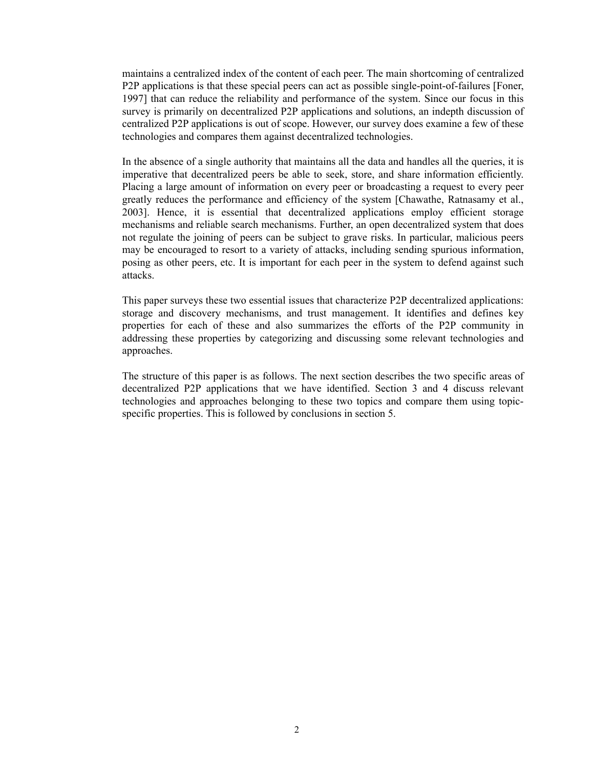maintains a centralized index of the content of each peer. The main shortcoming of centralized P2P applications is that these special peers can act as possible single-point-of-failures [Foner, 1997] that can reduce the reliability and performance of the system. Since our focus in this survey is primarily on decentralized P2P applications and solutions, an indepth discussion of centralized P2P applications is out of scope. However, our survey does examine a few of these technologies and compares them against decentralized technologies.

In the absence of a single authority that maintains all the data and handles all the queries, it is imperative that decentralized peers be able to seek, store, and share information efficiently. Placing a large amount of information on every peer or broadcasting a request to every peer greatly reduces the performance and efficiency of the system [Chawathe, Ratnasamy et al., 2003]. Hence, it is essential that decentralized applications employ efficient storage mechanisms and reliable search mechanisms. Further, an open decentralized system that does not regulate the joining of peers can be subject to grave risks. In particular, malicious peers may be encouraged to resort to a variety of attacks, including sending spurious information, posing as other peers, etc. It is important for each peer in the system to defend against such attacks.

This paper surveys these two essential issues that characterize P2P decentralized applications: storage and discovery mechanisms, and trust management. It identifies and defines key properties for each of these and also summarizes the efforts of the P2P community in addressing these properties by categorizing and discussing some relevant technologies and approaches.

The structure of this paper is as follows. The next section describes the two specific areas of decentralized P2P applications that we have identified. Section 3 and 4 discuss relevant technologies and approaches belonging to these two topics and compare them using topicspecific properties. This is followed by conclusions in section 5.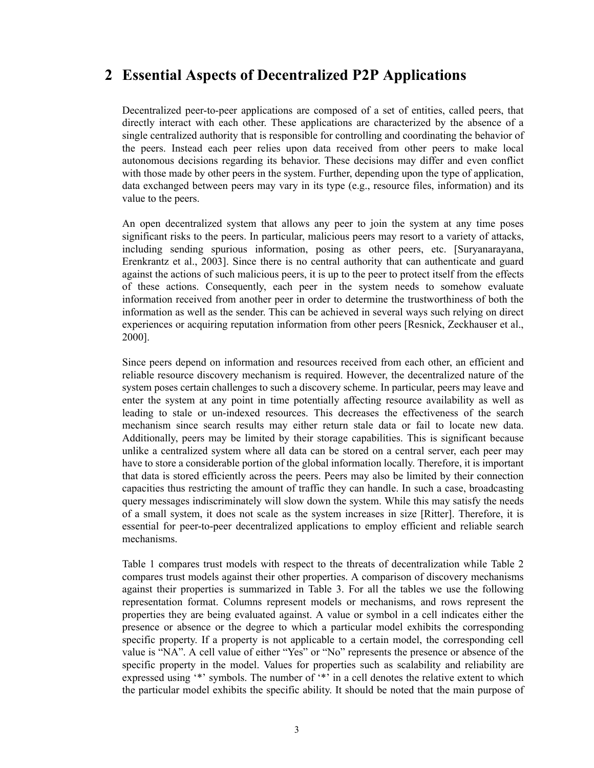# **2 Essential Aspects of Decentralized P2P Applications**

Decentralized peer-to-peer applications are composed of a set of entities, called peers, that directly interact with each other. These applications are characterized by the absence of a single centralized authority that is responsible for controlling and coordinating the behavior of the peers. Instead each peer relies upon data received from other peers to make local autonomous decisions regarding its behavior. These decisions may differ and even conflict with those made by other peers in the system. Further, depending upon the type of application, data exchanged between peers may vary in its type (e.g., resource files, information) and its value to the peers.

An open decentralized system that allows any peer to join the system at any time poses significant risks to the peers. In particular, malicious peers may resort to a variety of attacks, including sending spurious information, posing as other peers, etc. [Suryanarayana, Erenkrantz et al., 2003]. Since there is no central authority that can authenticate and guard against the actions of such malicious peers, it is up to the peer to protect itself from the effects of these actions. Consequently, each peer in the system needs to somehow evaluate information received from another peer in order to determine the trustworthiness of both the information as well as the sender. This can be achieved in several ways such relying on direct experiences or acquiring reputation information from other peers [Resnick, Zeckhauser et al., 2000].

Since peers depend on information and resources received from each other, an efficient and reliable resource discovery mechanism is required. However, the decentralized nature of the system poses certain challenges to such a discovery scheme. In particular, peers may leave and enter the system at any point in time potentially affecting resource availability as well as leading to stale or un-indexed resources. This decreases the effectiveness of the search mechanism since search results may either return stale data or fail to locate new data. Additionally, peers may be limited by their storage capabilities. This is significant because unlike a centralized system where all data can be stored on a central server, each peer may have to store a considerable portion of the global information locally. Therefore, it is important that data is stored efficiently across the peers. Peers may also be limited by their connection capacities thus restricting the amount of traffic they can handle. In such a case, broadcasting query messages indiscriminately will slow down the system. While this may satisfy the needs of a small system, it does not scale as the system increases in size [Ritter]. Therefore, it is essential for peer-to-peer decentralized applications to employ efficient and reliable search mechanisms.

Table 1 compares trust models with respect to the threats of decentralization while Table 2 compares trust models against their other properties. A comparison of discovery mechanisms against their properties is summarized in Table 3. For all the tables we use the following representation format. Columns represent models or mechanisms, and rows represent the properties they are being evaluated against. A value or symbol in a cell indicates either the presence or absence or the degree to which a particular model exhibits the corresponding specific property. If a property is not applicable to a certain model, the corresponding cell value is "NA". A cell value of either "Yes" or "No" represents the presence or absence of the specific property in the model. Values for properties such as scalability and reliability are expressed using "\*" symbols. The number of "\*" in a cell denotes the relative extent to which the particular model exhibits the specific ability. It should be noted that the main purpose of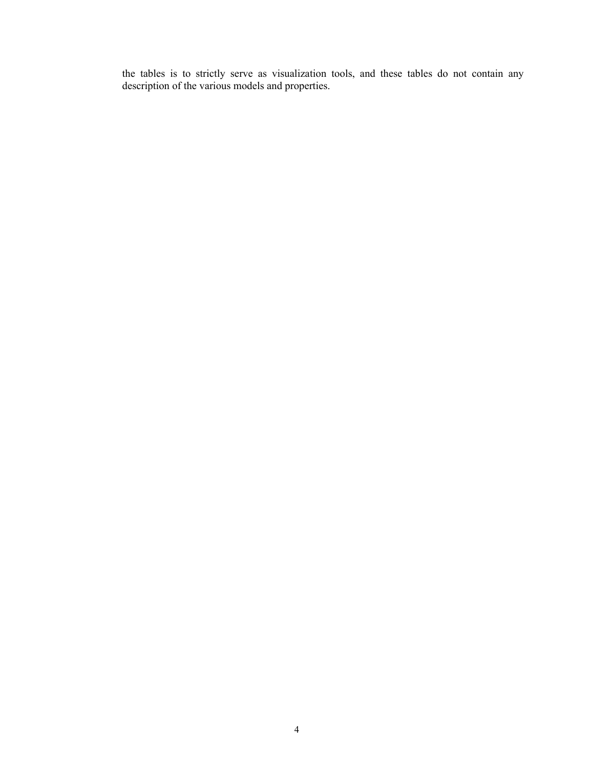the tables is to strictly serve as visualization tools, and these tables do not contain any description of the various models and properties.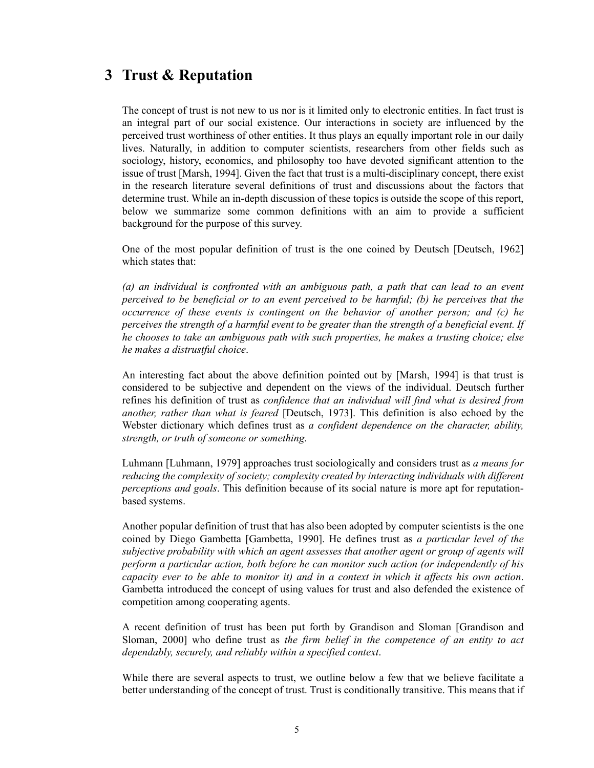# **3 Trust & Reputation**

The concept of trust is not new to us nor is it limited only to electronic entities. In fact trust is an integral part of our social existence. Our interactions in society are influenced by the perceived trust worthiness of other entities. It thus plays an equally important role in our daily lives. Naturally, in addition to computer scientists, researchers from other fields such as sociology, history, economics, and philosophy too have devoted significant attention to the issue of trust [Marsh, 1994]. Given the fact that trust is a multi-disciplinary concept, there exist in the research literature several definitions of trust and discussions about the factors that determine trust. While an in-depth discussion of these topics is outside the scope of this report, below we summarize some common definitions with an aim to provide a sufficient background for the purpose of this survey.

One of the most popular definition of trust is the one coined by Deutsch [Deutsch, 1962] which states that:

*(a) an individual is confronted with an ambiguous path, a path that can lead to an event perceived to be beneficial or to an event perceived to be harmful; (b) he perceives that the occurrence of these events is contingent on the behavior of another person; and (c) he perceives the strength of a harmful event to be greater than the strength of a beneficial event. If he chooses to take an ambiguous path with such properties, he makes a trusting choice; else he makes a distrustful choice*.

An interesting fact about the above definition pointed out by [Marsh, 1994] is that trust is considered to be subjective and dependent on the views of the individual. Deutsch further refines his definition of trust as *confidence that an individual will find what is desired from another, rather than what is feared* [Deutsch, 1973]. This definition is also echoed by the Webster dictionary which defines trust as *a confident dependence on the character, ability, strength, or truth of someone or something*.

Luhmann [Luhmann, 1979] approaches trust sociologically and considers trust as *a means for reducing the complexity of society; complexity created by interacting individuals with different perceptions and goals*. This definition because of its social nature is more apt for reputationbased systems.

Another popular definition of trust that has also been adopted by computer scientists is the one coined by Diego Gambetta [Gambetta, 1990]. He defines trust as *a particular level of the subjective probability with which an agent assesses that another agent or group of agents will perform a particular action, both before he can monitor such action (or independently of his capacity ever to be able to monitor it) and in a context in which it affects his own action*. Gambetta introduced the concept of using values for trust and also defended the existence of competition among cooperating agents.

A recent definition of trust has been put forth by Grandison and Sloman [Grandison and Sloman, 2000] who define trust as *the firm belief in the competence of an entity to act dependably, securely, and reliably within a specified context*.

While there are several aspects to trust, we outline below a few that we believe facilitate a better understanding of the concept of trust. Trust is conditionally transitive. This means that if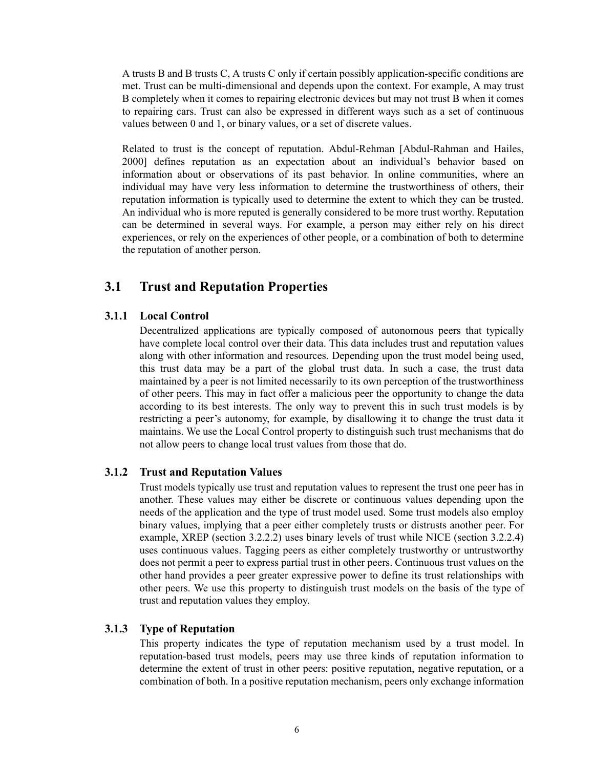A trusts B and B trusts C, A trusts C only if certain possibly application-specific conditions are met. Trust can be multi-dimensional and depends upon the context. For example, A may trust B completely when it comes to repairing electronic devices but may not trust B when it comes to repairing cars. Trust can also be expressed in different ways such as a set of continuous values between 0 and 1, or binary values, or a set of discrete values.

Related to trust is the concept of reputation. Abdul-Rehman [Abdul-Rahman and Hailes, 2000] defines reputation as an expectation about an individualís behavior based on information about or observations of its past behavior. In online communities, where an individual may have very less information to determine the trustworthiness of others, their reputation information is typically used to determine the extent to which they can be trusted. An individual who is more reputed is generally considered to be more trust worthy. Reputation can be determined in several ways. For example, a person may either rely on his direct experiences, or rely on the experiences of other people, or a combination of both to determine the reputation of another person.

# **3.1 Trust and Reputation Properties**

# **3.1.1 Local Control**

Decentralized applications are typically composed of autonomous peers that typically have complete local control over their data. This data includes trust and reputation values along with other information and resources. Depending upon the trust model being used, this trust data may be a part of the global trust data. In such a case, the trust data maintained by a peer is not limited necessarily to its own perception of the trustworthiness of other peers. This may in fact offer a malicious peer the opportunity to change the data according to its best interests. The only way to prevent this in such trust models is by restricting a peer's autonomy, for example, by disallowing it to change the trust data it maintains. We use the Local Control property to distinguish such trust mechanisms that do not allow peers to change local trust values from those that do.

# **3.1.2 Trust and Reputation Values**

Trust models typically use trust and reputation values to represent the trust one peer has in another. These values may either be discrete or continuous values depending upon the needs of the application and the type of trust model used. Some trust models also employ binary values, implying that a peer either completely trusts or distrusts another peer. For example, XREP (section 3.2.2.2) uses binary levels of trust while NICE (section 3.2.2.4) uses continuous values. Tagging peers as either completely trustworthy or untrustworthy does not permit a peer to express partial trust in other peers. Continuous trust values on the other hand provides a peer greater expressive power to define its trust relationships with other peers. We use this property to distinguish trust models on the basis of the type of trust and reputation values they employ.

# **3.1.3 Type of Reputation**

This property indicates the type of reputation mechanism used by a trust model. In reputation-based trust models, peers may use three kinds of reputation information to determine the extent of trust in other peers: positive reputation, negative reputation, or a combination of both. In a positive reputation mechanism, peers only exchange information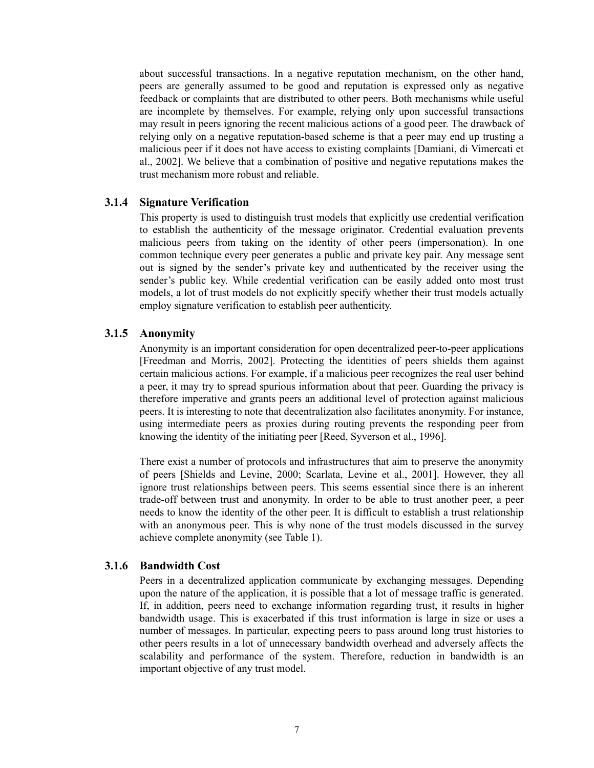about successful transactions. In a negative reputation mechanism, on the other hand, peers are generally assumed to be good and reputation is expressed only as negative feedback or complaints that are distributed to other peers. Both mechanisms while useful are incomplete by themselves. For example, relying only upon successful transactions may result in peers ignoring the recent malicious actions of a good peer. The drawback of relying only on a negative reputation-based scheme is that a peer may end up trusting a malicious peer if it does not have access to existing complaints [Damiani, di Vimercati et al., 2002]. We believe that a combination of positive and negative reputations makes the trust mechanism more robust and reliable.

# **3.1.4 Signature Verification**

This property is used to distinguish trust models that explicitly use credential verification to establish the authenticity of the message originator. Credential evaluation prevents malicious peers from taking on the identity of other peers (impersonation). In one common technique every peer generates a public and private key pair. Any message sent out is signed by the sender's private key and authenticated by the receiver using the sender's public key. While credential verification can be easily added onto most trust models, a lot of trust models do not explicitly specify whether their trust models actually employ signature verification to establish peer authenticity.

#### **3.1.5 Anonymity**

Anonymity is an important consideration for open decentralized peer-to-peer applications [Freedman and Morris, 2002]. Protecting the identities of peers shields them against certain malicious actions. For example, if a malicious peer recognizes the real user behind a peer, it may try to spread spurious information about that peer. Guarding the privacy is therefore imperative and grants peers an additional level of protection against malicious peers. It is interesting to note that decentralization also facilitates anonymity. For instance, using intermediate peers as proxies during routing prevents the responding peer from knowing the identity of the initiating peer [Reed, Syverson et al., 1996].

There exist a number of protocols and infrastructures that aim to preserve the anonymity of peers [Shields and Levine, 2000; Scarlata, Levine et al., 2001]. However, they all ignore trust relationships between peers. This seems essential since there is an inherent trade-off between trust and anonymity. In order to be able to trust another peer, a peer needs to know the identity of the other peer. It is difficult to establish a trust relationship with an anonymous peer. This is why none of the trust models discussed in the survey achieve complete anonymity (see Table 1).

## **3.1.6 Bandwidth Cost**

Peers in a decentralized application communicate by exchanging messages. Depending upon the nature of the application, it is possible that a lot of message traffic is generated. If, in addition, peers need to exchange information regarding trust, it results in higher bandwidth usage. This is exacerbated if this trust information is large in size or uses a number of messages. In particular, expecting peers to pass around long trust histories to other peers results in a lot of unnecessary bandwidth overhead and adversely affects the scalability and performance of the system. Therefore, reduction in bandwidth is an important objective of any trust model.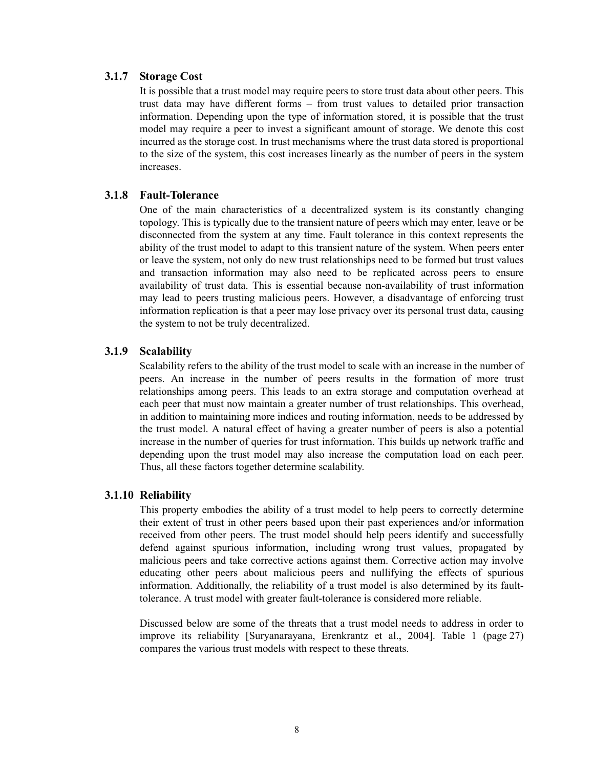# **3.1.7 Storage Cost**

It is possible that a trust model may require peers to store trust data about other peers. This trust data may have different forms – from trust values to detailed prior transaction information. Depending upon the type of information stored, it is possible that the trust model may require a peer to invest a significant amount of storage. We denote this cost incurred as the storage cost. In trust mechanisms where the trust data stored is proportional to the size of the system, this cost increases linearly as the number of peers in the system increases.

# **3.1.8 Fault-Tolerance**

One of the main characteristics of a decentralized system is its constantly changing topology. This is typically due to the transient nature of peers which may enter, leave or be disconnected from the system at any time. Fault tolerance in this context represents the ability of the trust model to adapt to this transient nature of the system. When peers enter or leave the system, not only do new trust relationships need to be formed but trust values and transaction information may also need to be replicated across peers to ensure availability of trust data. This is essential because non-availability of trust information may lead to peers trusting malicious peers. However, a disadvantage of enforcing trust information replication is that a peer may lose privacy over its personal trust data, causing the system to not be truly decentralized.

# **3.1.9 Scalability**

Scalability refers to the ability of the trust model to scale with an increase in the number of peers. An increase in the number of peers results in the formation of more trust relationships among peers. This leads to an extra storage and computation overhead at each peer that must now maintain a greater number of trust relationships. This overhead, in addition to maintaining more indices and routing information, needs to be addressed by the trust model. A natural effect of having a greater number of peers is also a potential increase in the number of queries for trust information. This builds up network traffic and depending upon the trust model may also increase the computation load on each peer. Thus, all these factors together determine scalability.

#### **3.1.10 Reliability**

This property embodies the ability of a trust model to help peers to correctly determine their extent of trust in other peers based upon their past experiences and/or information received from other peers. The trust model should help peers identify and successfully defend against spurious information, including wrong trust values, propagated by malicious peers and take corrective actions against them. Corrective action may involve educating other peers about malicious peers and nullifying the effects of spurious information. Additionally, the reliability of a trust model is also determined by its faulttolerance. A trust model with greater fault-tolerance is considered more reliable.

Discussed below are some of the threats that a trust model needs to address in order to improve its reliability [Suryanarayana, Erenkrantz et al., 2004]. Table 1 ([page 27](#page-28-0)) compares the various trust models with respect to these threats.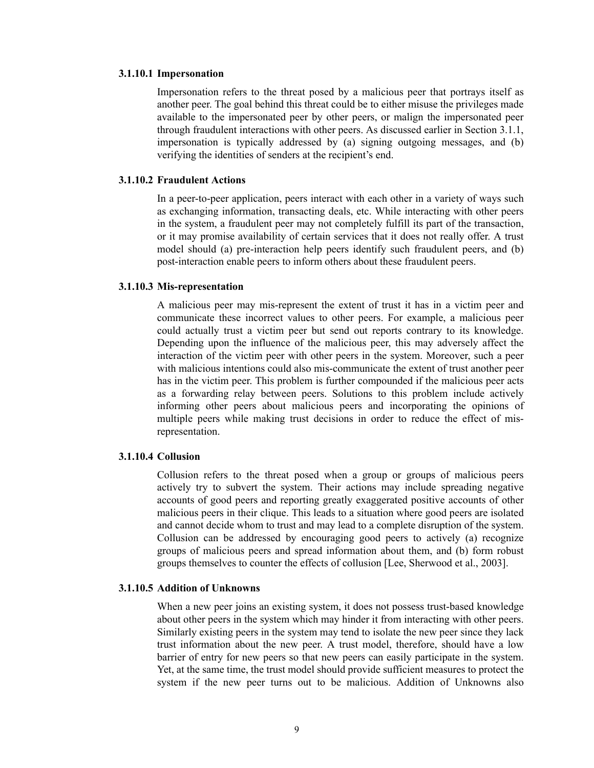#### **3.1.10.1 Impersonation**

Impersonation refers to the threat posed by a malicious peer that portrays itself as another peer. The goal behind this threat could be to either misuse the privileges made available to the impersonated peer by other peers, or malign the impersonated peer through fraudulent interactions with other peers. As discussed earlier in Section 3.1.1, impersonation is typically addressed by (a) signing outgoing messages, and (b) verifying the identities of senders at the recipient's end.

#### **3.1.10.2 Fraudulent Actions**

In a peer-to-peer application, peers interact with each other in a variety of ways such as exchanging information, transacting deals, etc. While interacting with other peers in the system, a fraudulent peer may not completely fulfill its part of the transaction, or it may promise availability of certain services that it does not really offer. A trust model should (a) pre-interaction help peers identify such fraudulent peers, and (b) post-interaction enable peers to inform others about these fraudulent peers.

#### **3.1.10.3 Mis-representation**

A malicious peer may mis-represent the extent of trust it has in a victim peer and communicate these incorrect values to other peers. For example, a malicious peer could actually trust a victim peer but send out reports contrary to its knowledge. Depending upon the influence of the malicious peer, this may adversely affect the interaction of the victim peer with other peers in the system. Moreover, such a peer with malicious intentions could also mis-communicate the extent of trust another peer has in the victim peer. This problem is further compounded if the malicious peer acts as a forwarding relay between peers. Solutions to this problem include actively informing other peers about malicious peers and incorporating the opinions of multiple peers while making trust decisions in order to reduce the effect of misrepresentation.

#### **3.1.10.4 Collusion**

Collusion refers to the threat posed when a group or groups of malicious peers actively try to subvert the system. Their actions may include spreading negative accounts of good peers and reporting greatly exaggerated positive accounts of other malicious peers in their clique. This leads to a situation where good peers are isolated and cannot decide whom to trust and may lead to a complete disruption of the system. Collusion can be addressed by encouraging good peers to actively (a) recognize groups of malicious peers and spread information about them, and (b) form robust groups themselves to counter the effects of collusion [Lee, Sherwood et al., 2003].

#### **3.1.10.5 Addition of Unknowns**

When a new peer joins an existing system, it does not possess trust-based knowledge about other peers in the system which may hinder it from interacting with other peers. Similarly existing peers in the system may tend to isolate the new peer since they lack trust information about the new peer. A trust model, therefore, should have a low barrier of entry for new peers so that new peers can easily participate in the system. Yet, at the same time, the trust model should provide sufficient measures to protect the system if the new peer turns out to be malicious. Addition of Unknowns also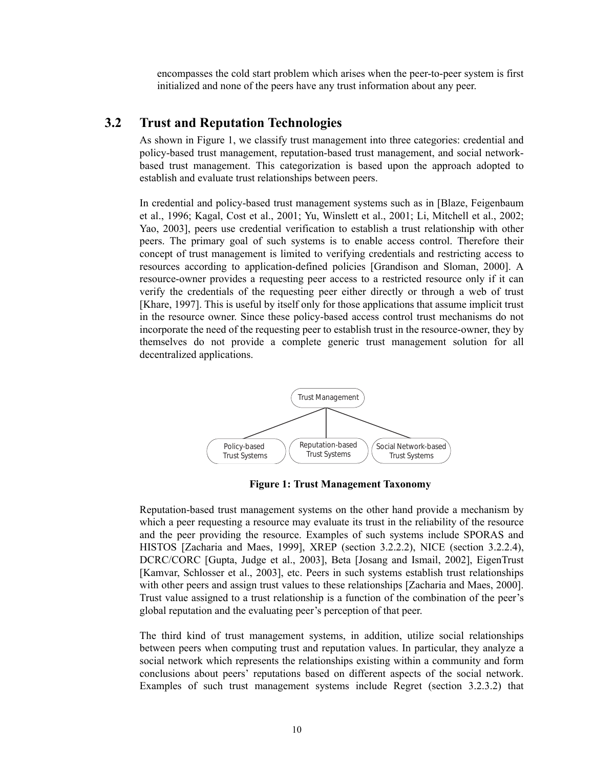encompasses the cold start problem which arises when the peer-to-peer system is first initialized and none of the peers have any trust information about any peer.

# **3.2 Trust and Reputation Technologies**

As shown in Figure 1, we classify trust management into three categories: credential and policy-based trust management, reputation-based trust management, and social networkbased trust management. This categorization is based upon the approach adopted to establish and evaluate trust relationships between peers.

In credential and policy-based trust management systems such as in [Blaze, Feigenbaum et al., 1996; Kagal, Cost et al., 2001; Yu, Winslett et al., 2001; Li, Mitchell et al., 2002; Yao, 2003], peers use credential verification to establish a trust relationship with other peers. The primary goal of such systems is to enable access control. Therefore their concept of trust management is limited to verifying credentials and restricting access to resources according to application-defined policies [Grandison and Sloman, 2000]. A resource-owner provides a requesting peer access to a restricted resource only if it can verify the credentials of the requesting peer either directly or through a web of trust [Khare, 1997]. This is useful by itself only for those applications that assume implicit trust in the resource owner. Since these policy-based access control trust mechanisms do not incorporate the need of the requesting peer to establish trust in the resource-owner, they by themselves do not provide a complete generic trust management solution for all decentralized applications.



**Figure 1: Trust Management Taxonomy**

Reputation-based trust management systems on the other hand provide a mechanism by which a peer requesting a resource may evaluate its trust in the reliability of the resource and the peer providing the resource. Examples of such systems include SPORAS and HISTOS [Zacharia and Maes, 1999], XREP (section 3.2.2.2), NICE (section 3.2.2.4), DCRC/CORC [Gupta, Judge et al., 2003], Beta [Josang and Ismail, 2002], EigenTrust [Kamvar, Schlosser et al., 2003], etc. Peers in such systems establish trust relationships with other peers and assign trust values to these relationships [Zacharia and Maes, 2000]. Trust value assigned to a trust relationship is a function of the combination of the peerís global reputation and the evaluating peer's perception of that peer.

The third kind of trust management systems, in addition, utilize social relationships between peers when computing trust and reputation values. In particular, they analyze a social network which represents the relationships existing within a community and form conclusions about peers' reputations based on different aspects of the social network. Examples of such trust management systems include Regret (section 3.2.3.2) that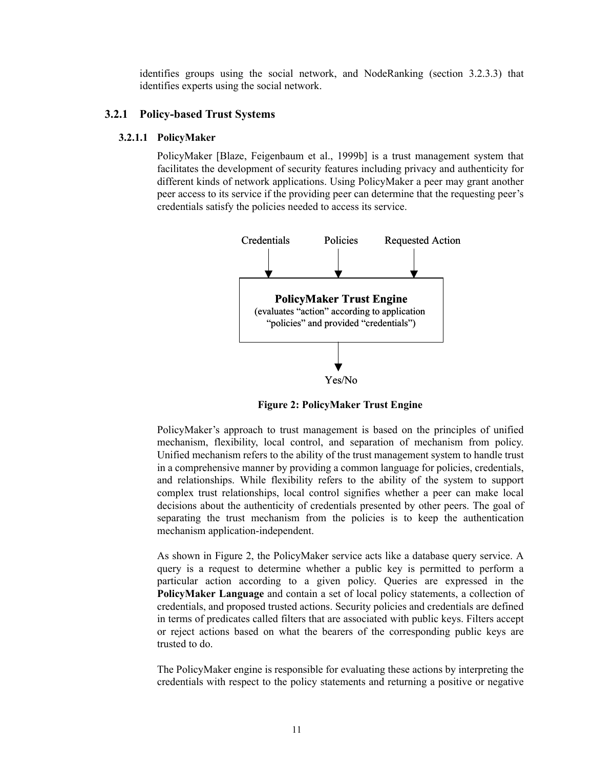identifies groups using the social network, and NodeRanking (section 3.2.3.3) that identifies experts using the social network.

# **3.2.1 Policy-based Trust Systems**

#### **3.2.1.1 PolicyMaker**

PolicyMaker [Blaze, Feigenbaum et al., 1999b] is a trust management system that facilitates the development of security features including privacy and authenticity for different kinds of network applications. Using PolicyMaker a peer may grant another peer access to its service if the providing peer can determine that the requesting peerís credentials satisfy the policies needed to access its service.



**Figure 2: PolicyMaker Trust Engine**

PolicyMaker's approach to trust management is based on the principles of unified mechanism, flexibility, local control, and separation of mechanism from policy. Unified mechanism refers to the ability of the trust management system to handle trust in a comprehensive manner by providing a common language for policies, credentials, and relationships. While flexibility refers to the ability of the system to support complex trust relationships, local control signifies whether a peer can make local decisions about the authenticity of credentials presented by other peers. The goal of separating the trust mechanism from the policies is to keep the authentication mechanism application-independent.

As shown in Figure 2, the PolicyMaker service acts like a database query service. A query is a request to determine whether a public key is permitted to perform a particular action according to a given policy. Queries are expressed in the **PolicyMaker Language** and contain a set of local policy statements, a collection of credentials, and proposed trusted actions. Security policies and credentials are defined in terms of predicates called filters that are associated with public keys. Filters accept or reject actions based on what the bearers of the corresponding public keys are trusted to do.

The PolicyMaker engine is responsible for evaluating these actions by interpreting the credentials with respect to the policy statements and returning a positive or negative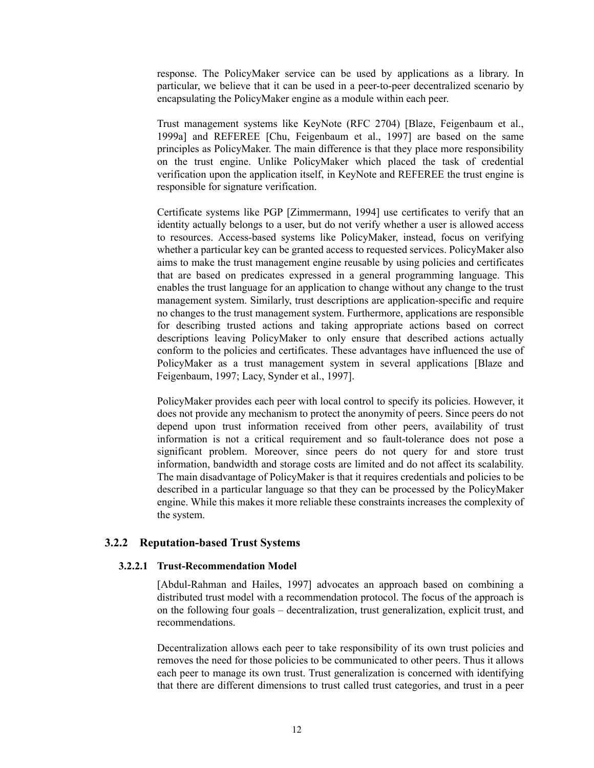response. The PolicyMaker service can be used by applications as a library. In particular, we believe that it can be used in a peer-to-peer decentralized scenario by encapsulating the PolicyMaker engine as a module within each peer.

Trust management systems like KeyNote (RFC 2704) [Blaze, Feigenbaum et al., 1999a] and REFEREE [Chu, Feigenbaum et al., 1997] are based on the same principles as PolicyMaker. The main difference is that they place more responsibility on the trust engine. Unlike PolicyMaker which placed the task of credential verification upon the application itself, in KeyNote and REFEREE the trust engine is responsible for signature verification.

Certificate systems like PGP [Zimmermann, 1994] use certificates to verify that an identity actually belongs to a user, but do not verify whether a user is allowed access to resources. Access-based systems like PolicyMaker, instead, focus on verifying whether a particular key can be granted access to requested services. PolicyMaker also aims to make the trust management engine reusable by using policies and certificates that are based on predicates expressed in a general programming language. This enables the trust language for an application to change without any change to the trust management system. Similarly, trust descriptions are application-specific and require no changes to the trust management system. Furthermore, applications are responsible for describing trusted actions and taking appropriate actions based on correct descriptions leaving PolicyMaker to only ensure that described actions actually conform to the policies and certificates. These advantages have influenced the use of PolicyMaker as a trust management system in several applications [Blaze and Feigenbaum, 1997; Lacy, Synder et al., 1997].

PolicyMaker provides each peer with local control to specify its policies. However, it does not provide any mechanism to protect the anonymity of peers. Since peers do not depend upon trust information received from other peers, availability of trust information is not a critical requirement and so fault-tolerance does not pose a significant problem. Moreover, since peers do not query for and store trust information, bandwidth and storage costs are limited and do not affect its scalability. The main disadvantage of PolicyMaker is that it requires credentials and policies to be described in a particular language so that they can be processed by the PolicyMaker engine. While this makes it more reliable these constraints increases the complexity of the system.

# **3.2.2 Reputation-based Trust Systems**

#### **3.2.2.1 Trust-Recommendation Model**

[Abdul-Rahman and Hailes, 1997] advocates an approach based on combining a distributed trust model with a recommendation protocol. The focus of the approach is on the following four goals – decentralization, trust generalization, explicit trust, and recommendations.

Decentralization allows each peer to take responsibility of its own trust policies and removes the need for those policies to be communicated to other peers. Thus it allows each peer to manage its own trust. Trust generalization is concerned with identifying that there are different dimensions to trust called trust categories, and trust in a peer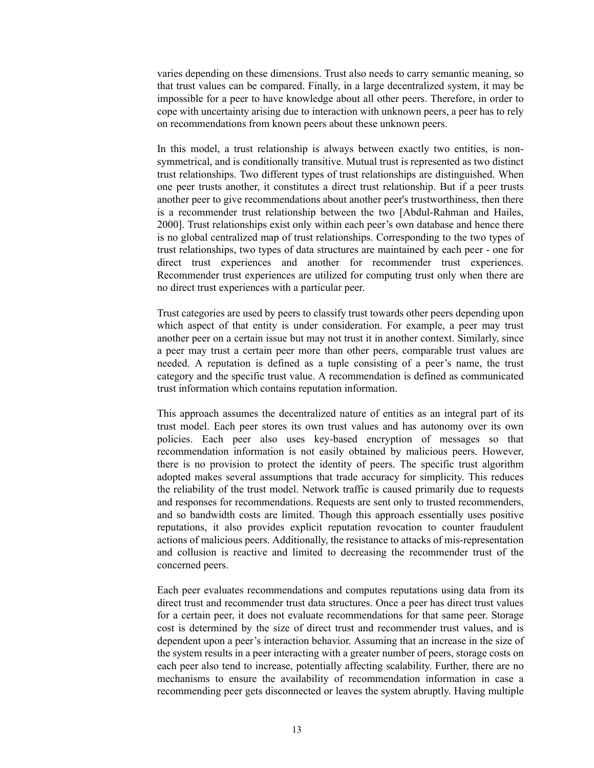varies depending on these dimensions. Trust also needs to carry semantic meaning, so that trust values can be compared. Finally, in a large decentralized system, it may be impossible for a peer to have knowledge about all other peers. Therefore, in order to cope with uncertainty arising due to interaction with unknown peers, a peer has to rely on recommendations from known peers about these unknown peers.

In this model, a trust relationship is always between exactly two entities, is nonsymmetrical, and is conditionally transitive. Mutual trust is represented as two distinct trust relationships. Two different types of trust relationships are distinguished. When one peer trusts another, it constitutes a direct trust relationship. But if a peer trusts another peer to give recommendations about another peer's trustworthiness, then there is a recommender trust relationship between the two [Abdul-Rahman and Hailes, 2000]. Trust relationships exist only within each peer's own database and hence there is no global centralized map of trust relationships. Corresponding to the two types of trust relationships, two types of data structures are maintained by each peer - one for direct trust experiences and another for recommender trust experiences. Recommender trust experiences are utilized for computing trust only when there are no direct trust experiences with a particular peer.

Trust categories are used by peers to classify trust towards other peers depending upon which aspect of that entity is under consideration. For example, a peer may trust another peer on a certain issue but may not trust it in another context. Similarly, since a peer may trust a certain peer more than other peers, comparable trust values are needed. A reputation is defined as a tuple consisting of a peer's name, the trust category and the specific trust value. A recommendation is defined as communicated trust information which contains reputation information.

This approach assumes the decentralized nature of entities as an integral part of its trust model. Each peer stores its own trust values and has autonomy over its own policies. Each peer also uses key-based encryption of messages so that recommendation information is not easily obtained by malicious peers. However, there is no provision to protect the identity of peers. The specific trust algorithm adopted makes several assumptions that trade accuracy for simplicity. This reduces the reliability of the trust model. Network traffic is caused primarily due to requests and responses for recommendations. Requests are sent only to trusted recommenders, and so bandwidth costs are limited. Though this approach essentially uses positive reputations, it also provides explicit reputation revocation to counter fraudulent actions of malicious peers. Additionally, the resistance to attacks of mis-representation and collusion is reactive and limited to decreasing the recommender trust of the concerned peers.

Each peer evaluates recommendations and computes reputations using data from its direct trust and recommender trust data structures. Once a peer has direct trust values for a certain peer, it does not evaluate recommendations for that same peer. Storage cost is determined by the size of direct trust and recommender trust values, and is dependent upon a peer's interaction behavior. Assuming that an increase in the size of the system results in a peer interacting with a greater number of peers, storage costs on each peer also tend to increase, potentially affecting scalability. Further, there are no mechanisms to ensure the availability of recommendation information in case a recommending peer gets disconnected or leaves the system abruptly. Having multiple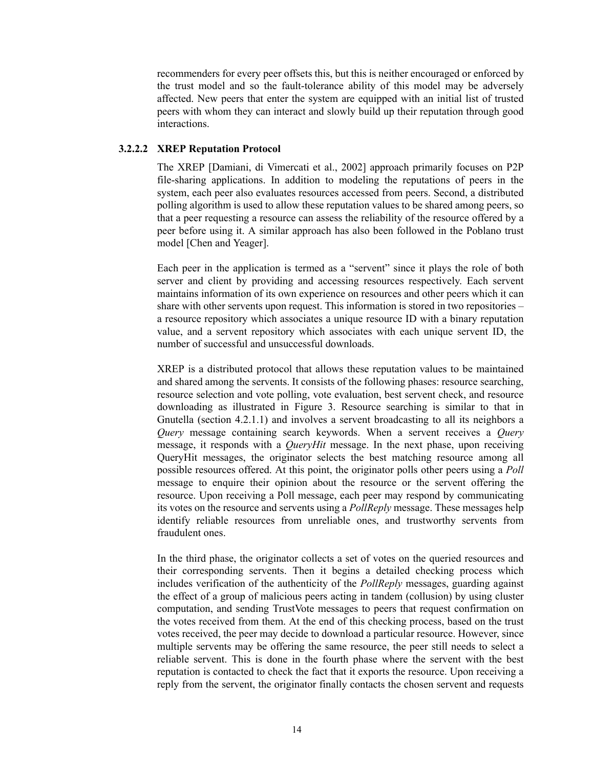recommenders for every peer offsets this, but this is neither encouraged or enforced by the trust model and so the fault-tolerance ability of this model may be adversely affected. New peers that enter the system are equipped with an initial list of trusted peers with whom they can interact and slowly build up their reputation through good interactions.

# **3.2.2.2 XREP Reputation Protocol**

The XREP [Damiani, di Vimercati et al., 2002] approach primarily focuses on P2P file-sharing applications. In addition to modeling the reputations of peers in the system, each peer also evaluates resources accessed from peers. Second, a distributed polling algorithm is used to allow these reputation values to be shared among peers, so that a peer requesting a resource can assess the reliability of the resource offered by a peer before using it. A similar approach has also been followed in the Poblano trust model [Chen and Yeager].

Each peer in the application is termed as a "servent" since it plays the role of both server and client by providing and accessing resources respectively. Each servent maintains information of its own experience on resources and other peers which it can share with other servents upon request. This information is stored in two repositories  $$ a resource repository which associates a unique resource ID with a binary reputation value, and a servent repository which associates with each unique servent ID, the number of successful and unsuccessful downloads.

XREP is a distributed protocol that allows these reputation values to be maintained and shared among the servents. It consists of the following phases: resource searching, resource selection and vote polling, vote evaluation, best servent check, and resource downloading as illustrated in Figure 3. Resource searching is similar to that in Gnutella (section 4.2.1.1) and involves a servent broadcasting to all its neighbors a *Query* message containing search keywords. When a servent receives a *Query* message, it responds with a *QueryHit* message. In the next phase, upon receiving QueryHit messages, the originator selects the best matching resource among all possible resources offered. At this point, the originator polls other peers using a *Poll* message to enquire their opinion about the resource or the servent offering the resource. Upon receiving a Poll message, each peer may respond by communicating its votes on the resource and servents using a *PollReply* message. These messages help identify reliable resources from unreliable ones, and trustworthy servents from fraudulent ones.

In the third phase, the originator collects a set of votes on the queried resources and their corresponding servents. Then it begins a detailed checking process which includes verification of the authenticity of the *PollReply* messages, guarding against the effect of a group of malicious peers acting in tandem (collusion) by using cluster computation, and sending TrustVote messages to peers that request confirmation on the votes received from them. At the end of this checking process, based on the trust votes received, the peer may decide to download a particular resource. However, since multiple servents may be offering the same resource, the peer still needs to select a reliable servent. This is done in the fourth phase where the servent with the best reputation is contacted to check the fact that it exports the resource. Upon receiving a reply from the servent, the originator finally contacts the chosen servent and requests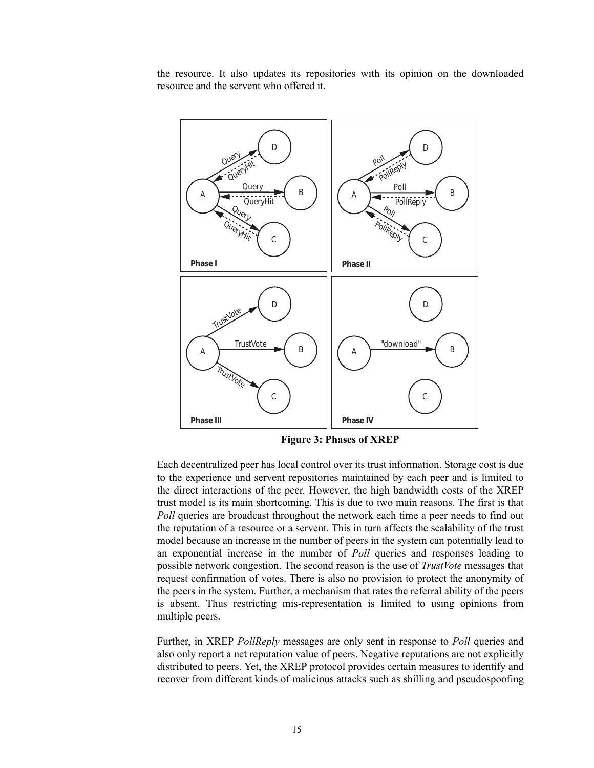the resource. It also updates its repositories with its opinion on the downloaded resource and the servent who offered it.



**Figure 3: Phases of XREP**

Each decentralized peer has local control over its trust information. Storage cost is due to the experience and servent repositories maintained by each peer and is limited to the direct interactions of the peer. However, the high bandwidth costs of the XREP trust model is its main shortcoming. This is due to two main reasons. The first is that *Poll* queries are broadcast throughout the network each time a peer needs to find out the reputation of a resource or a servent. This in turn affects the scalability of the trust model because an increase in the number of peers in the system can potentially lead to an exponential increase in the number of *Poll* queries and responses leading to possible network congestion. The second reason is the use of *TrustVote* messages that request confirmation of votes. There is also no provision to protect the anonymity of the peers in the system. Further, a mechanism that rates the referral ability of the peers is absent. Thus restricting mis-representation is limited to using opinions from multiple peers.

Further, in XREP *PollReply* messages are only sent in response to *Poll* queries and also only report a net reputation value of peers. Negative reputations are not explicitly distributed to peers. Yet, the XREP protocol provides certain measures to identify and recover from different kinds of malicious attacks such as shilling and pseudospoofing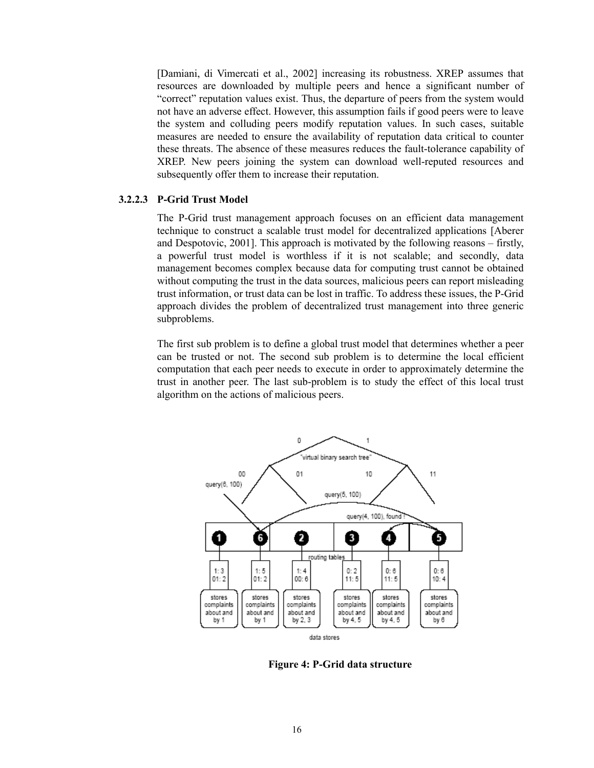[Damiani, di Vimercati et al., 2002] increasing its robustness. XREP assumes that resources are downloaded by multiple peers and hence a significant number of ìcorrectî reputation values exist. Thus, the departure of peers from the system would not have an adverse effect. However, this assumption fails if good peers were to leave the system and colluding peers modify reputation values. In such cases, suitable measures are needed to ensure the availability of reputation data critical to counter these threats. The absence of these measures reduces the fault-tolerance capability of XREP. New peers joining the system can download well-reputed resources and subsequently offer them to increase their reputation.

#### **3.2.2.3 P-Grid Trust Model**

The P-Grid trust management approach focuses on an efficient data management technique to construct a scalable trust model for decentralized applications [Aberer and Despotovic, 2001]. This approach is motivated by the following reasons  $-$  firstly, a powerful trust model is worthless if it is not scalable; and secondly, data management becomes complex because data for computing trust cannot be obtained without computing the trust in the data sources, malicious peers can report misleading trust information, or trust data can be lost in traffic. To address these issues, the P-Grid approach divides the problem of decentralized trust management into three generic subproblems.

The first sub problem is to define a global trust model that determines whether a peer can be trusted or not. The second sub problem is to determine the local efficient computation that each peer needs to execute in order to approximately determine the trust in another peer. The last sub-problem is to study the effect of this local trust algorithm on the actions of malicious peers.



**Figure 4: P-Grid data structure**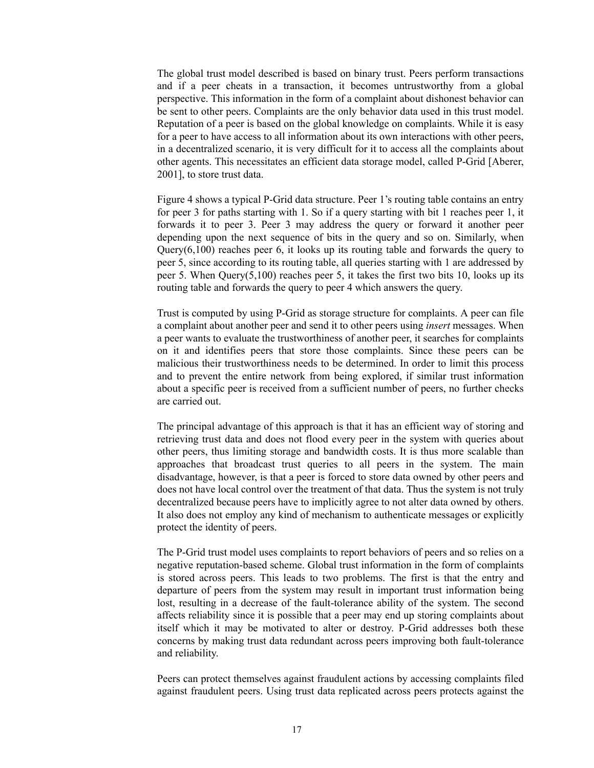The global trust model described is based on binary trust. Peers perform transactions and if a peer cheats in a transaction, it becomes untrustworthy from a global perspective. This information in the form of a complaint about dishonest behavior can be sent to other peers. Complaints are the only behavior data used in this trust model. Reputation of a peer is based on the global knowledge on complaints. While it is easy for a peer to have access to all information about its own interactions with other peers, in a decentralized scenario, it is very difficult for it to access all the complaints about other agents. This necessitates an efficient data storage model, called P-Grid [Aberer, 2001], to store trust data.

Figure 4 shows a typical P-Grid data structure. Peer 1's routing table contains an entry for peer 3 for paths starting with 1. So if a query starting with bit 1 reaches peer 1, it forwards it to peer 3. Peer 3 may address the query or forward it another peer depending upon the next sequence of bits in the query and so on. Similarly, when Query(6,100) reaches peer 6, it looks up its routing table and forwards the query to peer 5, since according to its routing table, all queries starting with 1 are addressed by peer 5. When Query $(5,100)$  reaches peer 5, it takes the first two bits 10, looks up its routing table and forwards the query to peer 4 which answers the query.

Trust is computed by using P-Grid as storage structure for complaints. A peer can file a complaint about another peer and send it to other peers using *insert* messages. When a peer wants to evaluate the trustworthiness of another peer, it searches for complaints on it and identifies peers that store those complaints. Since these peers can be malicious their trustworthiness needs to be determined. In order to limit this process and to prevent the entire network from being explored, if similar trust information about a specific peer is received from a sufficient number of peers, no further checks are carried out.

The principal advantage of this approach is that it has an efficient way of storing and retrieving trust data and does not flood every peer in the system with queries about other peers, thus limiting storage and bandwidth costs. It is thus more scalable than approaches that broadcast trust queries to all peers in the system. The main disadvantage, however, is that a peer is forced to store data owned by other peers and does not have local control over the treatment of that data. Thus the system is not truly decentralized because peers have to implicitly agree to not alter data owned by others. It also does not employ any kind of mechanism to authenticate messages or explicitly protect the identity of peers.

The P-Grid trust model uses complaints to report behaviors of peers and so relies on a negative reputation-based scheme. Global trust information in the form of complaints is stored across peers. This leads to two problems. The first is that the entry and departure of peers from the system may result in important trust information being lost, resulting in a decrease of the fault-tolerance ability of the system. The second affects reliability since it is possible that a peer may end up storing complaints about itself which it may be motivated to alter or destroy. P-Grid addresses both these concerns by making trust data redundant across peers improving both fault-tolerance and reliability.

Peers can protect themselves against fraudulent actions by accessing complaints filed against fraudulent peers. Using trust data replicated across peers protects against the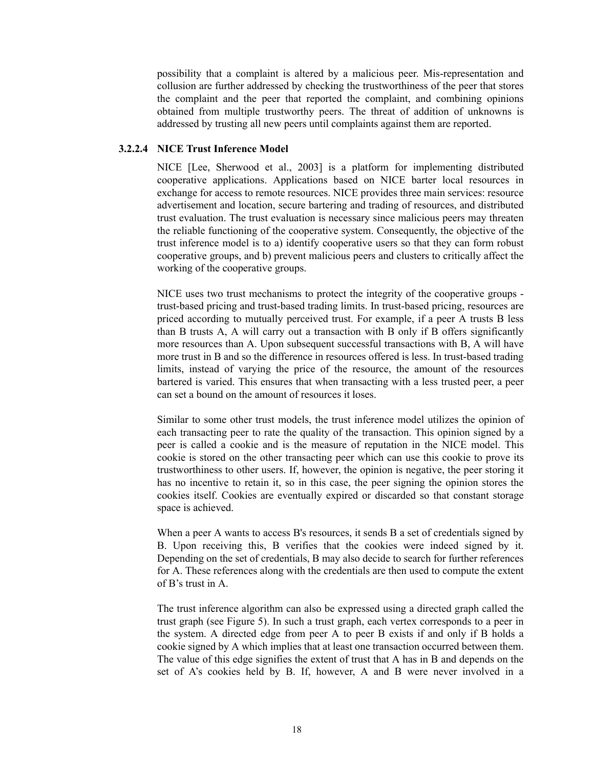possibility that a complaint is altered by a malicious peer. Mis-representation and collusion are further addressed by checking the trustworthiness of the peer that stores the complaint and the peer that reported the complaint, and combining opinions obtained from multiple trustworthy peers. The threat of addition of unknowns is addressed by trusting all new peers until complaints against them are reported.

# **3.2.2.4 NICE Trust Inference Model**

NICE [Lee, Sherwood et al., 2003] is a platform for implementing distributed cooperative applications. Applications based on NICE barter local resources in exchange for access to remote resources. NICE provides three main services: resource advertisement and location, secure bartering and trading of resources, and distributed trust evaluation. The trust evaluation is necessary since malicious peers may threaten the reliable functioning of the cooperative system. Consequently, the objective of the trust inference model is to a) identify cooperative users so that they can form robust cooperative groups, and b) prevent malicious peers and clusters to critically affect the working of the cooperative groups.

NICE uses two trust mechanisms to protect the integrity of the cooperative groups trust-based pricing and trust-based trading limits. In trust-based pricing, resources are priced according to mutually perceived trust. For example, if a peer A trusts B less than B trusts A, A will carry out a transaction with B only if B offers significantly more resources than A. Upon subsequent successful transactions with B, A will have more trust in B and so the difference in resources offered is less. In trust-based trading limits, instead of varying the price of the resource, the amount of the resources bartered is varied. This ensures that when transacting with a less trusted peer, a peer can set a bound on the amount of resources it loses.

Similar to some other trust models, the trust inference model utilizes the opinion of each transacting peer to rate the quality of the transaction. This opinion signed by a peer is called a cookie and is the measure of reputation in the NICE model. This cookie is stored on the other transacting peer which can use this cookie to prove its trustworthiness to other users. If, however, the opinion is negative, the peer storing it has no incentive to retain it, so in this case, the peer signing the opinion stores the cookies itself. Cookies are eventually expired or discarded so that constant storage space is achieved.

When a peer A wants to access B's resources, it sends B a set of credentials signed by B. Upon receiving this, B verifies that the cookies were indeed signed by it. Depending on the set of credentials, B may also decide to search for further references for A. These references along with the credentials are then used to compute the extent of  $B$ 's trust in  $A$ .

The trust inference algorithm can also be expressed using a directed graph called the trust graph (see Figure 5). In such a trust graph, each vertex corresponds to a peer in the system. A directed edge from peer A to peer B exists if and only if B holds a cookie signed by A which implies that at least one transaction occurred between them. The value of this edge signifies the extent of trust that A has in B and depends on the set of Aís cookies held by B. If, however, A and B were never involved in a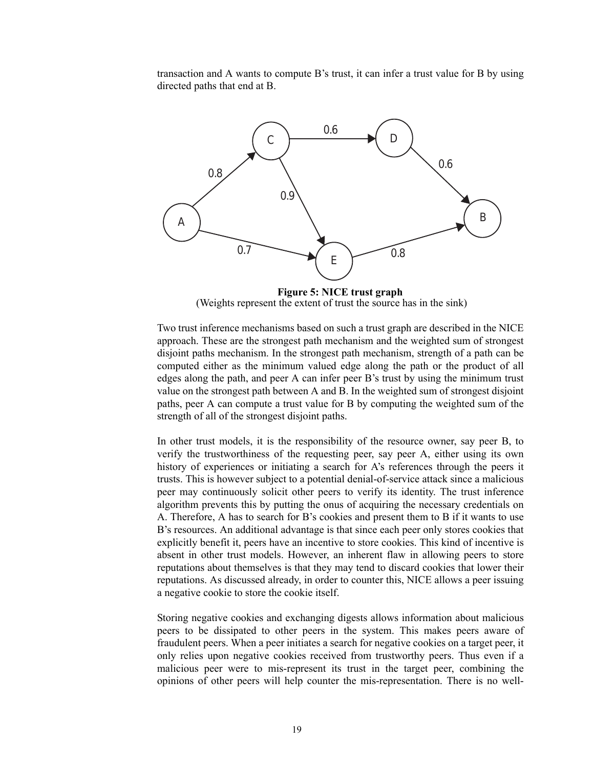transaction and A wants to compute B's trust, it can infer a trust value for B by using directed paths that end at B.



**Figure 5: NICE trust graph**  (Weights represent the extent of trust the source has in the sink)

Two trust inference mechanisms based on such a trust graph are described in the NICE approach. These are the strongest path mechanism and the weighted sum of strongest disjoint paths mechanism. In the strongest path mechanism, strength of a path can be computed either as the minimum valued edge along the path or the product of all edges along the path, and peer A can infer peer B's trust by using the minimum trust value on the strongest path between A and B. In the weighted sum of strongest disjoint paths, peer A can compute a trust value for B by computing the weighted sum of the strength of all of the strongest disjoint paths.

In other trust models, it is the responsibility of the resource owner, say peer B, to verify the trustworthiness of the requesting peer, say peer A, either using its own history of experiences or initiating a search for A's references through the peers it trusts. This is however subject to a potential denial-of-service attack since a malicious peer may continuously solicit other peers to verify its identity. The trust inference algorithm prevents this by putting the onus of acquiring the necessary credentials on A. Therefore, A has to search for Bís cookies and present them to B if it wants to use B's resources. An additional advantage is that since each peer only stores cookies that explicitly benefit it, peers have an incentive to store cookies. This kind of incentive is absent in other trust models. However, an inherent flaw in allowing peers to store reputations about themselves is that they may tend to discard cookies that lower their reputations. As discussed already, in order to counter this, NICE allows a peer issuing a negative cookie to store the cookie itself.

Storing negative cookies and exchanging digests allows information about malicious peers to be dissipated to other peers in the system. This makes peers aware of fraudulent peers. When a peer initiates a search for negative cookies on a target peer, it only relies upon negative cookies received from trustworthy peers. Thus even if a malicious peer were to mis-represent its trust in the target peer, combining the opinions of other peers will help counter the mis-representation. There is no well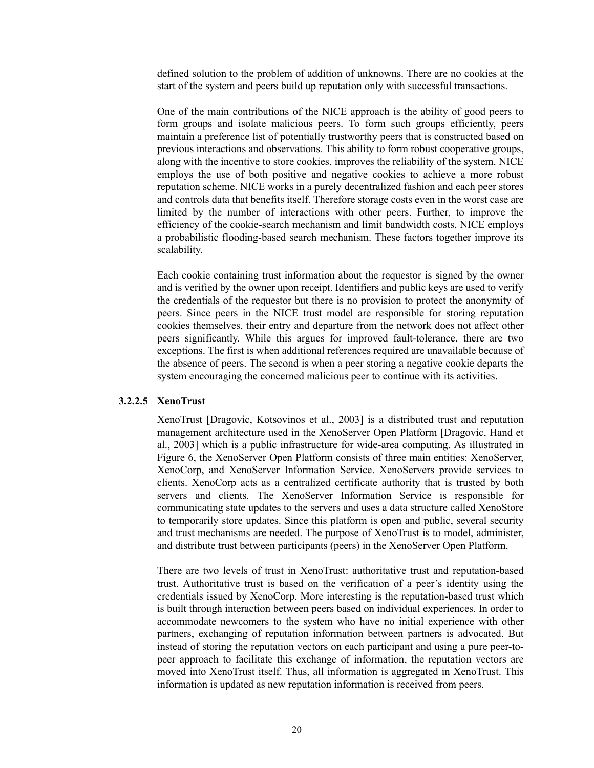defined solution to the problem of addition of unknowns. There are no cookies at the start of the system and peers build up reputation only with successful transactions.

One of the main contributions of the NICE approach is the ability of good peers to form groups and isolate malicious peers. To form such groups efficiently, peers maintain a preference list of potentially trustworthy peers that is constructed based on previous interactions and observations. This ability to form robust cooperative groups, along with the incentive to store cookies, improves the reliability of the system. NICE employs the use of both positive and negative cookies to achieve a more robust reputation scheme. NICE works in a purely decentralized fashion and each peer stores and controls data that benefits itself. Therefore storage costs even in the worst case are limited by the number of interactions with other peers. Further, to improve the efficiency of the cookie-search mechanism and limit bandwidth costs, NICE employs a probabilistic flooding-based search mechanism. These factors together improve its scalability.

Each cookie containing trust information about the requestor is signed by the owner and is verified by the owner upon receipt. Identifiers and public keys are used to verify the credentials of the requestor but there is no provision to protect the anonymity of peers. Since peers in the NICE trust model are responsible for storing reputation cookies themselves, their entry and departure from the network does not affect other peers significantly. While this argues for improved fault-tolerance, there are two exceptions. The first is when additional references required are unavailable because of the absence of peers. The second is when a peer storing a negative cookie departs the system encouraging the concerned malicious peer to continue with its activities.

#### **3.2.2.5 XenoTrust**

XenoTrust [Dragovic, Kotsovinos et al., 2003] is a distributed trust and reputation management architecture used in the XenoServer Open Platform [Dragovic, Hand et al., 2003] which is a public infrastructure for wide-area computing. As illustrated in Figure 6, the XenoServer Open Platform consists of three main entities: XenoServer, XenoCorp, and XenoServer Information Service. XenoServers provide services to clients. XenoCorp acts as a centralized certificate authority that is trusted by both servers and clients. The XenoServer Information Service is responsible for communicating state updates to the servers and uses a data structure called XenoStore to temporarily store updates. Since this platform is open and public, several security and trust mechanisms are needed. The purpose of XenoTrust is to model, administer, and distribute trust between participants (peers) in the XenoServer Open Platform.

There are two levels of trust in XenoTrust: authoritative trust and reputation-based trust. Authoritative trust is based on the verification of a peerís identity using the credentials issued by XenoCorp. More interesting is the reputation-based trust which is built through interaction between peers based on individual experiences. In order to accommodate newcomers to the system who have no initial experience with other partners, exchanging of reputation information between partners is advocated. But instead of storing the reputation vectors on each participant and using a pure peer-topeer approach to facilitate this exchange of information, the reputation vectors are moved into XenoTrust itself. Thus, all information is aggregated in XenoTrust. This information is updated as new reputation information is received from peers.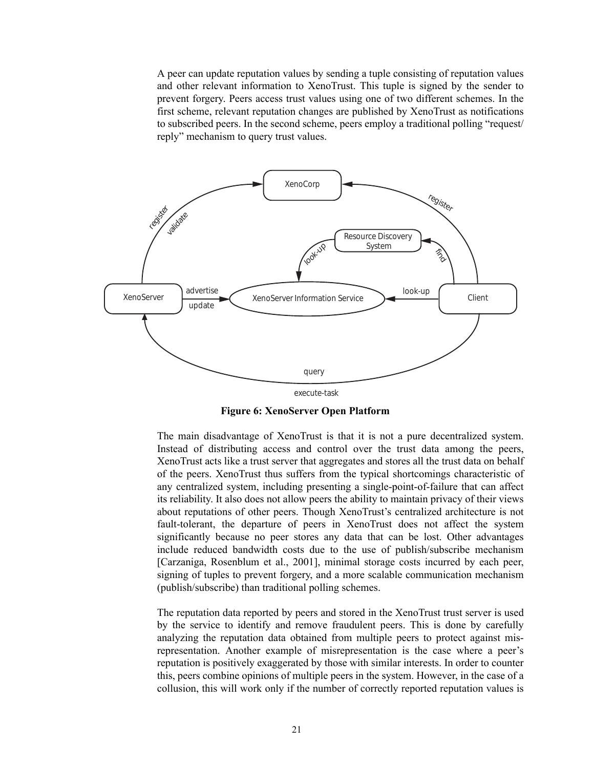A peer can update reputation values by sending a tuple consisting of reputation values and other relevant information to XenoTrust. This tuple is signed by the sender to prevent forgery. Peers access trust values using one of two different schemes. In the first scheme, relevant reputation changes are published by XenoTrust as notifications to subscribed peers. In the second scheme, peers employ a traditional polling "request" reply" mechanism to query trust values.



execute-task

**Figure 6: XenoServer Open Platform**

The main disadvantage of XenoTrust is that it is not a pure decentralized system. Instead of distributing access and control over the trust data among the peers, XenoTrust acts like a trust server that aggregates and stores all the trust data on behalf of the peers. XenoTrust thus suffers from the typical shortcomings characteristic of any centralized system, including presenting a single-point-of-failure that can affect its reliability. It also does not allow peers the ability to maintain privacy of their views about reputations of other peers. Though XenoTrust's centralized architecture is not fault-tolerant, the departure of peers in XenoTrust does not affect the system significantly because no peer stores any data that can be lost. Other advantages include reduced bandwidth costs due to the use of publish/subscribe mechanism [Carzaniga, Rosenblum et al., 2001], minimal storage costs incurred by each peer, signing of tuples to prevent forgery, and a more scalable communication mechanism (publish/subscribe) than traditional polling schemes.

The reputation data reported by peers and stored in the XenoTrust trust server is used by the service to identify and remove fraudulent peers. This is done by carefully analyzing the reputation data obtained from multiple peers to protect against misrepresentation. Another example of misrepresentation is the case where a peer's reputation is positively exaggerated by those with similar interests. In order to counter this, peers combine opinions of multiple peers in the system. However, in the case of a collusion, this will work only if the number of correctly reported reputation values is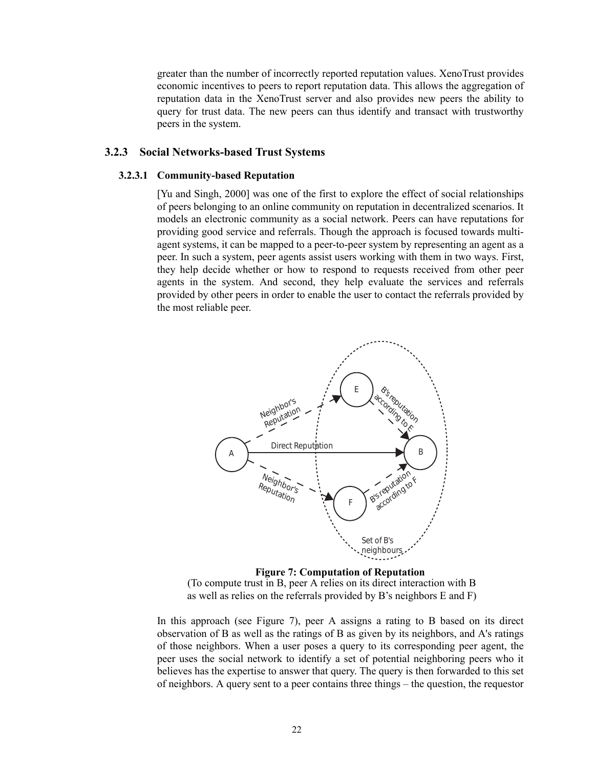greater than the number of incorrectly reported reputation values. XenoTrust provides economic incentives to peers to report reputation data. This allows the aggregation of reputation data in the XenoTrust server and also provides new peers the ability to query for trust data. The new peers can thus identify and transact with trustworthy peers in the system.

## **3.2.3 Social Networks-based Trust Systems**

#### **3.2.3.1 Community-based Reputation**

[Yu and Singh, 2000] was one of the first to explore the effect of social relationships of peers belonging to an online community on reputation in decentralized scenarios. It models an electronic community as a social network. Peers can have reputations for providing good service and referrals. Though the approach is focused towards multiagent systems, it can be mapped to a peer-to-peer system by representing an agent as a peer. In such a system, peer agents assist users working with them in two ways. First, they help decide whether or how to respond to requests received from other peer agents in the system. And second, they help evaluate the services and referrals provided by other peers in order to enable the user to contact the referrals provided by the most reliable peer.



**Figure 7: Computation of Reputation** (To compute trust in B, peer A relies on its direct interaction with B as well as relies on the referrals provided by B's neighbors  $E$  and  $F$ )

In this approach (see Figure 7), peer A assigns a rating to B based on its direct observation of B as well as the ratings of B as given by its neighbors, and A's ratings of those neighbors. When a user poses a query to its corresponding peer agent, the peer uses the social network to identify a set of potential neighboring peers who it believes has the expertise to answer that query. The query is then forwarded to this set of neighbors. A query sent to a peer contains three things  $-$  the question, the requestor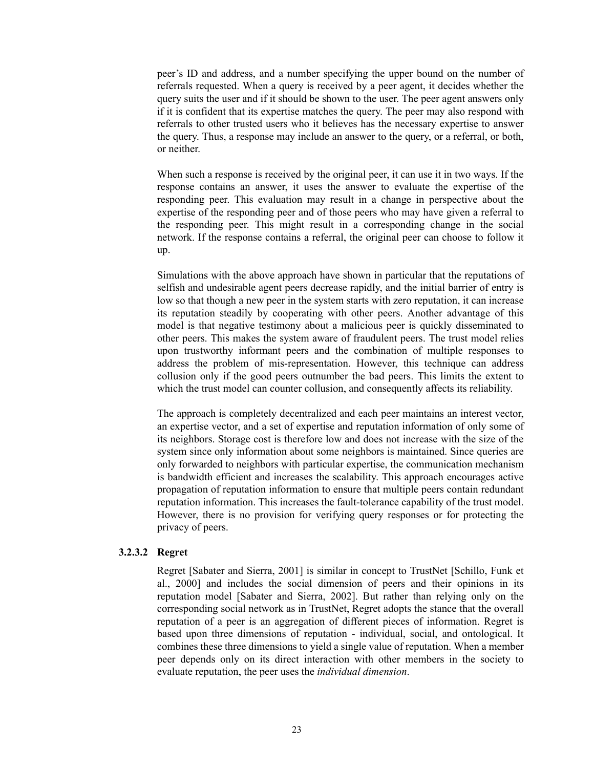peerís ID and address, and a number specifying the upper bound on the number of referrals requested. When a query is received by a peer agent, it decides whether the query suits the user and if it should be shown to the user. The peer agent answers only if it is confident that its expertise matches the query. The peer may also respond with referrals to other trusted users who it believes has the necessary expertise to answer the query. Thus, a response may include an answer to the query, or a referral, or both, or neither.

When such a response is received by the original peer, it can use it in two ways. If the response contains an answer, it uses the answer to evaluate the expertise of the responding peer. This evaluation may result in a change in perspective about the expertise of the responding peer and of those peers who may have given a referral to the responding peer. This might result in a corresponding change in the social network. If the response contains a referral, the original peer can choose to follow it up.

Simulations with the above approach have shown in particular that the reputations of selfish and undesirable agent peers decrease rapidly, and the initial barrier of entry is low so that though a new peer in the system starts with zero reputation, it can increase its reputation steadily by cooperating with other peers. Another advantage of this model is that negative testimony about a malicious peer is quickly disseminated to other peers. This makes the system aware of fraudulent peers. The trust model relies upon trustworthy informant peers and the combination of multiple responses to address the problem of mis-representation. However, this technique can address collusion only if the good peers outnumber the bad peers. This limits the extent to which the trust model can counter collusion, and consequently affects its reliability.

The approach is completely decentralized and each peer maintains an interest vector, an expertise vector, and a set of expertise and reputation information of only some of its neighbors. Storage cost is therefore low and does not increase with the size of the system since only information about some neighbors is maintained. Since queries are only forwarded to neighbors with particular expertise, the communication mechanism is bandwidth efficient and increases the scalability. This approach encourages active propagation of reputation information to ensure that multiple peers contain redundant reputation information. This increases the fault-tolerance capability of the trust model. However, there is no provision for verifying query responses or for protecting the privacy of peers.

#### **3.2.3.2 Regret**

Regret [Sabater and Sierra, 2001] is similar in concept to TrustNet [Schillo, Funk et al., 2000] and includes the social dimension of peers and their opinions in its reputation model [Sabater and Sierra, 2002]. But rather than relying only on the corresponding social network as in TrustNet, Regret adopts the stance that the overall reputation of a peer is an aggregation of different pieces of information. Regret is based upon three dimensions of reputation - individual, social, and ontological. It combines these three dimensions to yield a single value of reputation. When a member peer depends only on its direct interaction with other members in the society to evaluate reputation, the peer uses the *individual dimension*.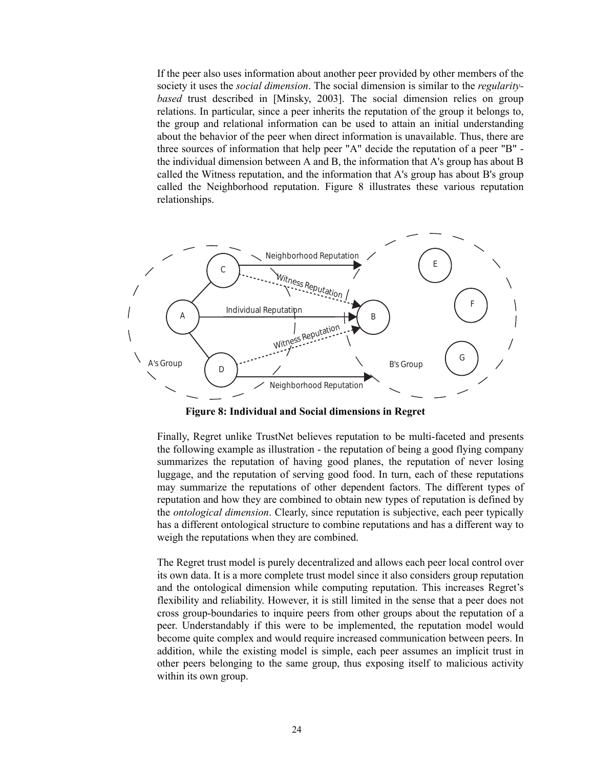If the peer also uses information about another peer provided by other members of the society it uses the *social dimension*. The social dimension is similar to the *regularitybased* trust described in [Minsky, 2003]. The social dimension relies on group relations. In particular, since a peer inherits the reputation of the group it belongs to, the group and relational information can be used to attain an initial understanding about the behavior of the peer when direct information is unavailable. Thus, there are three sources of information that help peer "A" decide the reputation of a peer "B" the individual dimension between A and B, the information that A's group has about B called the Witness reputation, and the information that A's group has about B's group called the Neighborhood reputation. Figure 8 illustrates these various reputation relationships.



**Figure 8: Individual and Social dimensions in Regret**

Finally, Regret unlike TrustNet believes reputation to be multi-faceted and presents the following example as illustration - the reputation of being a good flying company summarizes the reputation of having good planes, the reputation of never losing luggage, and the reputation of serving good food. In turn, each of these reputations may summarize the reputations of other dependent factors. The different types of reputation and how they are combined to obtain new types of reputation is defined by the *ontological dimension*. Clearly, since reputation is subjective, each peer typically has a different ontological structure to combine reputations and has a different way to weigh the reputations when they are combined.

The Regret trust model is purely decentralized and allows each peer local control over its own data. It is a more complete trust model since it also considers group reputation and the ontological dimension while computing reputation. This increases Regretís flexibility and reliability. However, it is still limited in the sense that a peer does not cross group-boundaries to inquire peers from other groups about the reputation of a peer. Understandably if this were to be implemented, the reputation model would become quite complex and would require increased communication between peers. In addition, while the existing model is simple, each peer assumes an implicit trust in other peers belonging to the same group, thus exposing itself to malicious activity within its own group.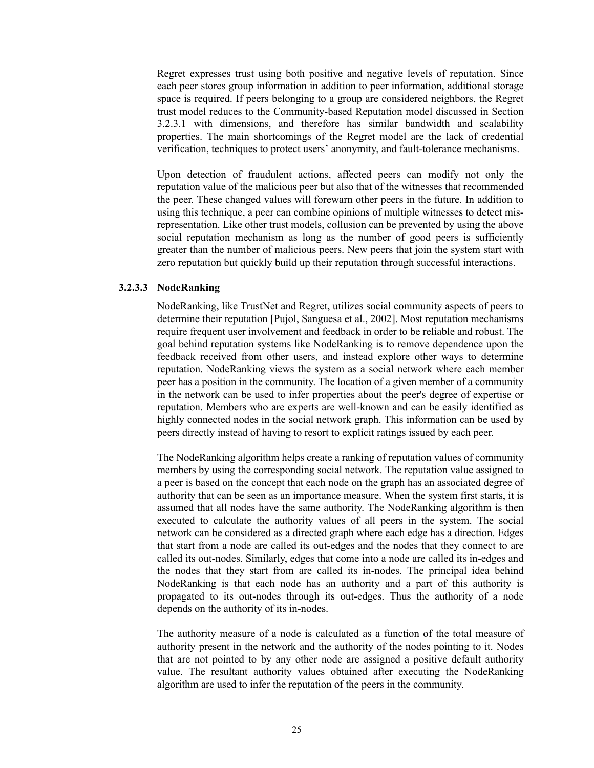Regret expresses trust using both positive and negative levels of reputation. Since each peer stores group information in addition to peer information, additional storage space is required. If peers belonging to a group are considered neighbors, the Regret trust model reduces to the Community-based Reputation model discussed in Section 3.2.3.1 with dimensions, and therefore has similar bandwidth and scalability properties. The main shortcomings of the Regret model are the lack of credential verification, techniques to protect usersí anonymity, and fault-tolerance mechanisms.

Upon detection of fraudulent actions, affected peers can modify not only the reputation value of the malicious peer but also that of the witnesses that recommended the peer. These changed values will forewarn other peers in the future. In addition to using this technique, a peer can combine opinions of multiple witnesses to detect misrepresentation. Like other trust models, collusion can be prevented by using the above social reputation mechanism as long as the number of good peers is sufficiently greater than the number of malicious peers. New peers that join the system start with zero reputation but quickly build up their reputation through successful interactions.

#### **3.2.3.3 NodeRanking**

NodeRanking, like TrustNet and Regret, utilizes social community aspects of peers to determine their reputation [Pujol, Sanguesa et al., 2002]. Most reputation mechanisms require frequent user involvement and feedback in order to be reliable and robust. The goal behind reputation systems like NodeRanking is to remove dependence upon the feedback received from other users, and instead explore other ways to determine reputation. NodeRanking views the system as a social network where each member peer has a position in the community. The location of a given member of a community in the network can be used to infer properties about the peer's degree of expertise or reputation. Members who are experts are well-known and can be easily identified as highly connected nodes in the social network graph. This information can be used by peers directly instead of having to resort to explicit ratings issued by each peer.

The NodeRanking algorithm helps create a ranking of reputation values of community members by using the corresponding social network. The reputation value assigned to a peer is based on the concept that each node on the graph has an associated degree of authority that can be seen as an importance measure. When the system first starts, it is assumed that all nodes have the same authority. The NodeRanking algorithm is then executed to calculate the authority values of all peers in the system. The social network can be considered as a directed graph where each edge has a direction. Edges that start from a node are called its out-edges and the nodes that they connect to are called its out-nodes. Similarly, edges that come into a node are called its in-edges and the nodes that they start from are called its in-nodes. The principal idea behind NodeRanking is that each node has an authority and a part of this authority is propagated to its out-nodes through its out-edges. Thus the authority of a node depends on the authority of its in-nodes.

The authority measure of a node is calculated as a function of the total measure of authority present in the network and the authority of the nodes pointing to it. Nodes that are not pointed to by any other node are assigned a positive default authority value. The resultant authority values obtained after executing the NodeRanking algorithm are used to infer the reputation of the peers in the community.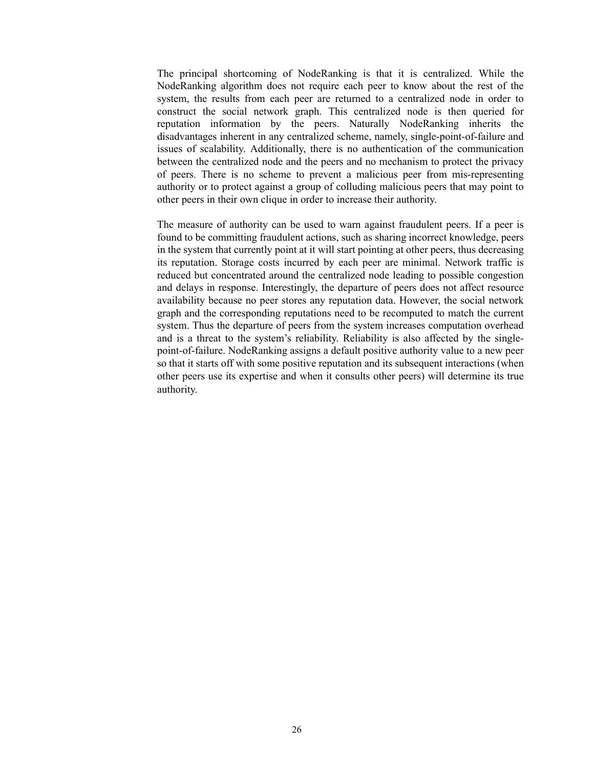The principal shortcoming of NodeRanking is that it is centralized. While the NodeRanking algorithm does not require each peer to know about the rest of the system, the results from each peer are returned to a centralized node in order to construct the social network graph. This centralized node is then queried for reputation information by the peers. Naturally NodeRanking inherits the disadvantages inherent in any centralized scheme, namely, single-point-of-failure and issues of scalability. Additionally, there is no authentication of the communication between the centralized node and the peers and no mechanism to protect the privacy of peers. There is no scheme to prevent a malicious peer from mis-representing authority or to protect against a group of colluding malicious peers that may point to other peers in their own clique in order to increase their authority.

The measure of authority can be used to warn against fraudulent peers. If a peer is found to be committing fraudulent actions, such as sharing incorrect knowledge, peers in the system that currently point at it will start pointing at other peers, thus decreasing its reputation. Storage costs incurred by each peer are minimal. Network traffic is reduced but concentrated around the centralized node leading to possible congestion and delays in response. Interestingly, the departure of peers does not affect resource availability because no peer stores any reputation data. However, the social network graph and the corresponding reputations need to be recomputed to match the current system. Thus the departure of peers from the system increases computation overhead and is a threat to the system's reliability. Reliability is also affected by the singlepoint-of-failure. NodeRanking assigns a default positive authority value to a new peer so that it starts off with some positive reputation and its subsequent interactions (when other peers use its expertise and when it consults other peers) will determine its true authority.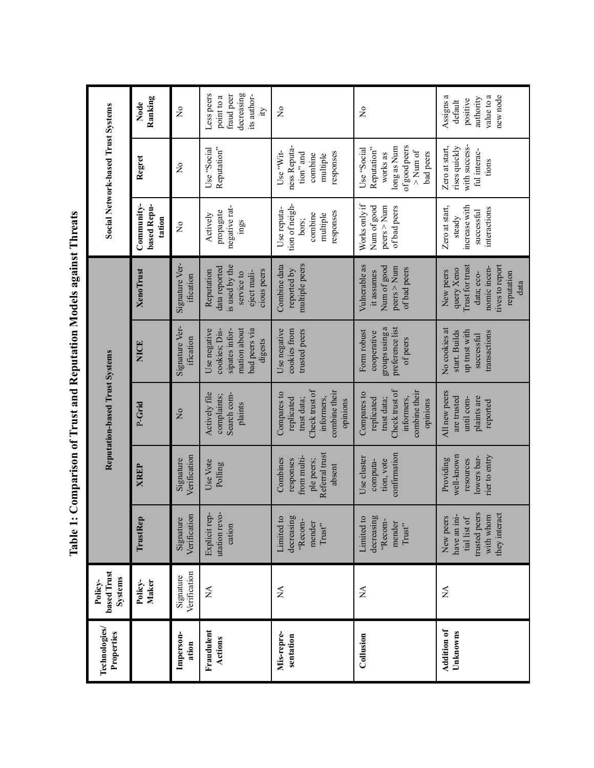|                                          | Ranking<br>Node                     | $\frac{1}{2}$               | decreasing<br>Less peers<br>fraud peer<br>its author-<br>point to a<br>ity                  | $\frac{1}{2}$                                                                                         | $\frac{1}{2}$                                                                                         | value to a<br>new node<br>Assigns a<br>authority<br>positive<br>default                                           |
|------------------------------------------|-------------------------------------|-----------------------------|---------------------------------------------------------------------------------------------|-------------------------------------------------------------------------------------------------------|-------------------------------------------------------------------------------------------------------|-------------------------------------------------------------------------------------------------------------------|
| Social Network-based Trust Systems       | Regret                              | Ş                           | Reputation"<br>Use "Social                                                                  | ness Reputa-<br>Use "Wit-<br>tion" and<br>responses<br>combine<br>multiple                            | of good peers<br>long as Num<br>Reputation"<br>Use "Social<br>$>$ Num of<br>bad peers<br>works as     | with success-<br>Zero at start,<br>rises quickly<br>ful interac-<br>tions                                         |
|                                          | based Repu-<br>Community-<br>tation | $\frac{1}{2}$               | negative rat-<br>propagate<br>Actively<br>$_{\rm mag}$                                      | tion of neigh-<br>Use reputa-<br>responses<br>combine<br>multiple<br>bors;                            | Works only if<br>Num of good<br>peers > Num<br>of bad peers                                           | increase with<br>Zero at start,<br>interactions<br>successful<br>steady                                           |
|                                          | <b>XenoTrust</b>                    | Signature Ver-<br>ification | is used by the<br>data reported<br>cious peers<br>Reputation<br>eject mali-<br>service to   | multiple peers<br>Combine data<br>reported by                                                         | Vulnerable as<br>Num of good<br>$pers$ > Num<br>of bad peers<br>it assumes                            | tives to report<br>Trust for trust<br>nomic incen-<br>query Xeno<br>New peers<br>reputation<br>data; eco-<br>data |
|                                          | <b>NICE</b>                         | Signature Ver-<br>ification | bad peers via<br>Use negative<br>sipates infor-<br>mation about<br>cookies; Dis-<br>digests | Use negative<br>cookies from<br>trusted peers                                                         | groups using a<br>preference list<br>Form robust<br>cooperative<br>of peers                           | No cookies at<br>up trust with<br>start. Builds<br>transactions<br>successful                                     |
| Reputation-based Trust Systems           | P-Grid                              | $\frac{1}{2}$               | Actively file<br>Search com-<br>complaints;<br>plaints                                      | Check trust of<br>combine their<br>Compares to<br>informers,<br>trust data;<br>replicated<br>opinions | Check trust of<br>combine their<br>Compares to<br>informers,<br>trust data;<br>replicated<br>opinions | All new peers<br>are trusted<br>plaints are<br>until com-<br>reported                                             |
|                                          | <b>XREP</b>                         | Verification<br>Signature   | Use Vote<br>Polling                                                                         | Referral trust<br>from multi-<br>Combines<br>responses<br>ple peers;<br>absent                        | confirmation<br>Use cluster<br>tion, vote<br>computa-                                                 | well-known<br>lowers bar-<br>rier to entry<br>Providing<br>resources                                              |
|                                          | TrustRe                             | Verification<br>Signature   | utation revo-<br>Explicit rep-<br>cation                                                    | $\mathbf{c}$<br>decreasing<br>"Recom-<br>mender<br>$Trust"$<br>Limited                                | $\Omega$<br>decreasing<br>"Recom-<br>mender<br>$\operatorname{Trust}^{\prime\prime}$<br>Limited       | rusted peers<br>they interact<br>with whom<br>have an ini-<br>New peers<br>tial list of                           |
| based Trust<br><b>Systems</b><br>Policy- | Maker<br>Policy-                    | Verification<br>Signature   | $\lesssim$                                                                                  | $\frac{4}{2}$                                                                                         | Á                                                                                                     | $\sum_{i=1}^{n}$                                                                                                  |
| Technologies<br>Properties               |                                     | Imperson-<br>ation          | Fraudulent<br>Actions                                                                       | Mis-repre-<br>sentation                                                                               | Collusion                                                                                             | Addition of<br>Unknowns                                                                                           |

<span id="page-28-0"></span>Table 1: Comparison of Trust and Reputation Models against Threats **Table 1: Comparison of Trust and Reputation Models against Threats**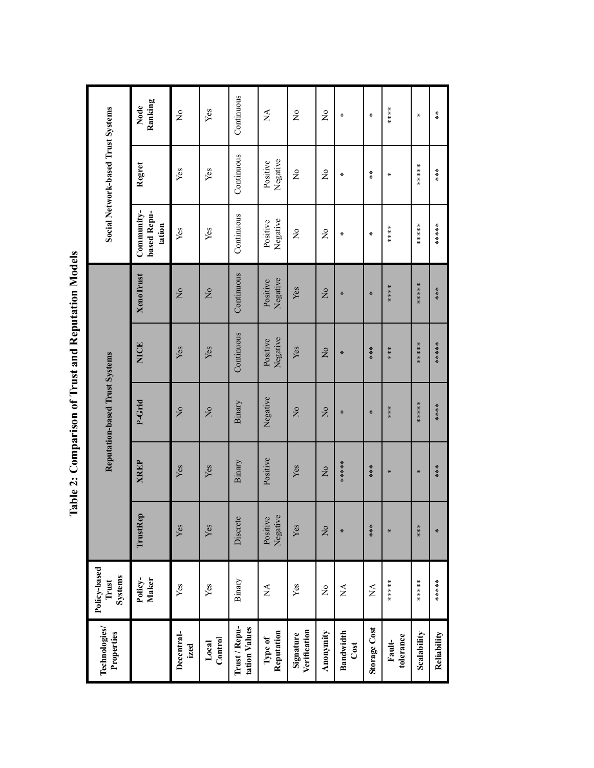Table 2: Comparison of Trust and Reputation Models **Table 2: Comparison of Trust and Reputation Models**

| Technologies/<br>Properties    | Policy-based<br>Systems<br>Trust |                                                                  |                    | Reputation-based Trust Systems |                                                       |                      |                                     | Social Network-based Trust Systems |                               |
|--------------------------------|----------------------------------|------------------------------------------------------------------|--------------------|--------------------------------|-------------------------------------------------------|----------------------|-------------------------------------|------------------------------------|-------------------------------|
|                                | Policy-<br>Maker                 | TrustRep                                                         | XREP               | P-Grid                         | NICE                                                  | <b>XenoTrust</b>     | Community-<br>based Repu-<br>tation | Regret                             | Ranking<br>Node               |
| Decentral-<br>ized             | Yes                              | Yes                                                              | Yes                | $\frac{1}{2}$                  | Yes                                                   | $\overline{a}$       | Yes                                 | Yes                                | $\frac{1}{2}$                 |
| Control<br>Local               | Yes                              | Yes                                                              | Yes                | $\mathop{S}\limits^\circ$      | Yes                                                   | $\frac{1}{2}$        | Yes                                 | Yes                                | Yes                           |
| Trust / Repu-<br>tation Values | Binary                           | Discrete                                                         | Binary             | Binary                         | Continuous                                            | Continuous           | Continuous                          | Continuous                         | Continuous                    |
| Reputation<br>Type of          | $\stackrel{\Delta}{\simeq}$      | Positive<br>Negative                                             | Positive           | Negative                       | Negative<br>Positive                                  | Negative<br>Positive | Negative<br>Positive                | Negative<br>Positive               | $\sum_{i=1}^{n}$              |
| Verification<br>Signature      | Yes                              | Yes                                                              | Yes                | $\mathsf{S}^{\mathsf{o}}$      | Yes                                                   | Yes                  | $\mathop{S}\limits^\circ$           | $\mathop{S}\limits^\circ$          | $\mathop{S}\limits^\circ$     |
| Anonymity                      | $\frac{1}{2}$                    | $\rm \stackrel{\circ}{\rm \stackrel{\circ}{\rm \scriptstyle X}}$ | $\overline{a}$     | $\overline{a}$                 | $\frac{1}{2}$                                         | $\overline{R}$       | $\stackrel{\mathtt{o}}{\mathsf{z}}$ | $\frac{1}{2}$                      | $\frac{1}{2}$                 |
| <b>Bandwidth</b><br>Cost       | $\mathbb{A}$                     | $\pmb{\times}$                                                   | ******             | $\pmb{\times}$                 | $\pmb{\times}$                                        | $\pmb{\times}$       | $\pmb{\times}$                      | $\chi$                             | $\chi$                        |
| <b>Storage Cost</b>            | $\mathbb{A}$                     | $* * *$                                                          | $* * *$            | $\pmb{\times}$                 | $***$                                                 | $\pmb{\times}$       | $\chi$                              | $_{\rm x}^{\rm x}$                 | $\chi$                        |
| tolerance<br>Fault-            | ******                           | $\pmb{\times}$                                                   | $\mathbb X$        | $*$<br>$*$                     | $\begin{array}{c}\n\ast \\ \ast \\ \ast\n\end{array}$ | *****                |                                     | $\mathbb X$                        | $* * * * *$                   |
| Scalability                    | ******                           | $\begin{array}{c}\n\ast \\ \ast \\ \ast\n\end{array}$            | $\pmb{\mathbb{X}}$ | ******                         | ******                                                | ******               | ******                              | ******                             | $\mathbf{x}$                  |
| Reliability                    | ******                           | $\pmb{\times}$                                                   |                    | *****                          | ******                                                |                      | ******                              |                                    | $\frac{\varkappa}{\varkappa}$ |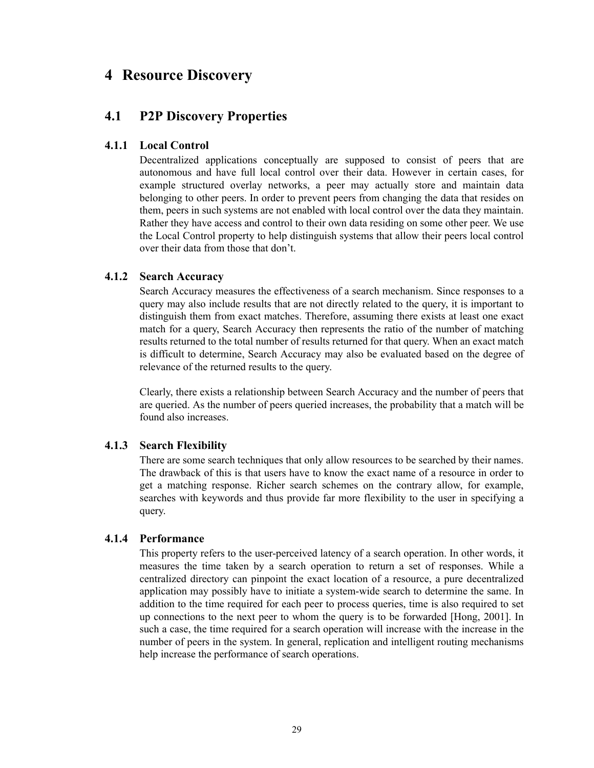# **4 Resource Discovery**

# **4.1 P2P Discovery Properties**

# **4.1.1 Local Control**

Decentralized applications conceptually are supposed to consist of peers that are autonomous and have full local control over their data. However in certain cases, for example structured overlay networks, a peer may actually store and maintain data belonging to other peers. In order to prevent peers from changing the data that resides on them, peers in such systems are not enabled with local control over the data they maintain. Rather they have access and control to their own data residing on some other peer. We use the Local Control property to help distinguish systems that allow their peers local control over their data from those that don't.

# **4.1.2 Search Accuracy**

Search Accuracy measures the effectiveness of a search mechanism. Since responses to a query may also include results that are not directly related to the query, it is important to distinguish them from exact matches. Therefore, assuming there exists at least one exact match for a query, Search Accuracy then represents the ratio of the number of matching results returned to the total number of results returned for that query. When an exact match is difficult to determine, Search Accuracy may also be evaluated based on the degree of relevance of the returned results to the query.

Clearly, there exists a relationship between Search Accuracy and the number of peers that are queried. As the number of peers queried increases, the probability that a match will be found also increases.

# **4.1.3 Search Flexibility**

There are some search techniques that only allow resources to be searched by their names. The drawback of this is that users have to know the exact name of a resource in order to get a matching response. Richer search schemes on the contrary allow, for example, searches with keywords and thus provide far more flexibility to the user in specifying a query.

# **4.1.4 Performance**

This property refers to the user-perceived latency of a search operation. In other words, it measures the time taken by a search operation to return a set of responses. While a centralized directory can pinpoint the exact location of a resource, a pure decentralized application may possibly have to initiate a system-wide search to determine the same. In addition to the time required for each peer to process queries, time is also required to set up connections to the next peer to whom the query is to be forwarded [Hong, 2001]. In such a case, the time required for a search operation will increase with the increase in the number of peers in the system. In general, replication and intelligent routing mechanisms help increase the performance of search operations.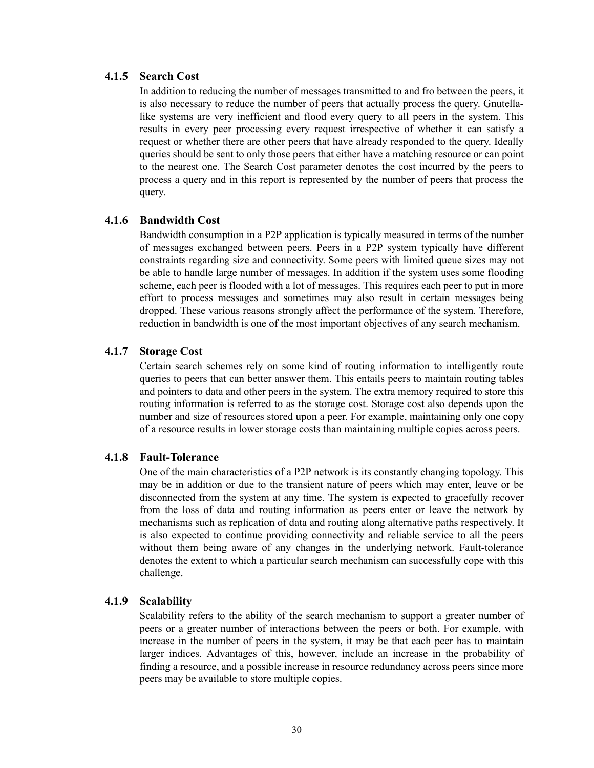## **4.1.5 Search Cost**

In addition to reducing the number of messages transmitted to and fro between the peers, it is also necessary to reduce the number of peers that actually process the query. Gnutellalike systems are very inefficient and flood every query to all peers in the system. This results in every peer processing every request irrespective of whether it can satisfy a request or whether there are other peers that have already responded to the query. Ideally queries should be sent to only those peers that either have a matching resource or can point to the nearest one. The Search Cost parameter denotes the cost incurred by the peers to process a query and in this report is represented by the number of peers that process the query.

# **4.1.6 Bandwidth Cost**

Bandwidth consumption in a P2P application is typically measured in terms of the number of messages exchanged between peers. Peers in a P2P system typically have different constraints regarding size and connectivity. Some peers with limited queue sizes may not be able to handle large number of messages. In addition if the system uses some flooding scheme, each peer is flooded with a lot of messages. This requires each peer to put in more effort to process messages and sometimes may also result in certain messages being dropped. These various reasons strongly affect the performance of the system. Therefore, reduction in bandwidth is one of the most important objectives of any search mechanism.

# **4.1.7 Storage Cost**

Certain search schemes rely on some kind of routing information to intelligently route queries to peers that can better answer them. This entails peers to maintain routing tables and pointers to data and other peers in the system. The extra memory required to store this routing information is referred to as the storage cost. Storage cost also depends upon the number and size of resources stored upon a peer. For example, maintaining only one copy of a resource results in lower storage costs than maintaining multiple copies across peers.

# **4.1.8 Fault-Tolerance**

One of the main characteristics of a P2P network is its constantly changing topology. This may be in addition or due to the transient nature of peers which may enter, leave or be disconnected from the system at any time. The system is expected to gracefully recover from the loss of data and routing information as peers enter or leave the network by mechanisms such as replication of data and routing along alternative paths respectively. It is also expected to continue providing connectivity and reliable service to all the peers without them being aware of any changes in the underlying network. Fault-tolerance denotes the extent to which a particular search mechanism can successfully cope with this challenge.

#### **4.1.9 Scalability**

Scalability refers to the ability of the search mechanism to support a greater number of peers or a greater number of interactions between the peers or both. For example, with increase in the number of peers in the system, it may be that each peer has to maintain larger indices. Advantages of this, however, include an increase in the probability of finding a resource, and a possible increase in resource redundancy across peers since more peers may be available to store multiple copies.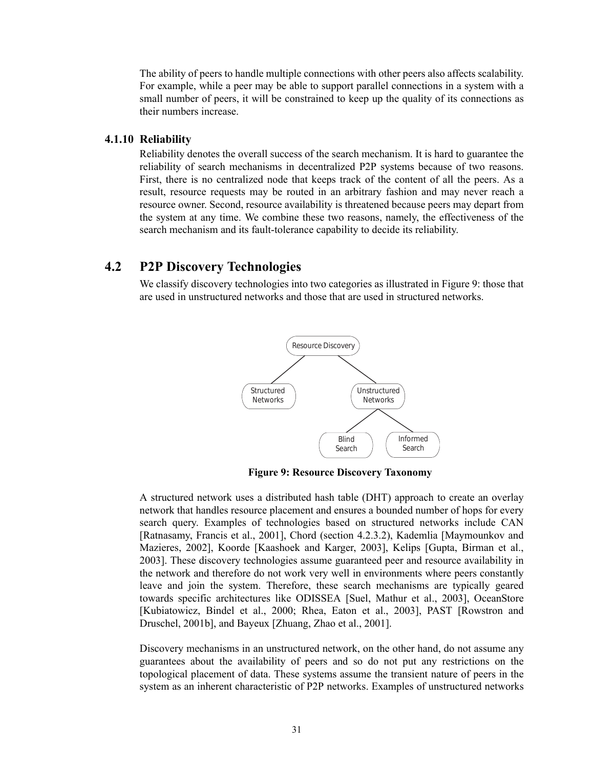The ability of peers to handle multiple connections with other peers also affects scalability. For example, while a peer may be able to support parallel connections in a system with a small number of peers, it will be constrained to keep up the quality of its connections as their numbers increase.

# **4.1.10 Reliability**

Reliability denotes the overall success of the search mechanism. It is hard to guarantee the reliability of search mechanisms in decentralized P2P systems because of two reasons. First, there is no centralized node that keeps track of the content of all the peers. As a result, resource requests may be routed in an arbitrary fashion and may never reach a resource owner. Second, resource availability is threatened because peers may depart from the system at any time. We combine these two reasons, namely, the effectiveness of the search mechanism and its fault-tolerance capability to decide its reliability.

# **4.2 P2P Discovery Technologies**

We classify discovery technologies into two categories as illustrated in Figure 9: those that are used in unstructured networks and those that are used in structured networks.



**Figure 9: Resource Discovery Taxonomy**

A structured network uses a distributed hash table (DHT) approach to create an overlay network that handles resource placement and ensures a bounded number of hops for every search query. Examples of technologies based on structured networks include CAN [Ratnasamy, Francis et al., 2001], Chord (section 4.2.3.2), Kademlia [Maymounkov and Mazieres, 2002], Koorde [Kaashoek and Karger, 2003], Kelips [Gupta, Birman et al., 2003]. These discovery technologies assume guaranteed peer and resource availability in the network and therefore do not work very well in environments where peers constantly leave and join the system. Therefore, these search mechanisms are typically geared towards specific architectures like ODISSEA [Suel, Mathur et al., 2003], OceanStore [Kubiatowicz, Bindel et al., 2000; Rhea, Eaton et al., 2003], PAST [Rowstron and Druschel, 2001b], and Bayeux [Zhuang, Zhao et al., 2001].

Discovery mechanisms in an unstructured network, on the other hand, do not assume any guarantees about the availability of peers and so do not put any restrictions on the topological placement of data. These systems assume the transient nature of peers in the system as an inherent characteristic of P2P networks. Examples of unstructured networks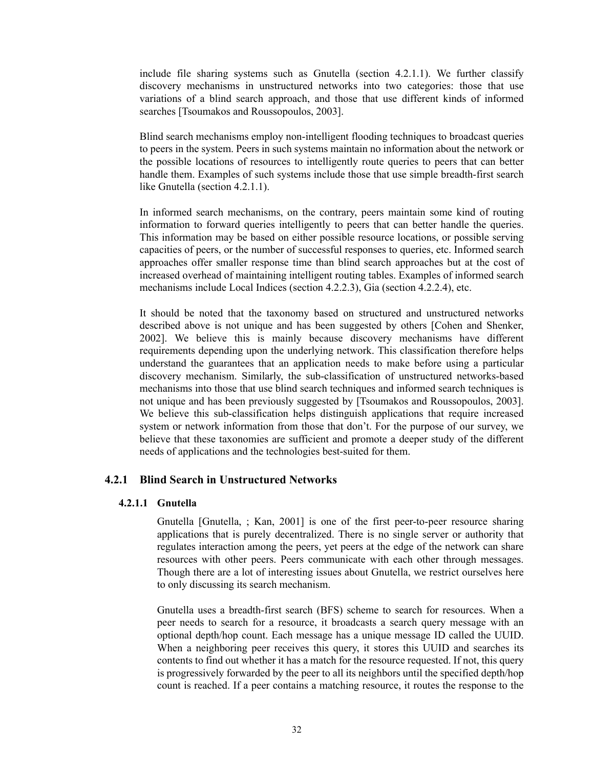include file sharing systems such as Gnutella (section 4.2.1.1). We further classify discovery mechanisms in unstructured networks into two categories: those that use variations of a blind search approach, and those that use different kinds of informed searches [Tsoumakos and Roussopoulos, 2003].

Blind search mechanisms employ non-intelligent flooding techniques to broadcast queries to peers in the system. Peers in such systems maintain no information about the network or the possible locations of resources to intelligently route queries to peers that can better handle them. Examples of such systems include those that use simple breadth-first search like Gnutella (section 4.2.1.1).

In informed search mechanisms, on the contrary, peers maintain some kind of routing information to forward queries intelligently to peers that can better handle the queries. This information may be based on either possible resource locations, or possible serving capacities of peers, or the number of successful responses to queries, etc. Informed search approaches offer smaller response time than blind search approaches but at the cost of increased overhead of maintaining intelligent routing tables. Examples of informed search mechanisms include Local Indices (section 4.2.2.3), Gia (section 4.2.2.4), etc.

It should be noted that the taxonomy based on structured and unstructured networks described above is not unique and has been suggested by others [Cohen and Shenker, 2002]. We believe this is mainly because discovery mechanisms have different requirements depending upon the underlying network. This classification therefore helps understand the guarantees that an application needs to make before using a particular discovery mechanism. Similarly, the sub-classification of unstructured networks-based mechanisms into those that use blind search techniques and informed search techniques is not unique and has been previously suggested by [Tsoumakos and Roussopoulos, 2003]. We believe this sub-classification helps distinguish applications that require increased system or network information from those that don't. For the purpose of our survey, we believe that these taxonomies are sufficient and promote a deeper study of the different needs of applications and the technologies best-suited for them.

# **4.2.1 Blind Search in Unstructured Networks**

# **4.2.1.1 Gnutella**

Gnutella [Gnutella, ; Kan, 2001] is one of the first peer-to-peer resource sharing applications that is purely decentralized. There is no single server or authority that regulates interaction among the peers, yet peers at the edge of the network can share resources with other peers. Peers communicate with each other through messages. Though there are a lot of interesting issues about Gnutella, we restrict ourselves here to only discussing its search mechanism.

Gnutella uses a breadth-first search (BFS) scheme to search for resources. When a peer needs to search for a resource, it broadcasts a search query message with an optional depth/hop count. Each message has a unique message ID called the UUID. When a neighboring peer receives this query, it stores this UUID and searches its contents to find out whether it has a match for the resource requested. If not, this query is progressively forwarded by the peer to all its neighbors until the specified depth/hop count is reached. If a peer contains a matching resource, it routes the response to the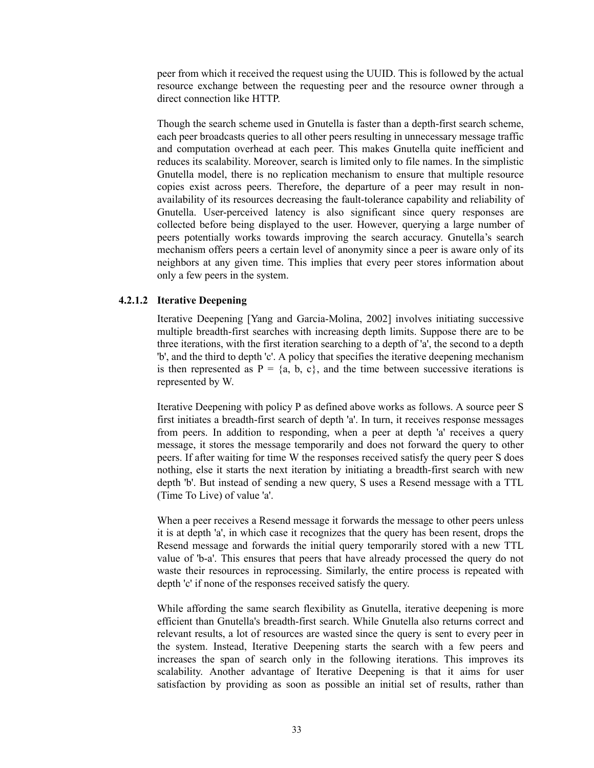peer from which it received the request using the UUID. This is followed by the actual resource exchange between the requesting peer and the resource owner through a direct connection like HTTP.

Though the search scheme used in Gnutella is faster than a depth-first search scheme, each peer broadcasts queries to all other peers resulting in unnecessary message traffic and computation overhead at each peer. This makes Gnutella quite inefficient and reduces its scalability. Moreover, search is limited only to file names. In the simplistic Gnutella model, there is no replication mechanism to ensure that multiple resource copies exist across peers. Therefore, the departure of a peer may result in nonavailability of its resources decreasing the fault-tolerance capability and reliability of Gnutella. User-perceived latency is also significant since query responses are collected before being displayed to the user. However, querying a large number of peers potentially works towards improving the search accuracy. Gnutella's search mechanism offers peers a certain level of anonymity since a peer is aware only of its neighbors at any given time. This implies that every peer stores information about only a few peers in the system.

#### **4.2.1.2 Iterative Deepening**

Iterative Deepening [Yang and Garcia-Molina, 2002] involves initiating successive multiple breadth-first searches with increasing depth limits. Suppose there are to be three iterations, with the first iteration searching to a depth of 'a', the second to a depth 'b', and the third to depth 'c'. A policy that specifies the iterative deepening mechanism is then represented as  $P = \{a, b, c\}$ , and the time between successive iterations is represented by W.

Iterative Deepening with policy P as defined above works as follows. A source peer S first initiates a breadth-first search of depth 'a'. In turn, it receives response messages from peers. In addition to responding, when a peer at depth 'a' receives a query message, it stores the message temporarily and does not forward the query to other peers. If after waiting for time W the responses received satisfy the query peer S does nothing, else it starts the next iteration by initiating a breadth-first search with new depth 'b'. But instead of sending a new query, S uses a Resend message with a TTL (Time To Live) of value 'a'.

When a peer receives a Resend message it forwards the message to other peers unless it is at depth 'a', in which case it recognizes that the query has been resent, drops the Resend message and forwards the initial query temporarily stored with a new TTL value of 'b-a'. This ensures that peers that have already processed the query do not waste their resources in reprocessing. Similarly, the entire process is repeated with depth 'c' if none of the responses received satisfy the query.

While affording the same search flexibility as Gnutella, iterative deepening is more efficient than Gnutella's breadth-first search. While Gnutella also returns correct and relevant results, a lot of resources are wasted since the query is sent to every peer in the system. Instead, Iterative Deepening starts the search with a few peers and increases the span of search only in the following iterations. This improves its scalability. Another advantage of Iterative Deepening is that it aims for user satisfaction by providing as soon as possible an initial set of results, rather than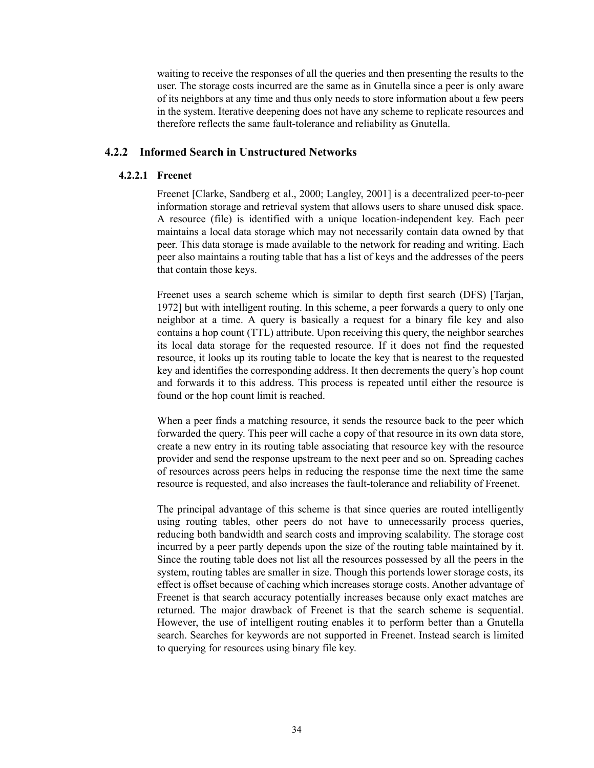waiting to receive the responses of all the queries and then presenting the results to the user. The storage costs incurred are the same as in Gnutella since a peer is only aware of its neighbors at any time and thus only needs to store information about a few peers in the system. Iterative deepening does not have any scheme to replicate resources and therefore reflects the same fault-tolerance and reliability as Gnutella.

# **4.2.2 Informed Search in Unstructured Networks**

## **4.2.2.1 Freenet**

Freenet [Clarke, Sandberg et al., 2000; Langley, 2001] is a decentralized peer-to-peer information storage and retrieval system that allows users to share unused disk space. A resource (file) is identified with a unique location-independent key. Each peer maintains a local data storage which may not necessarily contain data owned by that peer. This data storage is made available to the network for reading and writing. Each peer also maintains a routing table that has a list of keys and the addresses of the peers that contain those keys.

Freenet uses a search scheme which is similar to depth first search (DFS) [Tarjan, 1972] but with intelligent routing. In this scheme, a peer forwards a query to only one neighbor at a time. A query is basically a request for a binary file key and also contains a hop count (TTL) attribute. Upon receiving this query, the neighbor searches its local data storage for the requested resource. If it does not find the requested resource, it looks up its routing table to locate the key that is nearest to the requested key and identifies the corresponding address. It then decrements the query's hop count and forwards it to this address. This process is repeated until either the resource is found or the hop count limit is reached.

When a peer finds a matching resource, it sends the resource back to the peer which forwarded the query. This peer will cache a copy of that resource in its own data store, create a new entry in its routing table associating that resource key with the resource provider and send the response upstream to the next peer and so on. Spreading caches of resources across peers helps in reducing the response time the next time the same resource is requested, and also increases the fault-tolerance and reliability of Freenet.

The principal advantage of this scheme is that since queries are routed intelligently using routing tables, other peers do not have to unnecessarily process queries, reducing both bandwidth and search costs and improving scalability. The storage cost incurred by a peer partly depends upon the size of the routing table maintained by it. Since the routing table does not list all the resources possessed by all the peers in the system, routing tables are smaller in size. Though this portends lower storage costs, its effect is offset because of caching which increases storage costs. Another advantage of Freenet is that search accuracy potentially increases because only exact matches are returned. The major drawback of Freenet is that the search scheme is sequential. However, the use of intelligent routing enables it to perform better than a Gnutella search. Searches for keywords are not supported in Freenet. Instead search is limited to querying for resources using binary file key.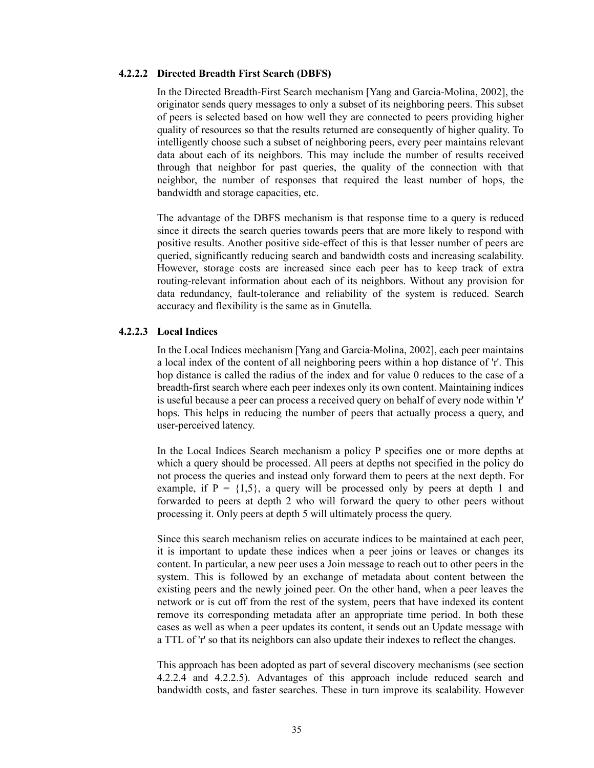#### **4.2.2.2 Directed Breadth First Search (DBFS)**

In the Directed Breadth-First Search mechanism [Yang and Garcia-Molina, 2002], the originator sends query messages to only a subset of its neighboring peers. This subset of peers is selected based on how well they are connected to peers providing higher quality of resources so that the results returned are consequently of higher quality. To intelligently choose such a subset of neighboring peers, every peer maintains relevant data about each of its neighbors. This may include the number of results received through that neighbor for past queries, the quality of the connection with that neighbor, the number of responses that required the least number of hops, the bandwidth and storage capacities, etc.

The advantage of the DBFS mechanism is that response time to a query is reduced since it directs the search queries towards peers that are more likely to respond with positive results. Another positive side-effect of this is that lesser number of peers are queried, significantly reducing search and bandwidth costs and increasing scalability. However, storage costs are increased since each peer has to keep track of extra routing-relevant information about each of its neighbors. Without any provision for data redundancy, fault-tolerance and reliability of the system is reduced. Search accuracy and flexibility is the same as in Gnutella.

#### **4.2.2.3 Local Indices**

In the Local Indices mechanism [Yang and Garcia-Molina, 2002], each peer maintains a local index of the content of all neighboring peers within a hop distance of 'r'. This hop distance is called the radius of the index and for value 0 reduces to the case of a breadth-first search where each peer indexes only its own content. Maintaining indices is useful because a peer can process a received query on behalf of every node within 'r' hops. This helps in reducing the number of peers that actually process a query, and user-perceived latency.

In the Local Indices Search mechanism a policy P specifies one or more depths at which a query should be processed. All peers at depths not specified in the policy do not process the queries and instead only forward them to peers at the next depth. For example, if  $P = \{1.5\}$ , a query will be processed only by peers at depth 1 and forwarded to peers at depth 2 who will forward the query to other peers without processing it. Only peers at depth 5 will ultimately process the query.

Since this search mechanism relies on accurate indices to be maintained at each peer, it is important to update these indices when a peer joins or leaves or changes its content. In particular, a new peer uses a Join message to reach out to other peers in the system. This is followed by an exchange of metadata about content between the existing peers and the newly joined peer. On the other hand, when a peer leaves the network or is cut off from the rest of the system, peers that have indexed its content remove its corresponding metadata after an appropriate time period. In both these cases as well as when a peer updates its content, it sends out an Update message with a TTL of 'r' so that its neighbors can also update their indexes to reflect the changes.

This approach has been adopted as part of several discovery mechanisms (see section 4.2.2.4 and 4.2.2.5). Advantages of this approach include reduced search and bandwidth costs, and faster searches. These in turn improve its scalability. However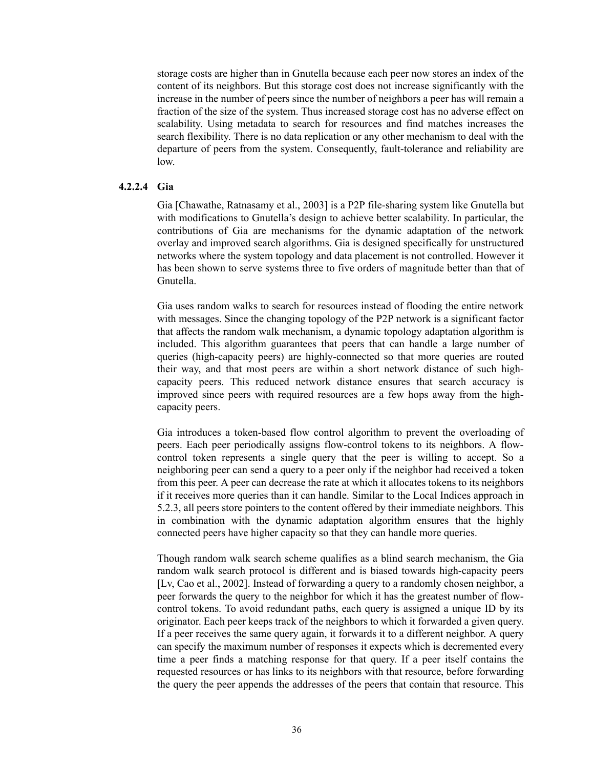storage costs are higher than in Gnutella because each peer now stores an index of the content of its neighbors. But this storage cost does not increase significantly with the increase in the number of peers since the number of neighbors a peer has will remain a fraction of the size of the system. Thus increased storage cost has no adverse effect on scalability. Using metadata to search for resources and find matches increases the search flexibility. There is no data replication or any other mechanism to deal with the departure of peers from the system. Consequently, fault-tolerance and reliability are low.

# **4.2.2.4 Gia**

Gia [Chawathe, Ratnasamy et al., 2003] is a P2P file-sharing system like Gnutella but with modifications to Gnutella's design to achieve better scalability. In particular, the contributions of Gia are mechanisms for the dynamic adaptation of the network overlay and improved search algorithms. Gia is designed specifically for unstructured networks where the system topology and data placement is not controlled. However it has been shown to serve systems three to five orders of magnitude better than that of Gnutella.

Gia uses random walks to search for resources instead of flooding the entire network with messages. Since the changing topology of the P2P network is a significant factor that affects the random walk mechanism, a dynamic topology adaptation algorithm is included. This algorithm guarantees that peers that can handle a large number of queries (high-capacity peers) are highly-connected so that more queries are routed their way, and that most peers are within a short network distance of such highcapacity peers. This reduced network distance ensures that search accuracy is improved since peers with required resources are a few hops away from the highcapacity peers.

Gia introduces a token-based flow control algorithm to prevent the overloading of peers. Each peer periodically assigns flow-control tokens to its neighbors. A flowcontrol token represents a single query that the peer is willing to accept. So a neighboring peer can send a query to a peer only if the neighbor had received a token from this peer. A peer can decrease the rate at which it allocates tokens to its neighbors if it receives more queries than it can handle. Similar to the Local Indices approach in 5.2.3, all peers store pointers to the content offered by their immediate neighbors. This in combination with the dynamic adaptation algorithm ensures that the highly connected peers have higher capacity so that they can handle more queries.

Though random walk search scheme qualifies as a blind search mechanism, the Gia random walk search protocol is different and is biased towards high-capacity peers [Lv, Cao et al., 2002]. Instead of forwarding a query to a randomly chosen neighbor, a peer forwards the query to the neighbor for which it has the greatest number of flowcontrol tokens. To avoid redundant paths, each query is assigned a unique ID by its originator. Each peer keeps track of the neighbors to which it forwarded a given query. If a peer receives the same query again, it forwards it to a different neighbor. A query can specify the maximum number of responses it expects which is decremented every time a peer finds a matching response for that query. If a peer itself contains the requested resources or has links to its neighbors with that resource, before forwarding the query the peer appends the addresses of the peers that contain that resource. This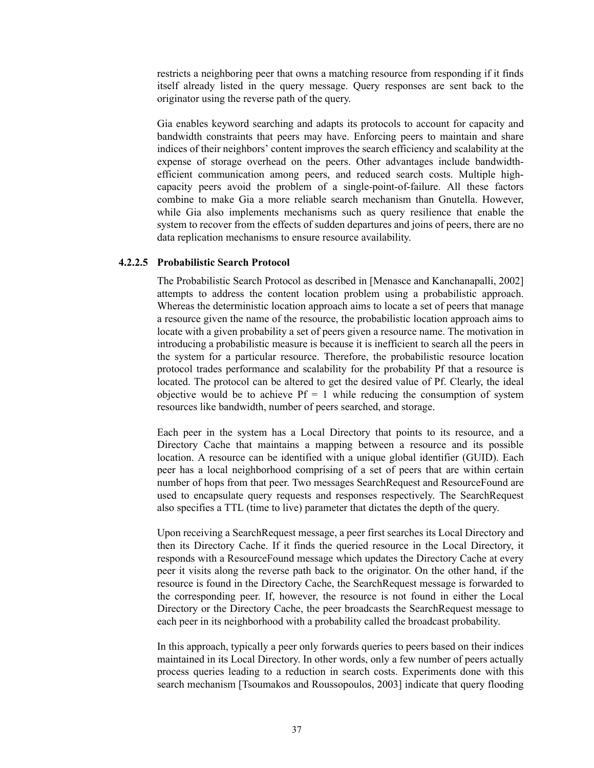restricts a neighboring peer that owns a matching resource from responding if it finds itself already listed in the query message. Query responses are sent back to the originator using the reverse path of the query.

Gia enables keyword searching and adapts its protocols to account for capacity and bandwidth constraints that peers may have. Enforcing peers to maintain and share indices of their neighbors' content improves the search efficiency and scalability at the expense of storage overhead on the peers. Other advantages include bandwidthefficient communication among peers, and reduced search costs. Multiple highcapacity peers avoid the problem of a single-point-of-failure. All these factors combine to make Gia a more reliable search mechanism than Gnutella. However, while Gia also implements mechanisms such as query resilience that enable the system to recover from the effects of sudden departures and joins of peers, there are no data replication mechanisms to ensure resource availability.

#### **4.2.2.5 Probabilistic Search Protocol**

The Probabilistic Search Protocol as described in [Menasce and Kanchanapalli, 2002] attempts to address the content location problem using a probabilistic approach. Whereas the deterministic location approach aims to locate a set of peers that manage a resource given the name of the resource, the probabilistic location approach aims to locate with a given probability a set of peers given a resource name. The motivation in introducing a probabilistic measure is because it is inefficient to search all the peers in the system for a particular resource. Therefore, the probabilistic resource location protocol trades performance and scalability for the probability Pf that a resource is located. The protocol can be altered to get the desired value of Pf. Clearly, the ideal objective would be to achieve  $Pf = 1$  while reducing the consumption of system resources like bandwidth, number of peers searched, and storage.

Each peer in the system has a Local Directory that points to its resource, and a Directory Cache that maintains a mapping between a resource and its possible location. A resource can be identified with a unique global identifier (GUID). Each peer has a local neighborhood comprising of a set of peers that are within certain number of hops from that peer. Two messages SearchRequest and ResourceFound are used to encapsulate query requests and responses respectively. The SearchRequest also specifies a TTL (time to live) parameter that dictates the depth of the query.

Upon receiving a SearchRequest message, a peer first searches its Local Directory and then its Directory Cache. If it finds the queried resource in the Local Directory, it responds with a ResourceFound message which updates the Directory Cache at every peer it visits along the reverse path back to the originator. On the other hand, if the resource is found in the Directory Cache, the SearchRequest message is forwarded to the corresponding peer. If, however, the resource is not found in either the Local Directory or the Directory Cache, the peer broadcasts the SearchRequest message to each peer in its neighborhood with a probability called the broadcast probability.

In this approach, typically a peer only forwards queries to peers based on their indices maintained in its Local Directory. In other words, only a few number of peers actually process queries leading to a reduction in search costs. Experiments done with this search mechanism [Tsoumakos and Roussopoulos, 2003] indicate that query flooding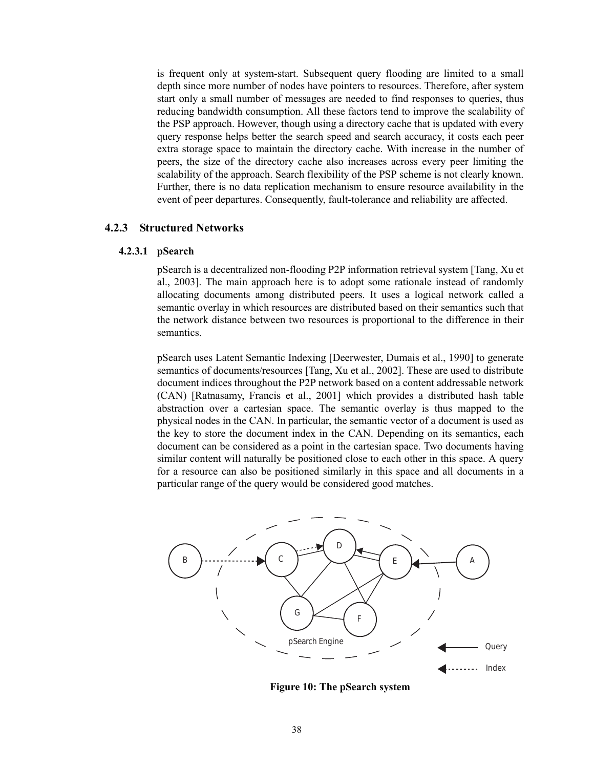is frequent only at system-start. Subsequent query flooding are limited to a small depth since more number of nodes have pointers to resources. Therefore, after system start only a small number of messages are needed to find responses to queries, thus reducing bandwidth consumption. All these factors tend to improve the scalability of the PSP approach. However, though using a directory cache that is updated with every query response helps better the search speed and search accuracy, it costs each peer extra storage space to maintain the directory cache. With increase in the number of peers, the size of the directory cache also increases across every peer limiting the scalability of the approach. Search flexibility of the PSP scheme is not clearly known. Further, there is no data replication mechanism to ensure resource availability in the event of peer departures. Consequently, fault-tolerance and reliability are affected.

#### **4.2.3 Structured Networks**

#### **4.2.3.1 pSearch**

pSearch is a decentralized non-flooding P2P information retrieval system [Tang, Xu et al., 2003]. The main approach here is to adopt some rationale instead of randomly allocating documents among distributed peers. It uses a logical network called a semantic overlay in which resources are distributed based on their semantics such that the network distance between two resources is proportional to the difference in their semantics.

pSearch uses Latent Semantic Indexing [Deerwester, Dumais et al., 1990] to generate semantics of documents/resources [Tang, Xu et al., 2002]. These are used to distribute document indices throughout the P2P network based on a content addressable network (CAN) [Ratnasamy, Francis et al., 2001] which provides a distributed hash table abstraction over a cartesian space. The semantic overlay is thus mapped to the physical nodes in the CAN. In particular, the semantic vector of a document is used as the key to store the document index in the CAN. Depending on its semantics, each document can be considered as a point in the cartesian space. Two documents having similar content will naturally be positioned close to each other in this space. A query for a resource can also be positioned similarly in this space and all documents in a particular range of the query would be considered good matches.



**Figure 10: The pSearch system**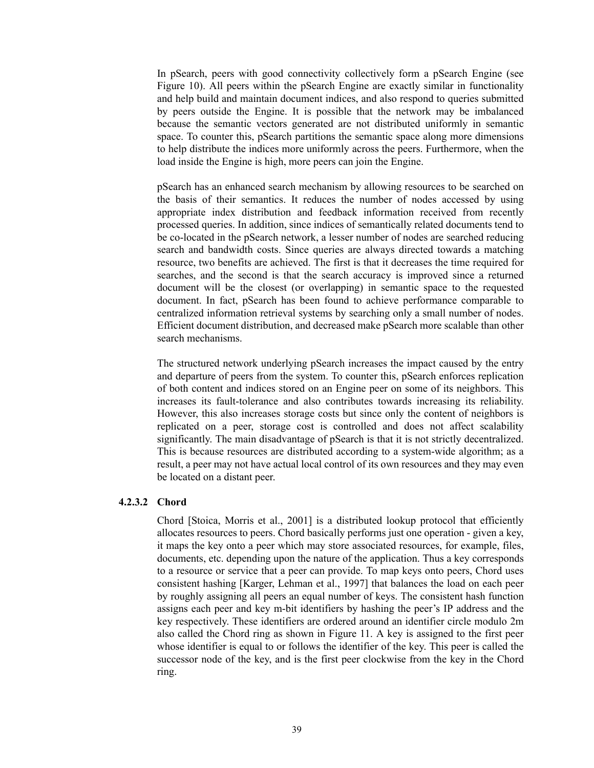In pSearch, peers with good connectivity collectively form a pSearch Engine (see Figure 10). All peers within the pSearch Engine are exactly similar in functionality and help build and maintain document indices, and also respond to queries submitted by peers outside the Engine. It is possible that the network may be imbalanced because the semantic vectors generated are not distributed uniformly in semantic space. To counter this, pSearch partitions the semantic space along more dimensions to help distribute the indices more uniformly across the peers. Furthermore, when the load inside the Engine is high, more peers can join the Engine.

pSearch has an enhanced search mechanism by allowing resources to be searched on the basis of their semantics. It reduces the number of nodes accessed by using appropriate index distribution and feedback information received from recently processed queries. In addition, since indices of semantically related documents tend to be co-located in the pSearch network, a lesser number of nodes are searched reducing search and bandwidth costs. Since queries are always directed towards a matching resource, two benefits are achieved. The first is that it decreases the time required for searches, and the second is that the search accuracy is improved since a returned document will be the closest (or overlapping) in semantic space to the requested document. In fact, pSearch has been found to achieve performance comparable to centralized information retrieval systems by searching only a small number of nodes. Efficient document distribution, and decreased make pSearch more scalable than other search mechanisms.

The structured network underlying pSearch increases the impact caused by the entry and departure of peers from the system. To counter this, pSearch enforces replication of both content and indices stored on an Engine peer on some of its neighbors. This increases its fault-tolerance and also contributes towards increasing its reliability. However, this also increases storage costs but since only the content of neighbors is replicated on a peer, storage cost is controlled and does not affect scalability significantly. The main disadvantage of pSearch is that it is not strictly decentralized. This is because resources are distributed according to a system-wide algorithm; as a result, a peer may not have actual local control of its own resources and they may even be located on a distant peer.

# **4.2.3.2 Chord**

Chord [Stoica, Morris et al., 2001] is a distributed lookup protocol that efficiently allocates resources to peers. Chord basically performs just one operation - given a key, it maps the key onto a peer which may store associated resources, for example, files, documents, etc. depending upon the nature of the application. Thus a key corresponds to a resource or service that a peer can provide. To map keys onto peers, Chord uses consistent hashing [Karger, Lehman et al., 1997] that balances the load on each peer by roughly assigning all peers an equal number of keys. The consistent hash function assigns each peer and key m-bit identifiers by hashing the peer's IP address and the key respectively. These identifiers are ordered around an identifier circle modulo 2m also called the Chord ring as shown in Figure 11. A key is assigned to the first peer whose identifier is equal to or follows the identifier of the key. This peer is called the successor node of the key, and is the first peer clockwise from the key in the Chord ring.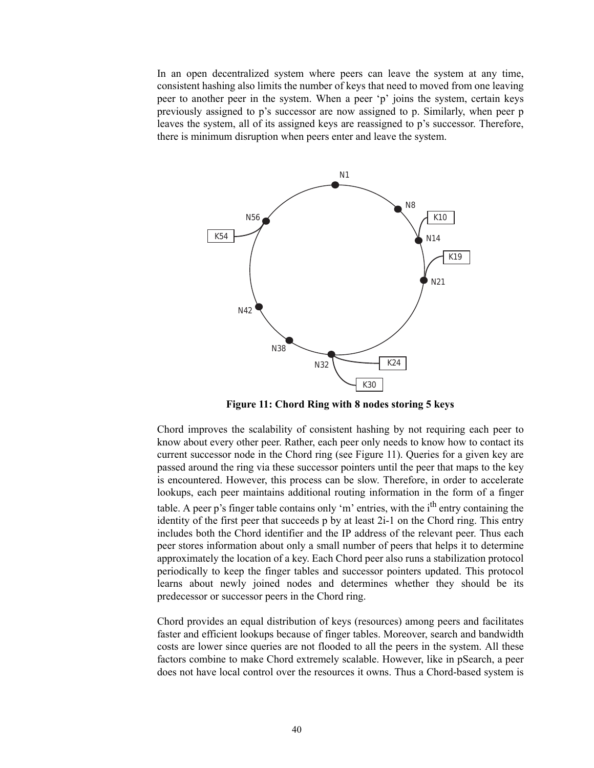In an open decentralized system where peers can leave the system at any time, consistent hashing also limits the number of keys that need to moved from one leaving peer to another peer in the system. When a peer 'p' joins the system, certain keys previously assigned to  $p$ 's successor are now assigned to p. Similarly, when peer p leaves the system, all of its assigned keys are reassigned to p's successor. Therefore, there is minimum disruption when peers enter and leave the system.



**Figure 11: Chord Ring with 8 nodes storing 5 keys**

Chord improves the scalability of consistent hashing by not requiring each peer to know about every other peer. Rather, each peer only needs to know how to contact its current successor node in the Chord ring (see Figure 11). Queries for a given key are passed around the ring via these successor pointers until the peer that maps to the key is encountered. However, this process can be slow. Therefore, in order to accelerate lookups, each peer maintains additional routing information in the form of a finger table. A peer p's finger table contains only 'm' entries, with the  $i<sup>th</sup>$  entry containing the identity of the first peer that succeeds p by at least 2i-1 on the Chord ring. This entry includes both the Chord identifier and the IP address of the relevant peer. Thus each peer stores information about only a small number of peers that helps it to determine approximately the location of a key. Each Chord peer also runs a stabilization protocol periodically to keep the finger tables and successor pointers updated. This protocol learns about newly joined nodes and determines whether they should be its predecessor or successor peers in the Chord ring.

Chord provides an equal distribution of keys (resources) among peers and facilitates faster and efficient lookups because of finger tables. Moreover, search and bandwidth costs are lower since queries are not flooded to all the peers in the system. All these factors combine to make Chord extremely scalable. However, like in pSearch, a peer does not have local control over the resources it owns. Thus a Chord-based system is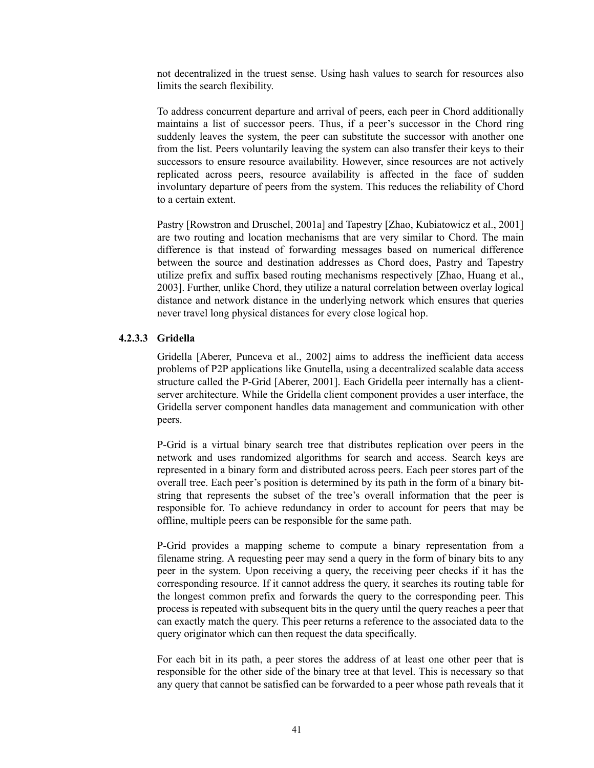not decentralized in the truest sense. Using hash values to search for resources also limits the search flexibility.

To address concurrent departure and arrival of peers, each peer in Chord additionally maintains a list of successor peers. Thus, if a peer's successor in the Chord ring suddenly leaves the system, the peer can substitute the successor with another one from the list. Peers voluntarily leaving the system can also transfer their keys to their successors to ensure resource availability. However, since resources are not actively replicated across peers, resource availability is affected in the face of sudden involuntary departure of peers from the system. This reduces the reliability of Chord to a certain extent.

Pastry [Rowstron and Druschel, 2001a] and Tapestry [Zhao, Kubiatowicz et al., 2001] are two routing and location mechanisms that are very similar to Chord. The main difference is that instead of forwarding messages based on numerical difference between the source and destination addresses as Chord does, Pastry and Tapestry utilize prefix and suffix based routing mechanisms respectively [Zhao, Huang et al., 2003]. Further, unlike Chord, they utilize a natural correlation between overlay logical distance and network distance in the underlying network which ensures that queries never travel long physical distances for every close logical hop.

#### **4.2.3.3 Gridella**

Gridella [Aberer, Punceva et al., 2002] aims to address the inefficient data access problems of P2P applications like Gnutella, using a decentralized scalable data access structure called the P-Grid [Aberer, 2001]. Each Gridella peer internally has a clientserver architecture. While the Gridella client component provides a user interface, the Gridella server component handles data management and communication with other peers.

P-Grid is a virtual binary search tree that distributes replication over peers in the network and uses randomized algorithms for search and access. Search keys are represented in a binary form and distributed across peers. Each peer stores part of the overall tree. Each peerís position is determined by its path in the form of a binary bitstring that represents the subset of the tree's overall information that the peer is responsible for. To achieve redundancy in order to account for peers that may be offline, multiple peers can be responsible for the same path.

P-Grid provides a mapping scheme to compute a binary representation from a filename string. A requesting peer may send a query in the form of binary bits to any peer in the system. Upon receiving a query, the receiving peer checks if it has the corresponding resource. If it cannot address the query, it searches its routing table for the longest common prefix and forwards the query to the corresponding peer. This process is repeated with subsequent bits in the query until the query reaches a peer that can exactly match the query. This peer returns a reference to the associated data to the query originator which can then request the data specifically.

For each bit in its path, a peer stores the address of at least one other peer that is responsible for the other side of the binary tree at that level. This is necessary so that any query that cannot be satisfied can be forwarded to a peer whose path reveals that it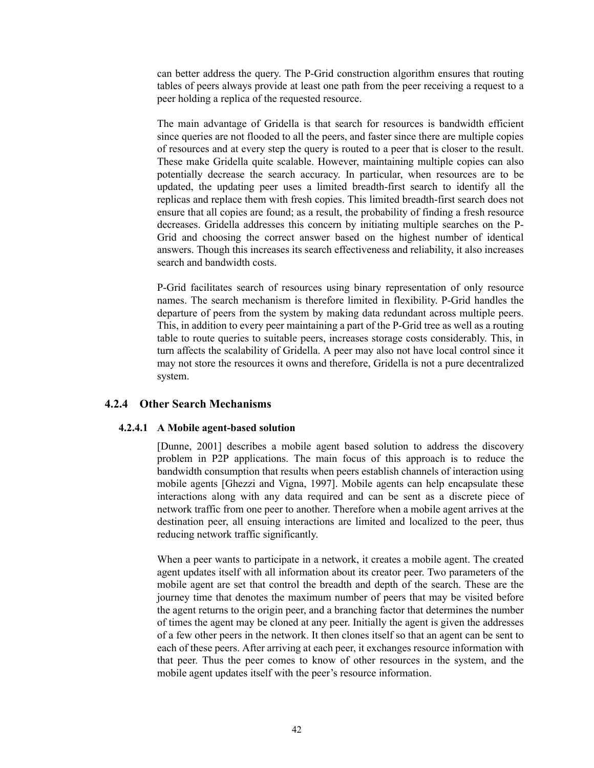can better address the query. The P-Grid construction algorithm ensures that routing tables of peers always provide at least one path from the peer receiving a request to a peer holding a replica of the requested resource.

The main advantage of Gridella is that search for resources is bandwidth efficient since queries are not flooded to all the peers, and faster since there are multiple copies of resources and at every step the query is routed to a peer that is closer to the result. These make Gridella quite scalable. However, maintaining multiple copies can also potentially decrease the search accuracy. In particular, when resources are to be updated, the updating peer uses a limited breadth-first search to identify all the replicas and replace them with fresh copies. This limited breadth-first search does not ensure that all copies are found; as a result, the probability of finding a fresh resource decreases. Gridella addresses this concern by initiating multiple searches on the P-Grid and choosing the correct answer based on the highest number of identical answers. Though this increases its search effectiveness and reliability, it also increases search and bandwidth costs.

P-Grid facilitates search of resources using binary representation of only resource names. The search mechanism is therefore limited in flexibility. P-Grid handles the departure of peers from the system by making data redundant across multiple peers. This, in addition to every peer maintaining a part of the P-Grid tree as well as a routing table to route queries to suitable peers, increases storage costs considerably. This, in turn affects the scalability of Gridella. A peer may also not have local control since it may not store the resources it owns and therefore, Gridella is not a pure decentralized system.

# **4.2.4 Other Search Mechanisms**

# **4.2.4.1 A Mobile agent-based solution**

[Dunne, 2001] describes a mobile agent based solution to address the discovery problem in P2P applications. The main focus of this approach is to reduce the bandwidth consumption that results when peers establish channels of interaction using mobile agents [Ghezzi and Vigna, 1997]. Mobile agents can help encapsulate these interactions along with any data required and can be sent as a discrete piece of network traffic from one peer to another. Therefore when a mobile agent arrives at the destination peer, all ensuing interactions are limited and localized to the peer, thus reducing network traffic significantly.

When a peer wants to participate in a network, it creates a mobile agent. The created agent updates itself with all information about its creator peer. Two parameters of the mobile agent are set that control the breadth and depth of the search. These are the journey time that denotes the maximum number of peers that may be visited before the agent returns to the origin peer, and a branching factor that determines the number of times the agent may be cloned at any peer. Initially the agent is given the addresses of a few other peers in the network. It then clones itself so that an agent can be sent to each of these peers. After arriving at each peer, it exchanges resource information with that peer. Thus the peer comes to know of other resources in the system, and the mobile agent updates itself with the peer's resource information.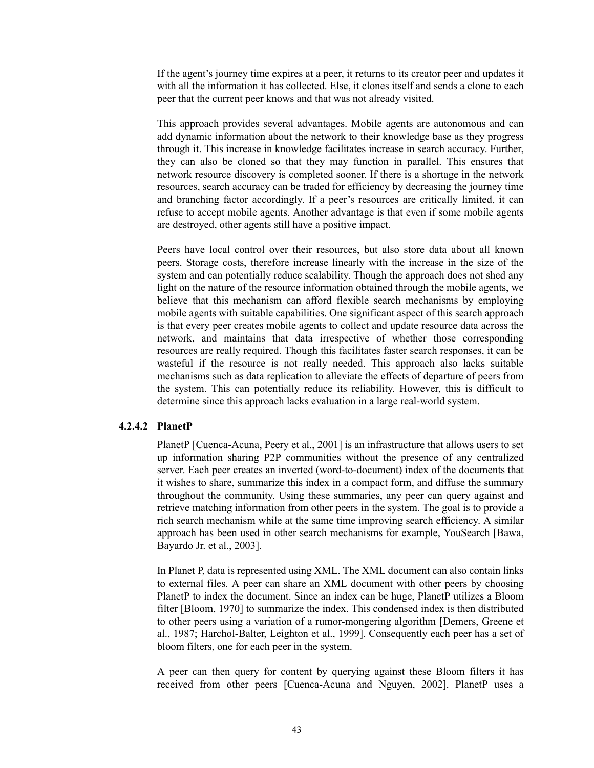If the agent's journey time expires at a peer, it returns to its creator peer and updates it with all the information it has collected. Else, it clones itself and sends a clone to each peer that the current peer knows and that was not already visited.

This approach provides several advantages. Mobile agents are autonomous and can add dynamic information about the network to their knowledge base as they progress through it. This increase in knowledge facilitates increase in search accuracy. Further, they can also be cloned so that they may function in parallel. This ensures that network resource discovery is completed sooner. If there is a shortage in the network resources, search accuracy can be traded for efficiency by decreasing the journey time and branching factor accordingly. If a peer's resources are critically limited, it can refuse to accept mobile agents. Another advantage is that even if some mobile agents are destroyed, other agents still have a positive impact.

Peers have local control over their resources, but also store data about all known peers. Storage costs, therefore increase linearly with the increase in the size of the system and can potentially reduce scalability. Though the approach does not shed any light on the nature of the resource information obtained through the mobile agents, we believe that this mechanism can afford flexible search mechanisms by employing mobile agents with suitable capabilities. One significant aspect of this search approach is that every peer creates mobile agents to collect and update resource data across the network, and maintains that data irrespective of whether those corresponding resources are really required. Though this facilitates faster search responses, it can be wasteful if the resource is not really needed. This approach also lacks suitable mechanisms such as data replication to alleviate the effects of departure of peers from the system. This can potentially reduce its reliability. However, this is difficult to determine since this approach lacks evaluation in a large real-world system.

#### **4.2.4.2 PlanetP**

PlanetP [Cuenca-Acuna, Peery et al., 2001] is an infrastructure that allows users to set up information sharing P2P communities without the presence of any centralized server. Each peer creates an inverted (word-to-document) index of the documents that it wishes to share, summarize this index in a compact form, and diffuse the summary throughout the community. Using these summaries, any peer can query against and retrieve matching information from other peers in the system. The goal is to provide a rich search mechanism while at the same time improving search efficiency. A similar approach has been used in other search mechanisms for example, YouSearch [Bawa, Bayardo Jr. et al., 2003].

In Planet P, data is represented using XML. The XML document can also contain links to external files. A peer can share an XML document with other peers by choosing PlanetP to index the document. Since an index can be huge, PlanetP utilizes a Bloom filter [Bloom, 1970] to summarize the index. This condensed index is then distributed to other peers using a variation of a rumor-mongering algorithm [Demers, Greene et al., 1987; Harchol-Balter, Leighton et al., 1999]. Consequently each peer has a set of bloom filters, one for each peer in the system.

A peer can then query for content by querying against these Bloom filters it has received from other peers [Cuenca-Acuna and Nguyen, 2002]. PlanetP uses a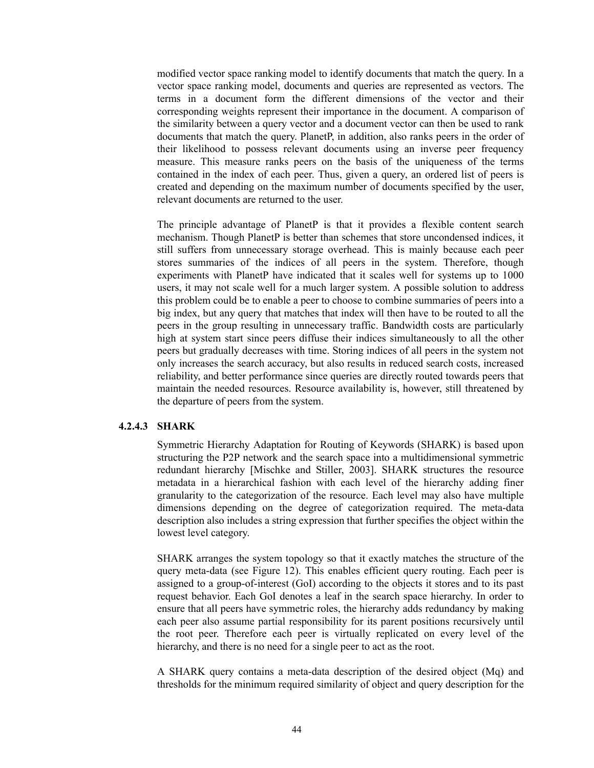modified vector space ranking model to identify documents that match the query. In a vector space ranking model, documents and queries are represented as vectors. The terms in a document form the different dimensions of the vector and their corresponding weights represent their importance in the document. A comparison of the similarity between a query vector and a document vector can then be used to rank documents that match the query. PlanetP, in addition, also ranks peers in the order of their likelihood to possess relevant documents using an inverse peer frequency measure. This measure ranks peers on the basis of the uniqueness of the terms contained in the index of each peer. Thus, given a query, an ordered list of peers is created and depending on the maximum number of documents specified by the user, relevant documents are returned to the user.

The principle advantage of PlanetP is that it provides a flexible content search mechanism. Though PlanetP is better than schemes that store uncondensed indices, it still suffers from unnecessary storage overhead. This is mainly because each peer stores summaries of the indices of all peers in the system. Therefore, though experiments with PlanetP have indicated that it scales well for systems up to 1000 users, it may not scale well for a much larger system. A possible solution to address this problem could be to enable a peer to choose to combine summaries of peers into a big index, but any query that matches that index will then have to be routed to all the peers in the group resulting in unnecessary traffic. Bandwidth costs are particularly high at system start since peers diffuse their indices simultaneously to all the other peers but gradually decreases with time. Storing indices of all peers in the system not only increases the search accuracy, but also results in reduced search costs, increased reliability, and better performance since queries are directly routed towards peers that maintain the needed resources. Resource availability is, however, still threatened by the departure of peers from the system.

#### **4.2.4.3 SHARK**

Symmetric Hierarchy Adaptation for Routing of Keywords (SHARK) is based upon structuring the P2P network and the search space into a multidimensional symmetric redundant hierarchy [Mischke and Stiller, 2003]. SHARK structures the resource metadata in a hierarchical fashion with each level of the hierarchy adding finer granularity to the categorization of the resource. Each level may also have multiple dimensions depending on the degree of categorization required. The meta-data description also includes a string expression that further specifies the object within the lowest level category.

SHARK arranges the system topology so that it exactly matches the structure of the query meta-data (see Figure 12). This enables efficient query routing. Each peer is assigned to a group-of-interest (GoI) according to the objects it stores and to its past request behavior. Each GoI denotes a leaf in the search space hierarchy. In order to ensure that all peers have symmetric roles, the hierarchy adds redundancy by making each peer also assume partial responsibility for its parent positions recursively until the root peer. Therefore each peer is virtually replicated on every level of the hierarchy, and there is no need for a single peer to act as the root.

A SHARK query contains a meta-data description of the desired object (Mq) and thresholds for the minimum required similarity of object and query description for the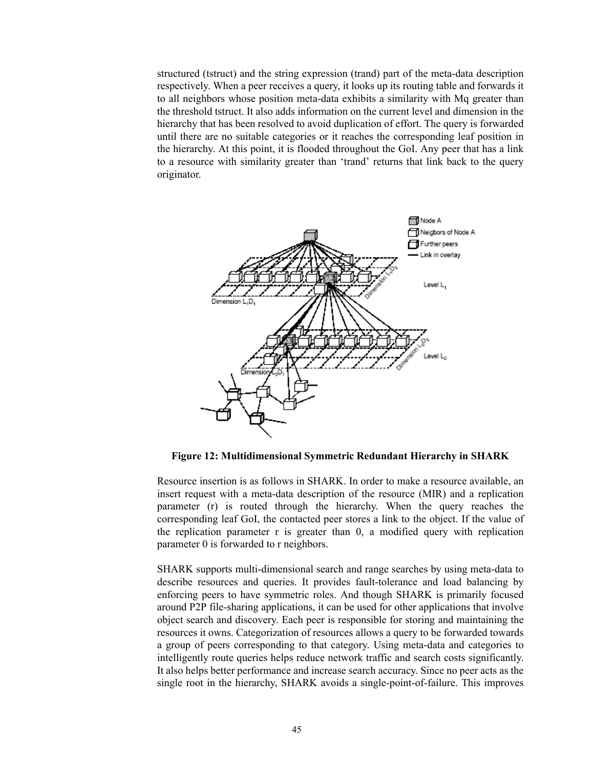structured (tstruct) and the string expression (trand) part of the meta-data description respectively. When a peer receives a query, it looks up its routing table and forwards it to all neighbors whose position meta-data exhibits a similarity with Mq greater than the threshold tstruct. It also adds information on the current level and dimension in the hierarchy that has been resolved to avoid duplication of effort. The query is forwarded until there are no suitable categories or it reaches the corresponding leaf position in the hierarchy. At this point, it is flooded throughout the GoI. Any peer that has a link to a resource with similarity greater than 'trand' returns that link back to the query originator.



**Figure 12: Multidimensional Symmetric Redundant Hierarchy in SHARK**

Resource insertion is as follows in SHARK. In order to make a resource available, an insert request with a meta-data description of the resource (MIR) and a replication parameter (r) is routed through the hierarchy. When the query reaches the corresponding leaf GoI, the contacted peer stores a link to the object. If the value of the replication parameter r is greater than 0, a modified query with replication parameter 0 is forwarded to r neighbors.

SHARK supports multi-dimensional search and range searches by using meta-data to describe resources and queries. It provides fault-tolerance and load balancing by enforcing peers to have symmetric roles. And though SHARK is primarily focused around P2P file-sharing applications, it can be used for other applications that involve object search and discovery. Each peer is responsible for storing and maintaining the resources it owns. Categorization of resources allows a query to be forwarded towards a group of peers corresponding to that category. Using meta-data and categories to intelligently route queries helps reduce network traffic and search costs significantly. It also helps better performance and increase search accuracy. Since no peer acts as the single root in the hierarchy, SHARK avoids a single-point-of-failure. This improves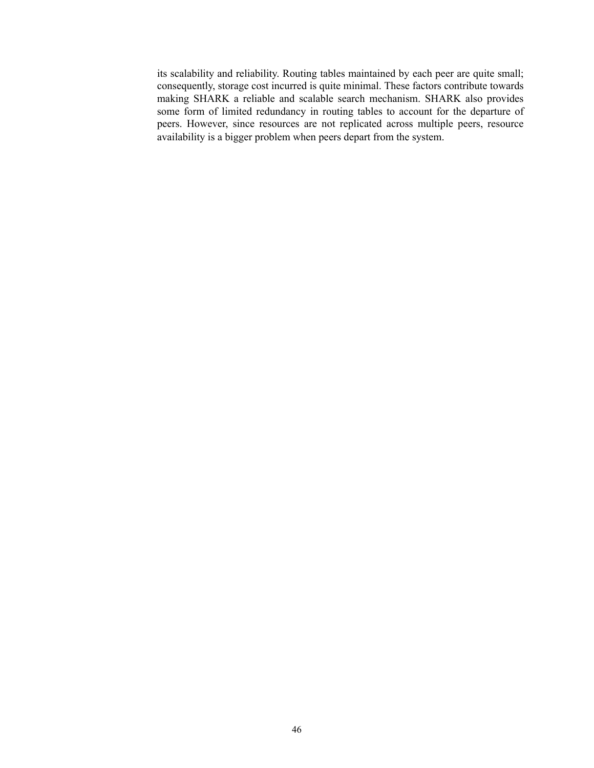its scalability and reliability. Routing tables maintained by each peer are quite small; consequently, storage cost incurred is quite minimal. These factors contribute towards making SHARK a reliable and scalable search mechanism. SHARK also provides some form of limited redundancy in routing tables to account for the departure of peers. However, since resources are not replicated across multiple peers, resource availability is a bigger problem when peers depart from the system.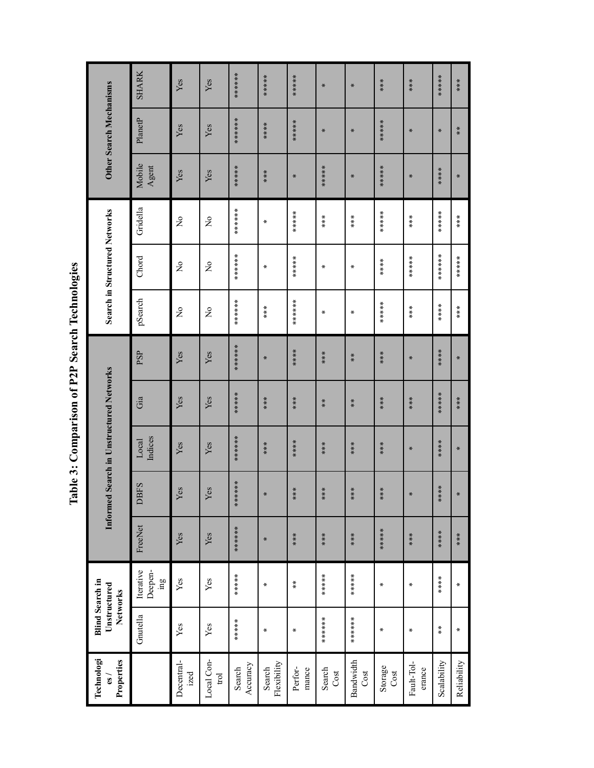Table 3: Comparison of P2P Search Technologies **Table 3: Comparison of P2P Search Technologies**

| Technologi<br>Properties<br>$\overline{\mathbf{e}}$ s |                             | <b>Blind Search in</b><br>Unstructured<br><b>Networks</b> |                |                | Informed Search in Unstructured Networks |                               |                                    |                                     | Search in Structured Networks                               |               |                   | <b>Other Search Mechanisms</b> |                |
|-------------------------------------------------------|-----------------------------|-----------------------------------------------------------|----------------|----------------|------------------------------------------|-------------------------------|------------------------------------|-------------------------------------|-------------------------------------------------------------|---------------|-------------------|--------------------------------|----------------|
|                                                       | Gnutella                    | Iterative<br>Deepen-<br>$\overline{\mathbf{a}}$           | FreeNet        | <b>DBFS</b>    | Indices<br>Local                         | Gia                           | PSP                                | pSearch                             | Chord                                                       | Gridella      | Mobile<br>Agent   | PlanetP                        | <b>SHARK</b>   |
| Decentral-<br>ized                                    | Yes                         | Yes                                                       | Yes            | res            | Yes                                      | Yes                           | Yes                                | $\frac{1}{2}$                       | $\frac{1}{2}$                                               | $\frac{1}{2}$ | Yes               | Yes                            | Yes            |
| Local Con-<br>trol                                    | Yes                         | Yes                                                       | Yes            | Yes            | Yes                                      | Yes                           | Yes                                | $\stackrel{\mathtt{o}}{\mathsf{z}}$ | $\tilde{z}$                                                 | $\frac{1}{2}$ | Yes               | Yes                            | Yes            |
| Accuracy<br>Search                                    | ******                      | ******                                                    | *******        | *******        | *******                                  | ******                        | *******                            | *******                             | *******                                                     | *******       | ******            | *******                        | *******        |
| Flexibility<br>Search                                 | $\pmb{\varkappa}$           | $\mathbb X$                                               | $\pmb{\times}$ | X              | $* * *$                                  | $* * *$                       | $\pmb{\times}$                     |                                     | $\chi$                                                      | $\mathbb X$   | $***$             | *****                          | ******         |
| Perfor-<br>mance                                      | $\pmb{\varkappa}$           | $\frac{\varkappa}{\varkappa}$                             | $* * * *$      | $* * *$        | *****                                    | ****                          | *****                              | *******                             | ******                                                      | ******        | $\pmb{\varkappa}$ | ******                         | ******         |
| Search<br>Cost                                        | *******                     | ******                                                    | $* * *$        | $* * * *$      | ***                                      | $\frac{\varkappa}{\varkappa}$ | $* * *$                            | $\chi$                              | $\chi$                                                      |               | ******            | $\pmb{\times}$                 | $\pmb{\times}$ |
| Bandwidth<br>Cost                                     | *******                     | ******                                                    | $***$          | ****           |                                          | $\stackrel{*}{\ast}$          | $\stackrel{\text{\tiny{M}}}{\ast}$ | $\pmb{\times}$                      | $\chi$                                                      |               | $\pmb{\times}$    | $\pmb{\times}$                 | $\pmb{\times}$ |
| Storage<br>Cost                                       | $\pmb{\times}$              | $\pmb{\times}$                                            | ******         | $* * * *$      | $***$                                    | $***$                         | $***$                              | ******                              | $\begin{array}{l} \ast \\ \ast \\ \ast \\ \ast \end{array}$ | ******        | ******            | ******                         | $***$          |
| Fault-Tol-<br>erance                                  | $\pmb{\varkappa}$           | $\pmb{\times}$                                            | $* * *$        | $\pmb{\times}$ | $\pmb{\times}$                           | $* * *$                       | $\pmb{\times}$                     | $**$                                | ******                                                      |               | $\pmb{\times}$    | $\pmb{\times}$                 | $* * *$        |
| Scalability                                           | $\frac{\text{X}}{\text{X}}$ | ****                                                      | *****          | *****          | *****                                    | ******                        | *****                              | *****                               | ********                                                    | ******        | *****             | $\pmb{\varkappa}$              | ******         |
| Reliability                                           | $\mathbf x$                 | $\mathbb X$                                               | $***$          | $\pmb{\times}$ | $\ast$                                   | $***$                         | $\pmb{\times}$                     |                                     | ******                                                      |               | $\pmb{\times}$    | $\frac{1}{2}$                  | $***$          |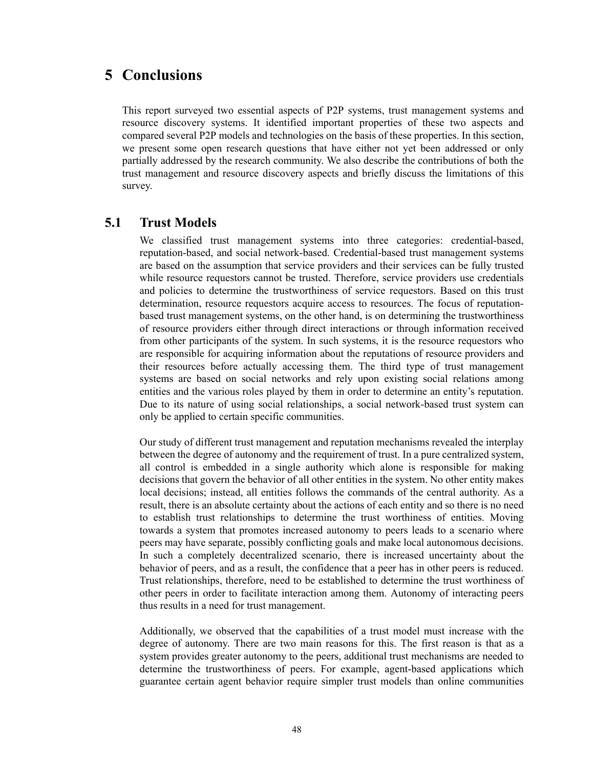# **5 Conclusions**

This report surveyed two essential aspects of P2P systems, trust management systems and resource discovery systems. It identified important properties of these two aspects and compared several P2P models and technologies on the basis of these properties. In this section, we present some open research questions that have either not yet been addressed or only partially addressed by the research community. We also describe the contributions of both the trust management and resource discovery aspects and briefly discuss the limitations of this survey.

# **5.1 Trust Models**

We classified trust management systems into three categories: credential-based, reputation-based, and social network-based. Credential-based trust management systems are based on the assumption that service providers and their services can be fully trusted while resource requestors cannot be trusted. Therefore, service providers use credentials and policies to determine the trustworthiness of service requestors. Based on this trust determination, resource requestors acquire access to resources. The focus of reputationbased trust management systems, on the other hand, is on determining the trustworthiness of resource providers either through direct interactions or through information received from other participants of the system. In such systems, it is the resource requestors who are responsible for acquiring information about the reputations of resource providers and their resources before actually accessing them. The third type of trust management systems are based on social networks and rely upon existing social relations among entities and the various roles played by them in order to determine an entity's reputation. Due to its nature of using social relationships, a social network-based trust system can only be applied to certain specific communities.

Our study of different trust management and reputation mechanisms revealed the interplay between the degree of autonomy and the requirement of trust. In a pure centralized system, all control is embedded in a single authority which alone is responsible for making decisions that govern the behavior of all other entities in the system. No other entity makes local decisions; instead, all entities follows the commands of the central authority. As a result, there is an absolute certainty about the actions of each entity and so there is no need to establish trust relationships to determine the trust worthiness of entities. Moving towards a system that promotes increased autonomy to peers leads to a scenario where peers may have separate, possibly conflicting goals and make local autonomous decisions. In such a completely decentralized scenario, there is increased uncertainty about the behavior of peers, and as a result, the confidence that a peer has in other peers is reduced. Trust relationships, therefore, need to be established to determine the trust worthiness of other peers in order to facilitate interaction among them. Autonomy of interacting peers thus results in a need for trust management.

Additionally, we observed that the capabilities of a trust model must increase with the degree of autonomy. There are two main reasons for this. The first reason is that as a system provides greater autonomy to the peers, additional trust mechanisms are needed to determine the trustworthiness of peers. For example, agent-based applications which guarantee certain agent behavior require simpler trust models than online communities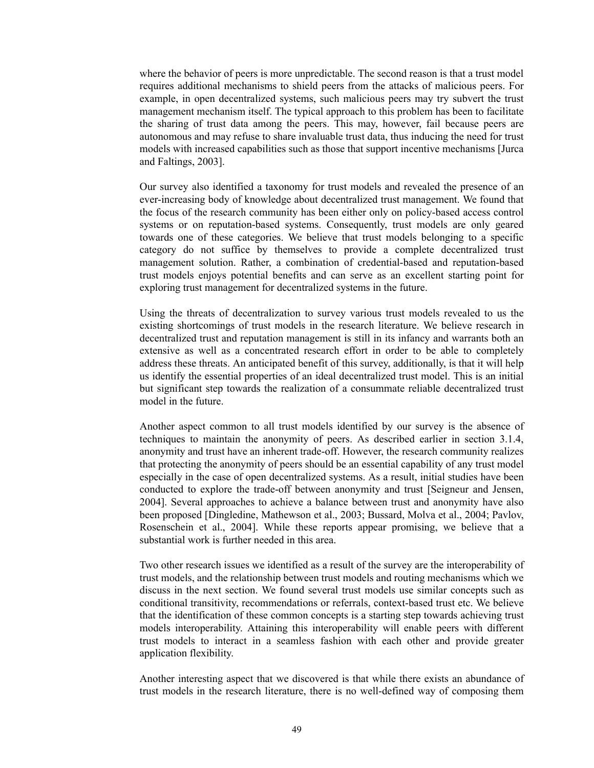where the behavior of peers is more unpredictable. The second reason is that a trust model requires additional mechanisms to shield peers from the attacks of malicious peers. For example, in open decentralized systems, such malicious peers may try subvert the trust management mechanism itself. The typical approach to this problem has been to facilitate the sharing of trust data among the peers. This may, however, fail because peers are autonomous and may refuse to share invaluable trust data, thus inducing the need for trust models with increased capabilities such as those that support incentive mechanisms [Jurca and Faltings, 2003].

Our survey also identified a taxonomy for trust models and revealed the presence of an ever-increasing body of knowledge about decentralized trust management. We found that the focus of the research community has been either only on policy-based access control systems or on reputation-based systems. Consequently, trust models are only geared towards one of these categories. We believe that trust models belonging to a specific category do not suffice by themselves to provide a complete decentralized trust management solution. Rather, a combination of credential-based and reputation-based trust models enjoys potential benefits and can serve as an excellent starting point for exploring trust management for decentralized systems in the future.

Using the threats of decentralization to survey various trust models revealed to us the existing shortcomings of trust models in the research literature. We believe research in decentralized trust and reputation management is still in its infancy and warrants both an extensive as well as a concentrated research effort in order to be able to completely address these threats. An anticipated benefit of this survey, additionally, is that it will help us identify the essential properties of an ideal decentralized trust model. This is an initial but significant step towards the realization of a consummate reliable decentralized trust model in the future.

Another aspect common to all trust models identified by our survey is the absence of techniques to maintain the anonymity of peers. As described earlier in section 3.1.4, anonymity and trust have an inherent trade-off. However, the research community realizes that protecting the anonymity of peers should be an essential capability of any trust model especially in the case of open decentralized systems. As a result, initial studies have been conducted to explore the trade-off between anonymity and trust [Seigneur and Jensen, 2004]. Several approaches to achieve a balance between trust and anonymity have also been proposed [Dingledine, Mathewson et al., 2003; Bussard, Molva et al., 2004; Pavlov, Rosenschein et al., 2004]. While these reports appear promising, we believe that a substantial work is further needed in this area.

Two other research issues we identified as a result of the survey are the interoperability of trust models, and the relationship between trust models and routing mechanisms which we discuss in the next section. We found several trust models use similar concepts such as conditional transitivity, recommendations or referrals, context-based trust etc. We believe that the identification of these common concepts is a starting step towards achieving trust models interoperability. Attaining this interoperability will enable peers with different trust models to interact in a seamless fashion with each other and provide greater application flexibility.

Another interesting aspect that we discovered is that while there exists an abundance of trust models in the research literature, there is no well-defined way of composing them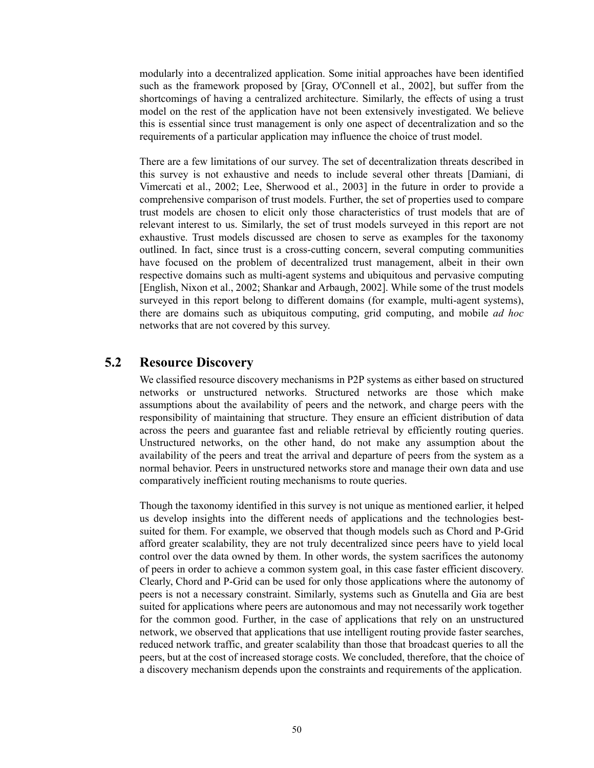modularly into a decentralized application. Some initial approaches have been identified such as the framework proposed by [Gray, O'Connell et al., 2002], but suffer from the shortcomings of having a centralized architecture. Similarly, the effects of using a trust model on the rest of the application have not been extensively investigated. We believe this is essential since trust management is only one aspect of decentralization and so the requirements of a particular application may influence the choice of trust model.

There are a few limitations of our survey. The set of decentralization threats described in this survey is not exhaustive and needs to include several other threats [Damiani, di Vimercati et al., 2002; Lee, Sherwood et al., 2003] in the future in order to provide a comprehensive comparison of trust models. Further, the set of properties used to compare trust models are chosen to elicit only those characteristics of trust models that are of relevant interest to us. Similarly, the set of trust models surveyed in this report are not exhaustive. Trust models discussed are chosen to serve as examples for the taxonomy outlined. In fact, since trust is a cross-cutting concern, several computing communities have focused on the problem of decentralized trust management, albeit in their own respective domains such as multi-agent systems and ubiquitous and pervasive computing [English, Nixon et al., 2002; Shankar and Arbaugh, 2002]. While some of the trust models surveyed in this report belong to different domains (for example, multi-agent systems), there are domains such as ubiquitous computing, grid computing, and mobile *ad hoc* networks that are not covered by this survey.

# **5.2 Resource Discovery**

We classified resource discovery mechanisms in P2P systems as either based on structured networks or unstructured networks. Structured networks are those which make assumptions about the availability of peers and the network, and charge peers with the responsibility of maintaining that structure. They ensure an efficient distribution of data across the peers and guarantee fast and reliable retrieval by efficiently routing queries. Unstructured networks, on the other hand, do not make any assumption about the availability of the peers and treat the arrival and departure of peers from the system as a normal behavior. Peers in unstructured networks store and manage their own data and use comparatively inefficient routing mechanisms to route queries.

Though the taxonomy identified in this survey is not unique as mentioned earlier, it helped us develop insights into the different needs of applications and the technologies bestsuited for them. For example, we observed that though models such as Chord and P-Grid afford greater scalability, they are not truly decentralized since peers have to yield local control over the data owned by them. In other words, the system sacrifices the autonomy of peers in order to achieve a common system goal, in this case faster efficient discovery. Clearly, Chord and P-Grid can be used for only those applications where the autonomy of peers is not a necessary constraint. Similarly, systems such as Gnutella and Gia are best suited for applications where peers are autonomous and may not necessarily work together for the common good. Further, in the case of applications that rely on an unstructured network, we observed that applications that use intelligent routing provide faster searches, reduced network traffic, and greater scalability than those that broadcast queries to all the peers, but at the cost of increased storage costs. We concluded, therefore, that the choice of a discovery mechanism depends upon the constraints and requirements of the application.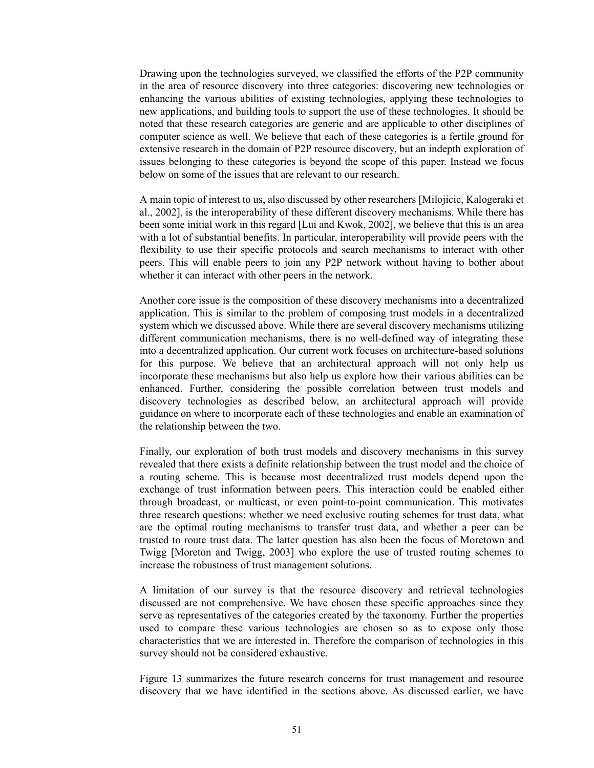Drawing upon the technologies surveyed, we classified the efforts of the P2P community in the area of resource discovery into three categories: discovering new technologies or enhancing the various abilities of existing technologies, applying these technologies to new applications, and building tools to support the use of these technologies. It should be noted that these research categories are generic and are applicable to other disciplines of computer science as well. We believe that each of these categories is a fertile ground for extensive research in the domain of P2P resource discovery, but an indepth exploration of issues belonging to these categories is beyond the scope of this paper. Instead we focus below on some of the issues that are relevant to our research.

A main topic of interest to us, also discussed by other researchers [Milojicic, Kalogeraki et al., 2002], is the interoperability of these different discovery mechanisms. While there has been some initial work in this regard [Lui and Kwok, 2002], we believe that this is an area with a lot of substantial benefits. In particular, interoperability will provide peers with the flexibility to use their specific protocols and search mechanisms to interact with other peers. This will enable peers to join any P2P network without having to bother about whether it can interact with other peers in the network.

Another core issue is the composition of these discovery mechanisms into a decentralized application. This is similar to the problem of composing trust models in a decentralized system which we discussed above. While there are several discovery mechanisms utilizing different communication mechanisms, there is no well-defined way of integrating these into a decentralized application. Our current work focuses on architecture-based solutions for this purpose. We believe that an architectural approach will not only help us incorporate these mechanisms but also help us explore how their various abilities can be enhanced. Further, considering the possible correlation between trust models and discovery technologies as described below, an architectural approach will provide guidance on where to incorporate each of these technologies and enable an examination of the relationship between the two.

Finally, our exploration of both trust models and discovery mechanisms in this survey revealed that there exists a definite relationship between the trust model and the choice of a routing scheme. This is because most decentralized trust models depend upon the exchange of trust information between peers. This interaction could be enabled either through broadcast, or multicast, or even point-to-point communication. This motivates three research questions: whether we need exclusive routing schemes for trust data, what are the optimal routing mechanisms to transfer trust data, and whether a peer can be trusted to route trust data. The latter question has also been the focus of Moretown and Twigg [Moreton and Twigg, 2003] who explore the use of trusted routing schemes to increase the robustness of trust management solutions.

A limitation of our survey is that the resource discovery and retrieval technologies discussed are not comprehensive. We have chosen these specific approaches since they serve as representatives of the categories created by the taxonomy. Further the properties used to compare these various technologies are chosen so as to expose only those characteristics that we are interested in. Therefore the comparison of technologies in this survey should not be considered exhaustive.

Figure 13 summarizes the future research concerns for trust management and resource discovery that we have identified in the sections above. As discussed earlier, we have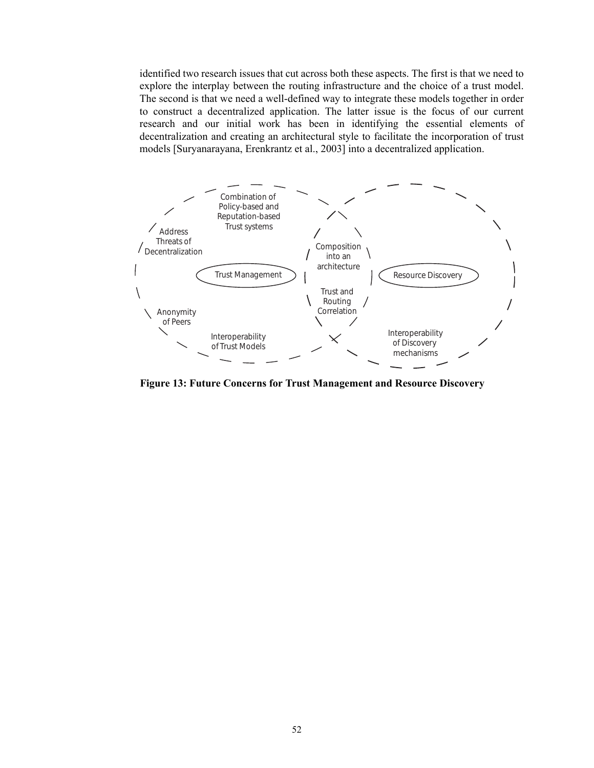identified two research issues that cut across both these aspects. The first is that we need to explore the interplay between the routing infrastructure and the choice of a trust model. The second is that we need a well-defined way to integrate these models together in order to construct a decentralized application. The latter issue is the focus of our current research and our initial work has been in identifying the essential elements of decentralization and creating an architectural style to facilitate the incorporation of trust models [Suryanarayana, Erenkrantz et al., 2003] into a decentralized application.



**Figure 13: Future Concerns for Trust Management and Resource Discovery**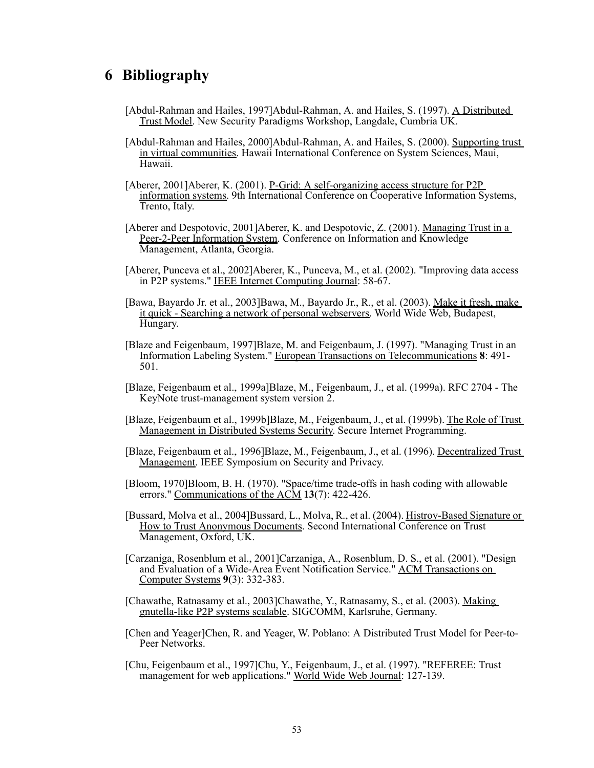# **6 Bibliography**

- [Abdul-Rahman and Hailes, 1997]Abdul-Rahman, A. and Hailes, S. (1997). A Distributed Trust Model. New Security Paradigms Workshop, Langdale, Cumbria UK.
- [Abdul-Rahman and Hailes, 2000]Abdul-Rahman, A. and Hailes, S. (2000). Supporting trust in virtual communities. Hawaii International Conference on System Sciences, Maui, Hawaii.
- [Aberer, 2001]Aberer, K. (2001). P-Grid: A self-organizing access structure for P2P information systems. 9th International Conference on Cooperative Information Systems, Trento, Italy.
- [Aberer and Despotovic, 2001]Aberer, K. and Despotovic, Z. (2001). Managing Trust in a Peer-2-Peer Information System. Conference on Information and Knowledge Management, Atlanta, Georgia.
- [Aberer, Punceva et al., 2002]Aberer, K., Punceva, M., et al. (2002). "Improving data access in P2P systems." IEEE Internet Computing Journal: 58-67.
- [Bawa, Bayardo Jr. et al., 2003]Bawa, M., Bayardo Jr., R., et al. (2003). Make it fresh, make it quick - Searching a network of personal webservers. World Wide Web, Budapest, Hungary.
- [Blaze and Feigenbaum, 1997]Blaze, M. and Feigenbaum, J. (1997). "Managing Trust in an Information Labeling System." European Transactions on Telecommunications **8**: 491- 501.
- [Blaze, Feigenbaum et al., 1999a]Blaze, M., Feigenbaum, J., et al. (1999a). RFC 2704 The KeyNote trust-management system version 2.
- [Blaze, Feigenbaum et al., 1999b]Blaze, M., Feigenbaum, J., et al. (1999b). The Role of Trust Management in Distributed Systems Security. Secure Internet Programming.
- [Blaze, Feigenbaum et al., 1996]Blaze, M., Feigenbaum, J., et al. (1996). Decentralized Trust Management. IEEE Symposium on Security and Privacy.
- [Bloom, 1970]Bloom, B. H. (1970). "Space/time trade-offs in hash coding with allowable errors." Communications of the ACM **13**(7): 422-426.
- [Bussard, Molva et al., 2004]Bussard, L., Molva, R., et al. (2004). Histroy-Based Signature or How to Trust Anonymous Documents. Second International Conference on Trust Management, Oxford, UK.
- [Carzaniga, Rosenblum et al., 2001]Carzaniga, A., Rosenblum, D. S., et al. (2001). "Design and Evaluation of a Wide-Area Event Notification Service." ACM Transactions on Computer Systems **9**(3): 332-383.
- [Chawathe, Ratnasamy et al., 2003]Chawathe, Y., Ratnasamy, S., et al. (2003). Making gnutella-like P2P systems scalable. SIGCOMM, Karlsruhe, Germany.
- [Chen and Yeager]Chen, R. and Yeager, W. Poblano: A Distributed Trust Model for Peer-to-Peer Networks.
- [Chu, Feigenbaum et al., 1997]Chu, Y., Feigenbaum, J., et al. (1997). "REFEREE: Trust management for web applications." World Wide Web Journal: 127-139.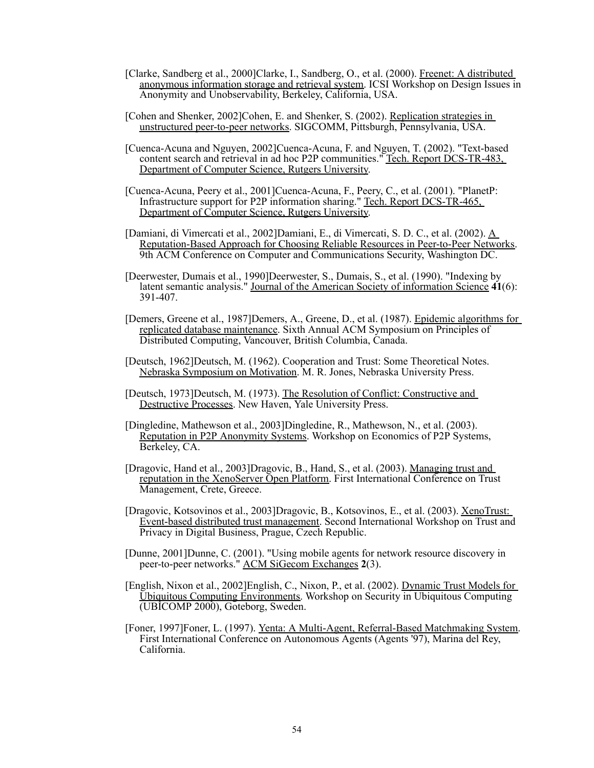- [Clarke, Sandberg et al., 2000]Clarke, I., Sandberg, O., et al. (2000). Freenet: A distributed anonymous information storage and retrieval system. ICSI Workshop on Design Issues in Anonymity and Unobservability, Berkeley, California, USA.
- [Cohen and Shenker, 2002]Cohen, E. and Shenker, S. (2002). Replication strategies in unstructured peer-to-peer networks. SIGCOMM, Pittsburgh, Pennsylvania, USA.
- [Cuenca-Acuna and Nguyen, 2002]Cuenca-Acuna, F. and Nguyen, T. (2002). "Text-based content search and retrieval in ad hoc P2P communities." Tech. Report DCS-TR-483, Department of Computer Science, Rutgers University.
- [Cuenca-Acuna, Peery et al., 2001]Cuenca-Acuna, F., Peery, C., et al. (2001). "PlanetP: Infrastructure support for P2P information sharing." Tech. Report DCS-TR-465, Department of Computer Science, Rutgers University.
- [Damiani, di Vimercati et al., 2002]Damiani, E., di Vimercati, S. D. C., et al. (2002). A Reputation-Based Approach for Choosing Reliable Resources in Peer-to-Peer Networks. 9th ACM Conference on Computer and Communications Security, Washington DC.
- [Deerwester, Dumais et al., 1990]Deerwester, S., Dumais, S., et al. (1990). "Indexing by latent semantic analysis." Journal of the American Society of information Science **41**(6): 391-407.
- [Demers, Greene et al., 1987]Demers, A., Greene, D., et al. (1987). Epidemic algorithms for replicated database maintenance. Sixth Annual ACM Symposium on Principles of Distributed Computing, Vancouver, British Columbia, Canada.
- [Deutsch, 1962]Deutsch, M. (1962). Cooperation and Trust: Some Theoretical Notes. Nebraska Symposium on Motivation. M. R. Jones, Nebraska University Press.
- [Deutsch, 1973]Deutsch, M. (1973). The Resolution of Conflict: Constructive and Destructive Processes. New Haven, Yale University Press.
- [Dingledine, Mathewson et al., 2003]Dingledine, R., Mathewson, N., et al. (2003). Reputation in P2P Anonymity Systems. Workshop on Economics of P2P Systems, Berkeley, CA.
- [Dragovic, Hand et al., 2003]Dragovic, B., Hand, S., et al. (2003). Managing trust and reputation in the XenoServer Open Platform. First International Conference on Trust Management, Crete, Greece.
- [Dragovic, Kotsovinos et al., 2003]Dragovic, B., Kotsovinos, E., et al. (2003). XenoTrust: Event-based distributed trust management. Second International Workshop on Trust and Privacy in Digital Business, Prague, Czech Republic.
- [Dunne, 2001]Dunne, C. (2001). "Using mobile agents for network resource discovery in peer-to-peer networks." ACM SiGecom Exchanges **2**(3).
- [English, Nixon et al., 2002]English, C., Nixon, P., et al. (2002). Dynamic Trust Models for Ubiquitous Computing Environments. Workshop on Security in Ubiquitous Computing (UBICOMP 2000), Goteborg, Sweden.
- [Foner, 1997]Foner, L. (1997). Yenta: A Multi-Agent, Referral-Based Matchmaking System. First International Conference on Autonomous Agents (Agents '97), Marina del Rey, California.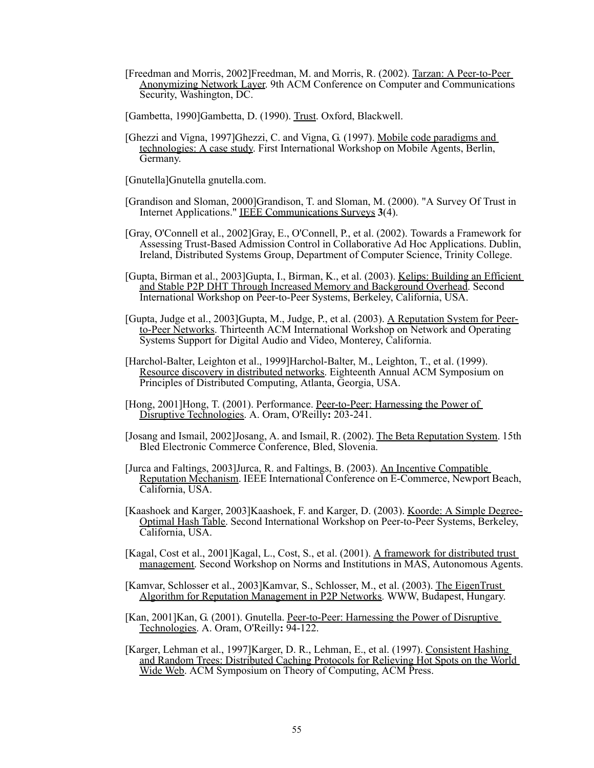- [Freedman and Morris, 2002]Freedman, M. and Morris, R. (2002). Tarzan: A Peer-to-Peer Anonymizing Network Layer. 9th ACM Conference on Computer and Communications Security, Washington, DC.
- [Gambetta, 1990]Gambetta, D. (1990). Trust. Oxford, Blackwell.
- [Ghezzi and Vigna, 1997]Ghezzi, C. and Vigna, G. (1997). Mobile code paradigms and technologies: A case study. First International Workshop on Mobile Agents, Berlin, Germany.

[Gnutella]Gnutella gnutella.com.

- [Grandison and Sloman, 2000]Grandison, T. and Sloman, M. (2000). "A Survey Of Trust in Internet Applications." IEEE Communications Surveys **3**(4).
- [Gray, O'Connell et al., 2002]Gray, E., O'Connell, P., et al. (2002). Towards a Framework for Assessing Trust-Based Admission Control in Collaborative Ad Hoc Applications. Dublin, Ireland, Distributed Systems Group, Department of Computer Science, Trinity College.
- [Gupta, Birman et al., 2003]Gupta, I., Birman, K., et al. (2003). Kelips: Building an Efficient and Stable P2P DHT Through Increased Memory and Background Overhead. Second International Workshop on Peer-to-Peer Systems, Berkeley, California, USA.
- [Gupta, Judge et al., 2003]Gupta, M., Judge, P., et al. (2003). A Reputation System for Peerto-Peer Networks. Thirteenth ACM International Workshop on Network and Operating Systems Support for Digital Audio and Video, Monterey, California.
- [Harchol-Balter, Leighton et al., 1999]Harchol-Balter, M., Leighton, T., et al. (1999). Resource discovery in distributed networks. Eighteenth Annual ACM Symposium on Principles of Distributed Computing, Atlanta, Georgia, USA.
- [Hong, 2001]Hong, T. (2001). Performance. Peer-to-Peer: Harnessing the Power of Disruptive Technologies. A. Oram, O'Reilly**:** 203-241.
- [Josang and Ismail, 2002]Josang, A. and Ismail, R. (2002). The Beta Reputation System. 15th Bled Electronic Commerce Conference, Bled, Slovenia.
- [Jurca and Faltings, 2003]Jurca, R. and Faltings, B. (2003). An Incentive Compatible Reputation Mechanism. IEEE International Conference on E-Commerce, Newport Beach, California, USA.
- [Kaashoek and Karger, 2003]Kaashoek, F. and Karger, D. (2003). Koorde: A Simple Degree-Optimal Hash Table. Second International Workshop on Peer-to-Peer Systems, Berkeley, California, USA.
- [Kagal, Cost et al., 2001]Kagal, L., Cost, S., et al. (2001). A framework for distributed trust management. Second Workshop on Norms and Institutions in MAS, Autonomous Agents.
- [Kamvar, Schlosser et al., 2003]Kamvar, S., Schlosser, M., et al. (2003). The EigenTrust Algorithm for Reputation Management in P2P Networks. WWW, Budapest, Hungary.
- [Kan, 2001]Kan, G. (2001). Gnutella. Peer-to-Peer: Harnessing the Power of Disruptive Technologies. A. Oram, O'Reilly**:** 94-122.
- [Karger, Lehman et al., 1997]Karger, D. R., Lehman, E., et al. (1997). Consistent Hashing and Random Trees: Distributed Caching Protocols for Relieving Hot Spots on the World Wide Web. ACM Symposium on Theory of Computing, ACM Press.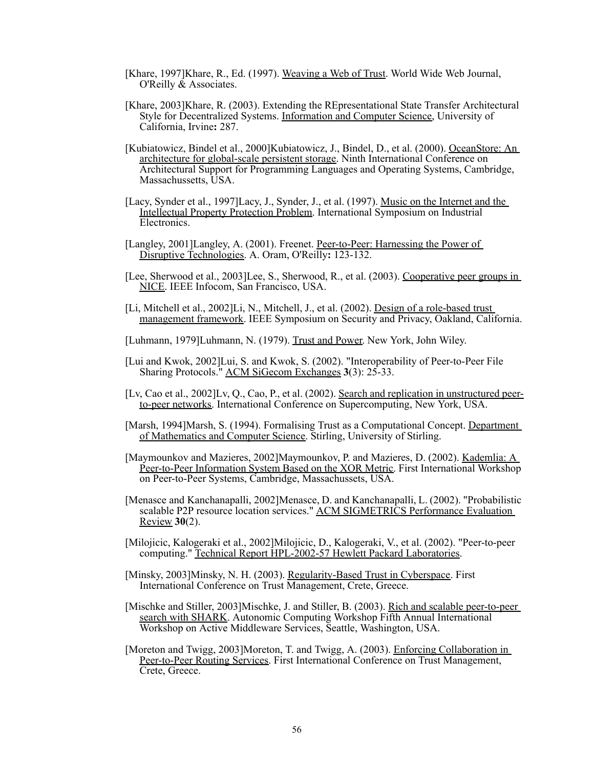- [Khare, 1997]Khare, R., Ed. (1997). Weaving a Web of Trust. World Wide Web Journal, O'Reilly & Associates.
- [Khare, 2003]Khare, R. (2003). Extending the REpresentational State Transfer Architectural Style for Decentralized Systems. Information and Computer Science, University of California, Irvine**:** 287.
- [Kubiatowicz, Bindel et al., 2000]Kubiatowicz, J., Bindel, D., et al. (2000). OceanStore: An architecture for global-scale persistent storage. Ninth International Conference on Architectural Support for Programming Languages and Operating Systems, Cambridge, Massachussetts, USA.
- [Lacy, Synder et al., 1997]Lacy, J., Synder, J., et al. (1997). Music on the Internet and the Intellectual Property Protection Problem. International Symposium on Industrial Electronics.
- [Langley, 2001]Langley, A. (2001). Freenet. Peer-to-Peer: Harnessing the Power of Disruptive Technologies. A. Oram, O'Reilly**:** 123-132.
- [Lee, Sherwood et al., 2003]Lee, S., Sherwood, R., et al. (2003). Cooperative peer groups in NICE. IEEE Infocom, San Francisco, USA.
- [Li, Mitchell et al., 2002]Li, N., Mitchell, J., et al. (2002). Design of a role-based trust management framework. IEEE Symposium on Security and Privacy, Oakland, California.
- [Luhmann, 1979]Luhmann, N. (1979). Trust and Power. New York, John Wiley.
- [Lui and Kwok, 2002]Lui, S. and Kwok, S. (2002). "Interoperability of Peer-to-Peer File Sharing Protocols." ACM SiGecom Exchanges **3**(3): 25-33.
- [Lv, Cao et al., 2002]Lv, Q., Cao, P., et al. (2002). Search and replication in unstructured peerto-peer networks. International Conference on Supercomputing, New York, USA.
- [Marsh, 1994]Marsh, S. (1994). Formalising Trust as a Computational Concept. Department of Mathematics and Computer Science. Stirling, University of Stirling.
- [Maymounkov and Mazieres, 2002]Maymounkov, P. and Mazieres, D. (2002). Kademlia: A Peer-to-Peer Information System Based on the XOR Metric. First International Workshop on Peer-to-Peer Systems, Cambridge, Massachussets, USA.
- [Menasce and Kanchanapalli, 2002]Menasce, D. and Kanchanapalli, L. (2002). "Probabilistic scalable P2P resource location services." ACM SIGMETRICS Performance Evaluation Review **30**(2).
- [Milojicic, Kalogeraki et al., 2002]Milojicic, D., Kalogeraki, V., et al. (2002). "Peer-to-peer computing." Technical Report HPL-2002-57 Hewlett Packard Laboratories.
- [Minsky, 2003]Minsky, N. H. (2003). Regularity-Based Trust in Cyberspace. First International Conference on Trust Management, Crete, Greece.
- [Mischke and Stiller, 2003]Mischke, J. and Stiller, B. (2003). Rich and scalable peer-to-peer search with SHARK. Autonomic Computing Workshop Fifth Annual International Workshop on Active Middleware Services, Seattle, Washington, USA.
- [Moreton and Twigg, 2003]Moreton, T. and Twigg, A. (2003). Enforcing Collaboration in Peer-to-Peer Routing Services. First International Conference on Trust Management, Crete, Greece.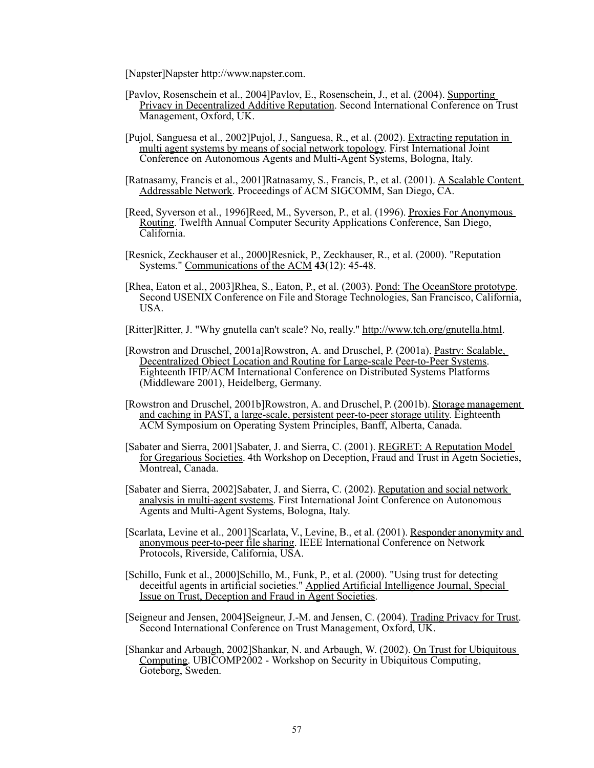[Napster]Napster http://www.napster.com.

- [Pavlov, Rosenschein et al., 2004]Pavlov, E., Rosenschein, J., et al. (2004). Supporting Privacy in Decentralized Additive Reputation. Second International Conference on Trust Management, Oxford, UK.
- [Pujol, Sanguesa et al., 2002]Pujol, J., Sanguesa, R., et al. (2002). Extracting reputation in multi agent systems by means of social network topology. First International Joint Conference on Autonomous Agents and Multi-Agent Systems, Bologna, Italy.
- [Ratnasamy, Francis et al., 2001]Ratnasamy, S., Francis, P., et al. (2001). A Scalable Content Addressable Network. Proceedings of ACM SIGCOMM, San Diego, CA.
- [Reed, Syverson et al., 1996]Reed, M., Syverson, P., et al. (1996). Proxies For Anonymous Routing. Twelfth Annual Computer Security Applications Conference, San Diego, California.
- [Resnick, Zeckhauser et al., 2000]Resnick, P., Zeckhauser, R., et al. (2000). "Reputation Systems." Communications of the ACM **43**(12): 45-48.
- [Rhea, Eaton et al., 2003]Rhea, S., Eaton, P., et al. (2003). Pond: The OceanStore prototype. Second USENIX Conference on File and Storage Technologies, San Francisco, California, USA.
- [Ritter]Ritter, J. "Why gnutella can't scale? No, really." http://www.tch.org/gnutella.html.
- [Rowstron and Druschel, 2001a]Rowstron, A. and Druschel, P. (2001a). Pastry: Scalable, Decentralized Object Location and Routing for Large-scale Peer-to-Peer Systems. Eighteenth IFIP/ACM International Conference on Distributed Systems Platforms (Middleware 2001), Heidelberg, Germany.
- [Rowstron and Druschel, 2001b]Rowstron, A. and Druschel, P. (2001b). Storage management and caching in PAST, a large-scale, persistent peer-to-peer storage utility. Eighteenth ACM Symposium on Operating System Principles, Banff, Alberta, Canada.
- [Sabater and Sierra, 2001]Sabater, J. and Sierra, C. (2001). REGRET: A Reputation Model for Gregarious Societies. 4th Workshop on Deception, Fraud and Trust in Agetn Societies, Montreal, Canada.
- [Sabater and Sierra, 2002]Sabater, J. and Sierra, C. (2002). Reputation and social network analysis in multi-agent systems. First International Joint Conference on Autonomous Agents and Multi-Agent Systems, Bologna, Italy.
- [Scarlata, Levine et al., 2001]Scarlata, V., Levine, B., et al. (2001). Responder anonymity and anonymous peer-to-peer file sharing. IEEE International Conference on Network Protocols, Riverside, California, USA.
- [Schillo, Funk et al., 2000]Schillo, M., Funk, P., et al. (2000). "Using trust for detecting deceitful agents in artificial societies." Applied Artificial Intelligence Journal, Special Issue on Trust, Deception and Fraud in Agent Societies.
- [Seigneur and Jensen, 2004]Seigneur, J.-M. and Jensen, C. (2004). Trading Privacy for Trust. Second International Conference on Trust Management, Oxford, UK.
- [Shankar and Arbaugh, 2002]Shankar, N. and Arbaugh, W. (2002). On Trust for Ubiquitous Computing. UBICOMP2002 - Workshop on Security in Ubiquitous Computing, Goteborg, Sweden.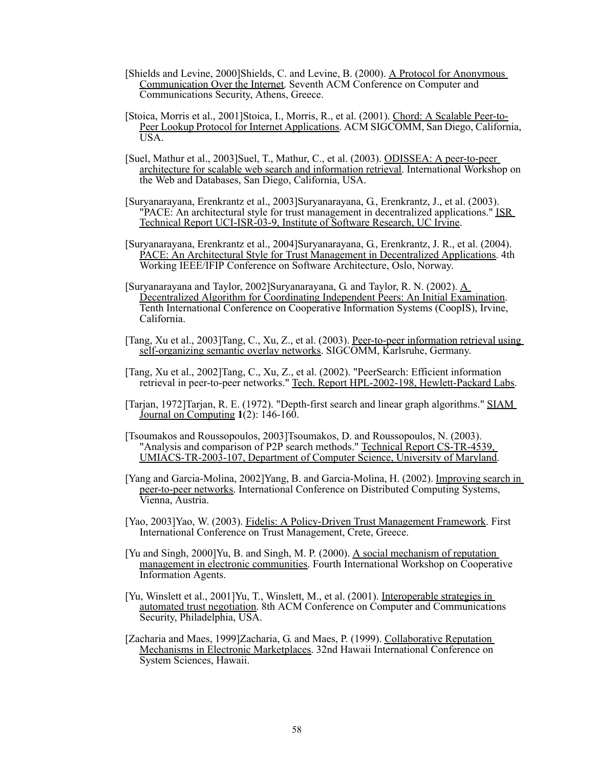- [Shields and Levine, 2000]Shields, C. and Levine, B. (2000). A Protocol for Anonymous Communication Over the Internet. Seventh ACM Conference on Computer and Communications Security, Athens, Greece.
- [Stoica, Morris et al., 2001]Stoica, I., Morris, R., et al. (2001). Chord: A Scalable Peer-to-Peer Lookup Protocol for Internet Applications. ACM SIGCOMM, San Diego, California, USA.
- [Suel, Mathur et al., 2003]Suel, T., Mathur, C., et al. (2003). ODISSEA: A peer-to-peer architecture for scalable web search and information retrieval. International Workshop on the Web and Databases, San Diego, California, USA.
- [Suryanarayana, Erenkrantz et al., 2003]Suryanarayana, G., Erenkrantz, J., et al. (2003). "PACE: An architectural style for trust management in decentralized applications." ISR Technical Report UCI-ISR-03-9, Institute of Software Research, UC Irvine.
- [Suryanarayana, Erenkrantz et al., 2004]Suryanarayana, G., Erenkrantz, J. R., et al. (2004). PACE: An Architectural Style for Trust Management in Decentralized Applications. 4th Working IEEE/IFIP Conference on Software Architecture, Oslo, Norway.
- [Suryanarayana and Taylor, 2002]Suryanarayana, G. and Taylor, R. N. (2002). A Decentralized Algorithm for Coordinating Independent Peers: An Initial Examination. Tenth International Conference on Cooperative Information Systems (CoopIS), Irvine, California.
- [Tang, Xu et al., 2003]Tang, C., Xu, Z., et al. (2003). Peer-to-peer information retrieval using self-organizing semantic overlay networks. SIGCOMM, Karlsruhe, Germany.
- [Tang, Xu et al., 2002]Tang, C., Xu, Z., et al. (2002). "PeerSearch: Efficient information retrieval in peer-to-peer networks." Tech. Report HPL-2002-198, Hewlett-Packard Labs.
- [Tarjan, 1972]Tarjan, R. E. (1972). "Depth-first search and linear graph algorithms." SIAM Journal on Computing **1**(2): 146-160.
- [Tsoumakos and Roussopoulos, 2003]Tsoumakos, D. and Roussopoulos, N. (2003). "Analysis and comparison of P2P search methods." Technical Report CS-TR-4539, UMIACS-TR-2003-107, Department of Computer Science, University of Maryland.
- [Yang and Garcia-Molina, 2002]Yang, B. and Garcia-Molina, H. (2002). Improving search in peer-to-peer networks. International Conference on Distributed Computing Systems, Vienna, Austria.
- [Yao, 2003]Yao, W. (2003). Fidelis: A Policy-Driven Trust Management Framework. First International Conference on Trust Management, Crete, Greece.
- [Yu and Singh, 2000]Yu, B. and Singh, M. P. (2000). A social mechanism of reputation management in electronic communities. Fourth International Workshop on Cooperative Information Agents.
- [Yu, Winslett et al., 2001]Yu, T., Winslett, M., et al. (2001). Interoperable strategies in automated trust negotiation. 8th ACM Conference on Computer and Communications Security, Philadelphia, USA.
- [Zacharia and Maes, 1999]Zacharia, G. and Maes, P. (1999). Collaborative Reputation Mechanisms in Electronic Marketplaces. 32nd Hawaii International Conference on System Sciences, Hawaii.